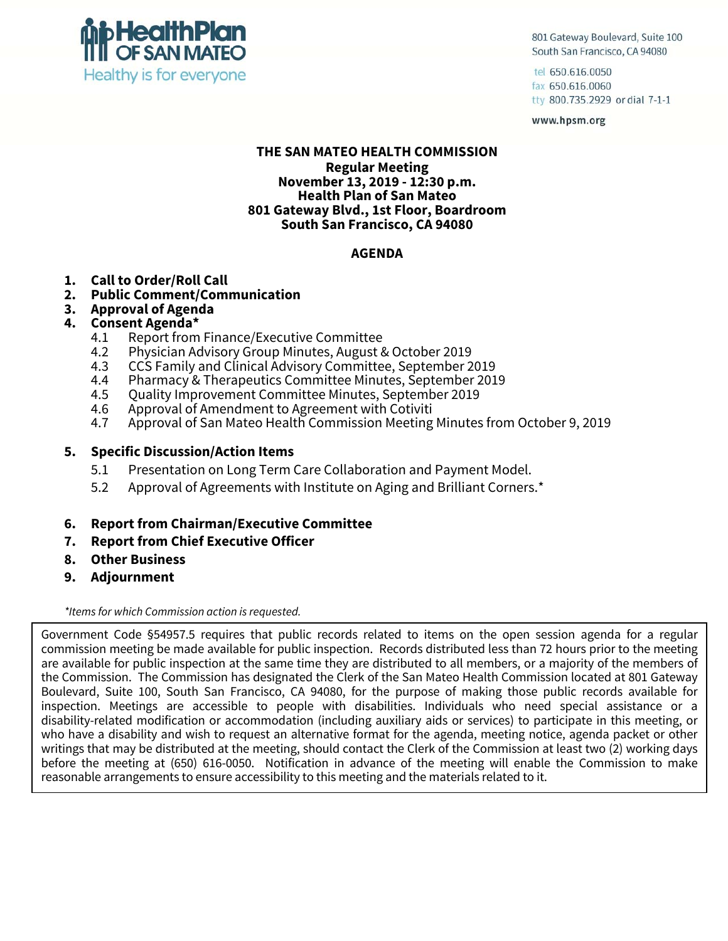

801 Gateway Boulevard, Suite 100 South San Francisco, CA 94080

tel 650.616.0050 fax 650.616.0060 tty 800.735.2929 or dial 7-1-1

www.hpsm.org

#### **THE SAN MATEO HEALTH COMMISSION Regular Meeting November 13, 2019 - 12:30 p.m. Health Plan of San Mateo 801 Gateway Blvd., 1st Floor, Boardroom South San Francisco, CA 94080**

### **AGENDA**

- **1. Call to Order/Roll Call**
- **2. Public Comment/Communication**
- **3. Approval of Agenda**

#### **4. Consent Agenda\***

- 4.1 Report from Finance/Executive Committee<br>4.2 Physician Advisory Group Minutes, August &
- 4.2 Physician Advisory Group Minutes, August & October 2019
- 4.3 CCS Family and Clinical Advisory Committee, September 2019
- 4.4 Pharmacy & Therapeutics Committee Minutes, September 2019<br>4.5 Ouality Improvement Committee Minutes. September 2019
- 4.5 Quality Improvement Committee Minutes, September 2019
- 4.6 Approval of Amendment to Agreement with Cotiviti
- 4.7 Approval of San Mateo Health Commission Meeting Minutes from October 9, 2019

#### **5. Specific Discussion/Action Items**

- 5.1 Presentation on Long Term Care Collaboration and Payment Model.
- 5.2 Approval of Agreements with Institute on Aging and Brilliant Corners.\*
- **6. Report from Chairman/Executive Committee**
- **7. Report from Chief Executive Officer**
- **8. Other Business**
- **9. Adjournment**

*\*Items for which Commission action is requested.* 

Government Code §54957.5 requires that public records related to items on the open session agenda for a regular commission meeting be made available for public inspection. Records distributed less than 72 hours prior to the meeting are available for public inspection at the same time they are distributed to all members, or a majority of the members of the Commission. The Commission has designated the Clerk of the San Mateo Health Commission located at 801 Gateway Boulevard, Suite 100, South San Francisco, CA 94080, for the purpose of making those public records available for inspection. Meetings are accessible to people with disabilities. Individuals who need special assistance or a disability-related modification or accommodation (including auxiliary aids or services) to participate in this meeting, or who have a disability and wish to request an alternative format for the agenda, meeting notice, agenda packet or other writings that may be distributed at the meeting, should contact the Clerk of the Commission at least two (2) working days before the meeting at (650) 616-0050. Notification in advance of the meeting will enable the Commission to make reasonable arrangements to ensure accessibility to this meeting and the materials related to it.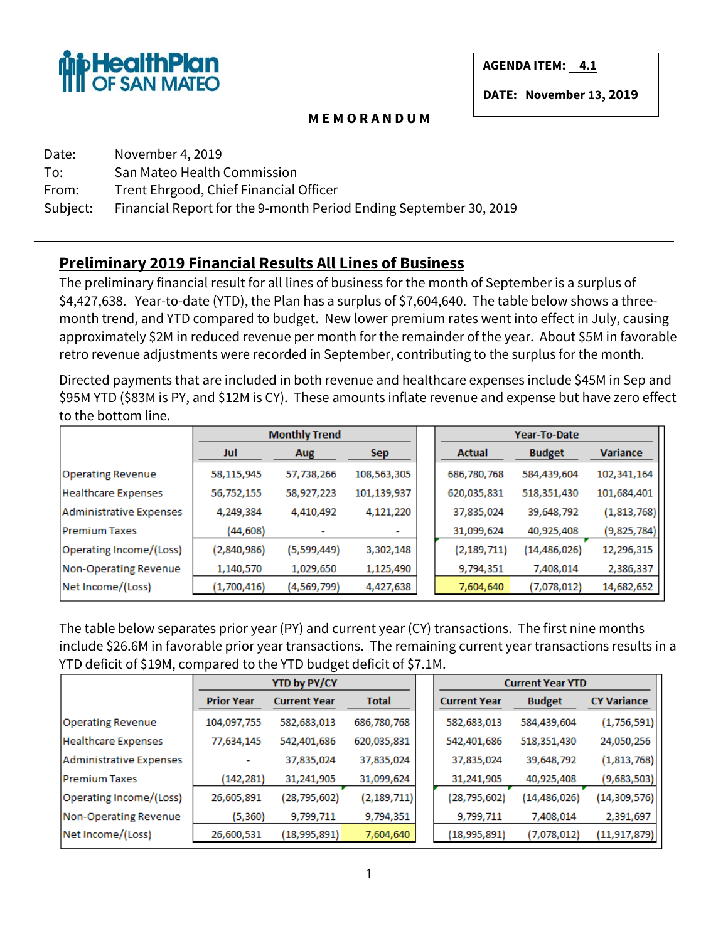

**AGENDA ITEM: 4.1** 

**DATE: November 13, 2019**

#### **M E M O R A N D U M**

| Date:    | November 4, 2019                                                  |
|----------|-------------------------------------------------------------------|
| To:      | San Mateo Health Commission                                       |
| From:    | Trent Ehrgood, Chief Financial Officer                            |
| Subject: | Financial Report for the 9-month Period Ending September 30, 2019 |

## **Preliminary 2019 Financial Results All Lines of Business**

The preliminary financial result for all lines of business for the month of September is a surplus of \$4,427,638. Year-to-date (YTD), the Plan has a surplus of \$7,604,640. The table below shows a threemonth trend, and YTD compared to budget. New lower premium rates went into effect in July, causing approximately \$2M in reduced revenue per month for the remainder of the year. About \$5M in favorable retro revenue adjustments were recorded in September, contributing to the surplus for the month.

Directed payments that are included in both revenue and healthcare expenses include \$45M in Sep and \$95M YTD (\$83M is PY, and \$12M is CY). These amounts inflate revenue and expense but have zero effect to the bottom line.

|                            |             | <b>Monthly Trend</b> |             |               | Year-To-Date   |                 |
|----------------------------|-------------|----------------------|-------------|---------------|----------------|-----------------|
|                            | Jul         | Aug                  | Sep.        | Actual        | <b>Budget</b>  | <b>Variance</b> |
| <b>Operating Revenue</b>   | 58,115,945  | 57,738,266           | 108,563,305 | 686,780,768   | 584,439,604    | 102,341,164     |
| <b>Healthcare Expenses</b> | 56,752,155  | 58,927,223           | 101,139,937 | 620,035,831   | 518,351,430    | 101,684,401     |
| Administrative Expenses    | 4,249,384   | 4,410,492            | 4,121,220   | 37,835,024    | 39,648,792     | (1,813,768)     |
| <b>Premium Taxes</b>       | (44,608)    |                      | ٠           | 31,099,624    | 40,925,408     | (9,825,784)     |
| Operating Income/(Loss)    | (2,840,986) | (5,599,449)          | 3,302,148   | (2, 189, 711) | (14, 486, 026) | 12,296,315      |
| Non-Operating Revenue      | 1,140,570   | 1,029,650            | 1,125,490   | 9,794,351     | 7,408,014      | 2,386,337       |
| Net Income/(Loss)          | (1,700,416) | (4,569,799)          | 4,427,638   | 7,604,640     | (7,078,012)    | 14,682,652      |

The table below separates prior year (PY) and current year (CY) transactions. The first nine months include \$26.6M in favorable prior year transactions. The remaining current year transactions results in a YTD deficit of \$19M, compared to the YTD budget deficit of \$7.1M.

|                            |                   | <b>YTD by PY/CY</b>          |               |                     | <b>Current Year YTD</b> |                    |
|----------------------------|-------------------|------------------------------|---------------|---------------------|-------------------------|--------------------|
|                            | <b>Prior Year</b> | <b>Current Year</b><br>Total |               | <b>Current Year</b> | <b>Budget</b>           | <b>CY Variance</b> |
| <b>Operating Revenue</b>   | 104,097,755       | 582,683,013                  | 686,780,768   | 582,683,013         | 584,439,604             | (1,756,591)        |
| <b>Healthcare Expenses</b> | 77,634,145        | 542,401,686                  | 620,035,831   | 542,401,686         | 518,351,430             | 24,050,256         |
| Administrative Expenses    |                   | 37,835,024                   | 37,835,024    | 37,835,024          | 39,648,792              | (1,813,768)        |
| <b>Premium Taxes</b>       | (142, 281)        | 31,241,905                   | 31,099,624    | 31,241,905          | 40,925,408              | (9,683,503)        |
| Operating Income/(Loss)    | 26,605,891        | (28, 795, 602)               | (2, 189, 711) | (28,795,602)        | (14, 486, 026)          | (14, 309, 576)     |
| Non-Operating Revenue      | (5,360)           | 9,799,711                    | 9,794,351     | 9,799,711           | 7,408,014               | 2,391,697          |
| Net Income/(Loss)          | 26,600,531        | (18,995,891)                 | 7,604,640     | (18,995,891)        | (7,078,012)             | (11, 917, 879)     |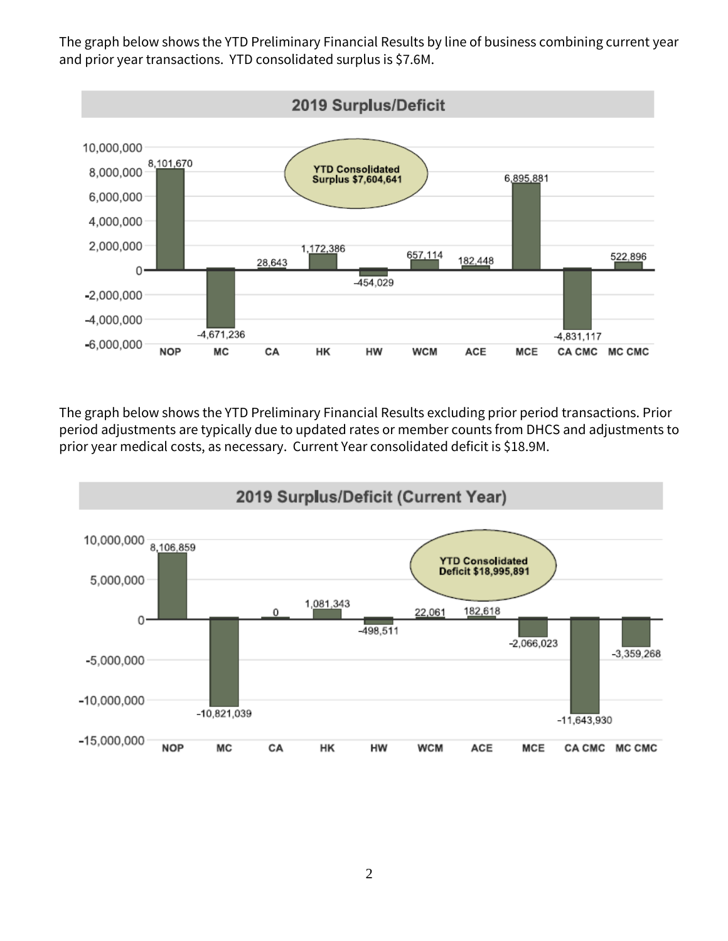The graph below shows the YTD Preliminary Financial Results by line of business combining current year and prior year transactions. YTD consolidated surplus is \$7.6M.



The graph below shows the YTD Preliminary Financial Results excluding prior period transactions. Prior period adjustments are typically due to updated rates or member counts from DHCS and adjustments to prior year medical costs, as necessary. Current Year consolidated deficit is \$18.9M.

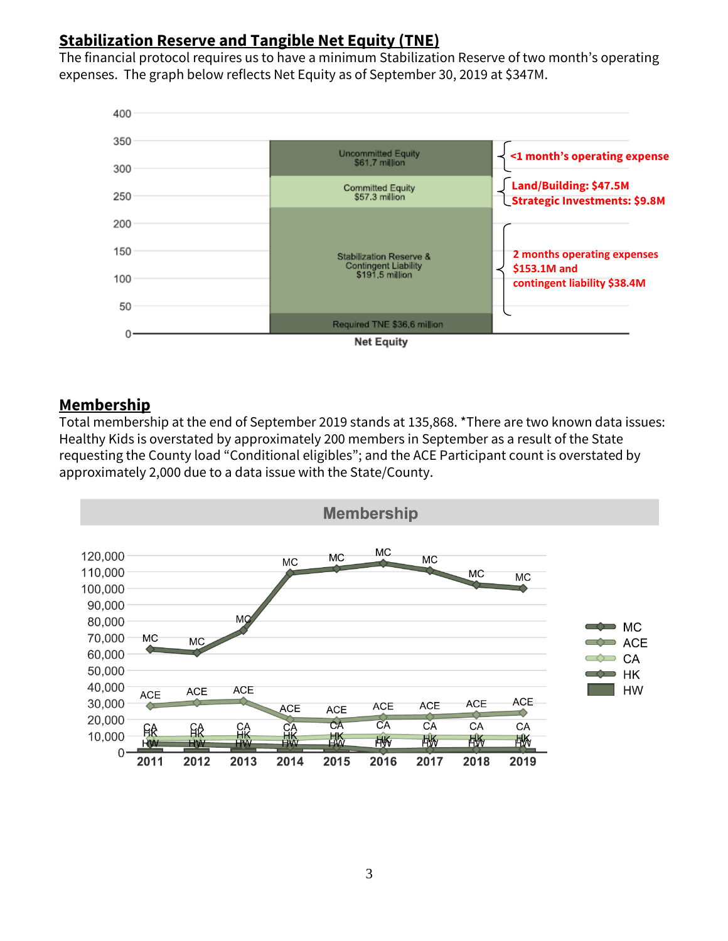## **Stabilization Reserve and Tangible Net Equity (TNE)**

The financial protocol requires us to have a minimum Stabilization Reserve of two month's operating expenses. The graph below reflects Net Equity as of September 30, 2019 at \$347M.



### **Membership**

Total membership at the end of September 2019 stands at 135,868. \*There are two known data issues: Healthy Kids is overstated by approximately 200 members in September as a result of the State requesting the County load "Conditional eligibles"; and the ACE Participant count is overstated by approximately 2,000 due to a data issue with the State/County.

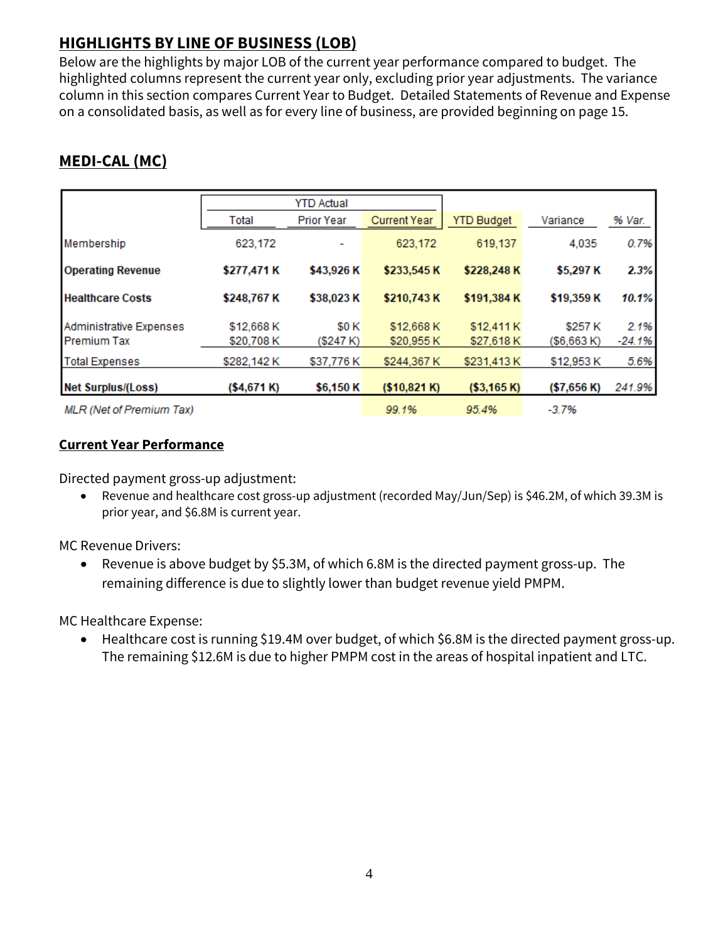# **HIGHLIGHTS BY LINE OF BUSINESS (LOB)**

Below are the highlights by major LOB of the current year performance compared to budget. The highlighted columns represent the current year only, excluding prior year adjustments. The variance column in this section compares Current Year to Budget. Detailed Statements of Revenue and Expense on a consolidated basis, as well as for every line of business, are provided beginning on page 15.

# **MEDI-CAL (MC)**

|                                 |             | <b>YTD Actual</b> |                     |                   |              |        |  |  |  |  |  |
|---------------------------------|-------------|-------------------|---------------------|-------------------|--------------|--------|--|--|--|--|--|
|                                 | Total       | <b>Prior Year</b> | <b>Current Year</b> | <b>YTD Budget</b> | Variance     | % Var. |  |  |  |  |  |
| Membership                      | 623,172     |                   | 623,172             | 619,137           | 4,035        | 0.7%   |  |  |  |  |  |
| <b>Operating Revenue</b>        | \$277,471 K | \$43,926 K        | \$233,545 K         | \$228,248K        | \$5,297 K    | 2.3%   |  |  |  |  |  |
| <b>Healthcare Costs</b>         | \$248,767 K | \$38,023K         | \$210,743K          | \$191,384 K       | \$19,359 K   | 10.1%  |  |  |  |  |  |
| Administrative Expenses         | \$12,668 K  | <b>SOK</b>        | \$12,668 K          | \$12,411 K        | \$257K       | 2.1%   |  |  |  |  |  |
| <b>Premium Tax</b>              | \$20,708 K  | (\$247 K)         | \$20,955 K          | \$27,618 K        | ( \$6,663 K) | -24.1% |  |  |  |  |  |
| <b>Total Expenses</b>           | \$282,142K  | \$37,776K         | \$244,367 K         | \$231,413 K       | \$12,953 K   | 5.6%   |  |  |  |  |  |
| <b>Net Surplus/(Loss)</b>       | (\$4,671 K) | \$6,150 K         | (\$10,821 K)        | ( \$3,165 K)      | (\$7,656 K)  | 241.9% |  |  |  |  |  |
| <b>MLR</b> (Net of Premium Tax) |             |                   | 99.1%               | 95.4%             | $-3.7%$      |        |  |  |  |  |  |

### **Current Year Performance**

Directed payment gross-up adjustment:

• Revenue and healthcare cost gross-up adjustment (recorded May/Jun/Sep) is \$46.2M, of which 39.3M is prior year, and \$6.8M is current year.

MC Revenue Drivers:

• Revenue is above budget by \$5.3M, of which 6.8M is the directed payment gross-up. The remaining difference is due to slightly lower than budget revenue yield PMPM.

MC Healthcare Expense:

• Healthcare cost is running \$19.4M over budget, of which \$6.8M is the directed payment gross-up. The remaining \$12.6M is due to higher PMPM cost in the areas of hospital inpatient and LTC.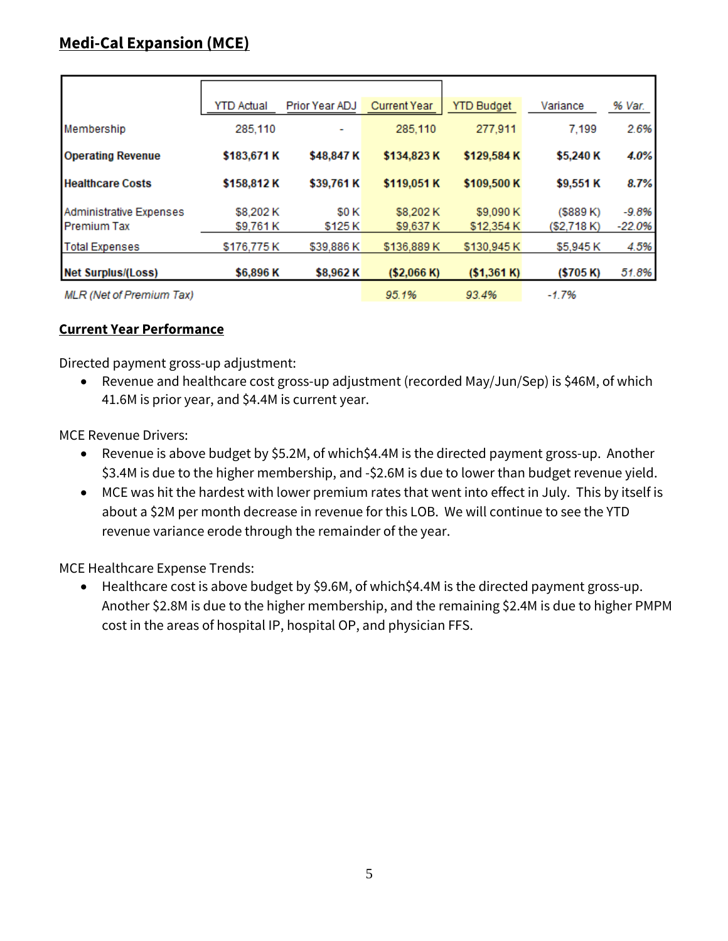|                                 | YTD Actual  | Prior Year ADJ | <b>Current Year</b> | <b>YTD Budget</b> | Variance     | % Var.   |
|---------------------------------|-------------|----------------|---------------------|-------------------|--------------|----------|
| Membership                      | 285,110     |                | 285,110             | 277,911           | 7,199        | 2.6%     |
| <b>Operating Revenue</b>        | \$183,671 K | \$48,847 K     | \$134,823 K         | \$129,584 K       | \$5,240 K    | 4.0%     |
| <b>Healthcare Costs</b>         | \$158,812K  | \$39,761 K     | \$119,051 K         | \$109,500 K       | \$9,551 K    | 8.7%     |
| Administrative Expenses         | \$8,202K    | <b>SOK</b>     | \$8,202K            | \$9,090 K         | $($ \$889 K) | $-9.8%$  |
| <b>Premium Tax</b>              | \$9.761K    | \$125 K        | \$9,637 K           | \$12,354 K        | (\$2,718 K)  | $-22.0%$ |
| <b>Total Expenses</b>           | \$176,775K  | \$39,886 K     | \$136,889 K         | \$130,945 K       | \$5,945K     | 4.5%     |
| <b>Net Surplus/(Loss)</b>       | \$6,896K    | \$8,962K       | (\$2,066 K)         | (\$1,361 K)       | (\$705 K)    | 51.8%    |
| <b>MLR</b> (Net of Premium Tax) |             |                | 95.1%               | 93.4%             | $-1.7%$      |          |

### **Current Year Performance**

Directed payment gross-up adjustment:

• Revenue and healthcare cost gross-up adjustment (recorded May/Jun/Sep) is \$46M, of which 41.6M is prior year, and \$4.4M is current year.

MCE Revenue Drivers:

- Revenue is above budget by \$5.2M, of which\$4.4M is the directed payment gross-up. Another \$3.4M is due to the higher membership, and -\$2.6M is due to lower than budget revenue yield.
- MCE was hit the hardest with lower premium rates that went into effect in July. This by itself is about a \$2M per month decrease in revenue for this LOB. We will continue to see the YTD revenue variance erode through the remainder of the year.

MCE Healthcare Expense Trends:

• Healthcare cost is above budget by \$9.6M, of which\$4.4M is the directed payment gross-up. Another \$2.8M is due to the higher membership, and the remaining \$2.4M is due to higher PMPM cost in the areas of hospital IP, hospital OP, and physician FFS.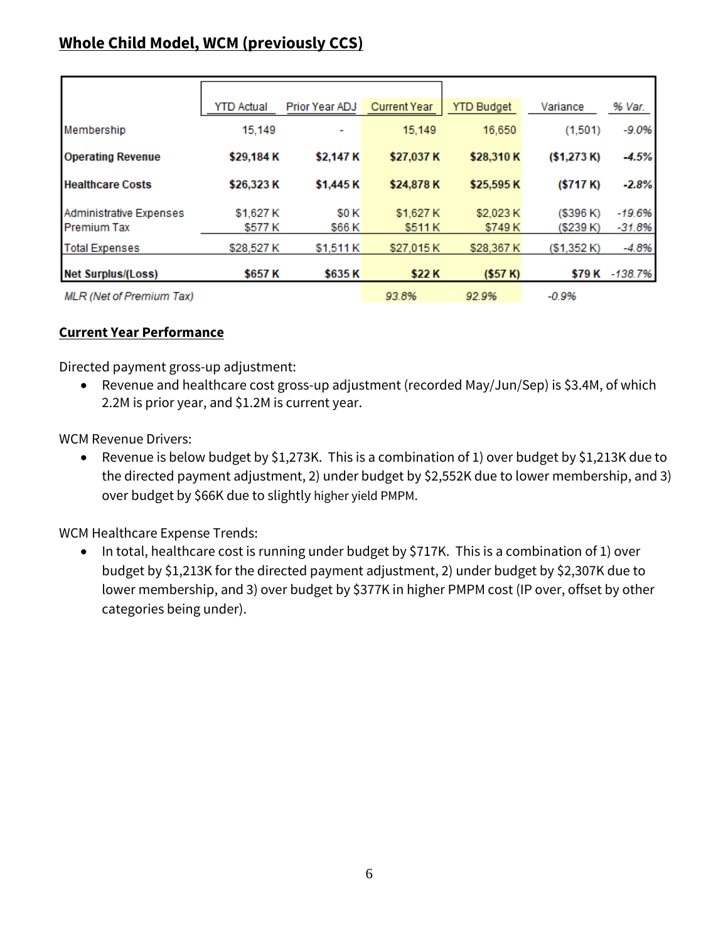# **Whole Child Model, WCM (previously CCS)**

|                                 | <b>YTD Actual</b> | Prior Year ADJ | <b>Current Year</b> | <b>YTD Budget</b> | Variance    | % Var.    |
|---------------------------------|-------------------|----------------|---------------------|-------------------|-------------|-----------|
| Membership                      | 15,149            |                | 15,149              | 16,650            | (1,501)     | $-9.0%$   |
| <b>Operating Revenue</b>        | \$29,184 K        | \$2,147 K      | \$27,037 K          | \$28,310 K        | (\$1,273 K) | $-4.5%$   |
| <b>Healthcare Costs</b>         | \$26,323 K        | \$1,445 K      | \$24,878K           | \$25,595 K        | (\$717 K)   | $-2.8%$   |
| Administrative Expenses         | \$1,627 K         | <b>SOK</b>     | \$1,627 K           | \$2,023 K         | (\$396 K)   | $-19.6%$  |
| <b>Premium Tax</b>              | \$577 K           | \$66 K         | \$511 K             | \$749K            | (\$239 K)   | $-31.8%$  |
| <b>Total Expenses</b>           | \$28,527 K        | \$1,511 K      | \$27,015K           | \$28,367 K        | (\$1,352K)  | $-4.8%$   |
| <b>Net Surplus/(Loss)</b>       | \$657 K           | \$635K         | \$22K               | (\$57 K)          | \$79 K      | $-138.7%$ |
| <b>MLR</b> (Net of Premium Tax) |                   |                | 93.8%               | 92.9%             | $-0.9%$     |           |

### **Current Year Performance**

Directed payment gross-up adjustment:

• Revenue and healthcare cost gross-up adjustment (recorded May/Jun/Sep) is \$3.4M, of which 2.2M is prior year, and \$1.2M is current year.

WCM Revenue Drivers:

• Revenue is below budget by \$1,273K. This is a combination of 1) over budget by \$1,213K due to the directed payment adjustment, 2) under budget by \$2,552K due to lower membership, and 3) over budget by \$66K due to slightly higher yield PMPM.

WCM Healthcare Expense Trends:

• In total, healthcare cost is running under budget by \$717K. This is a combination of 1) over budget by \$1,213K for the directed payment adjustment, 2) under budget by \$2,307K due to lower membership, and 3) over budget by \$377K in higher PMPM cost (IP over, offset by other categories being under).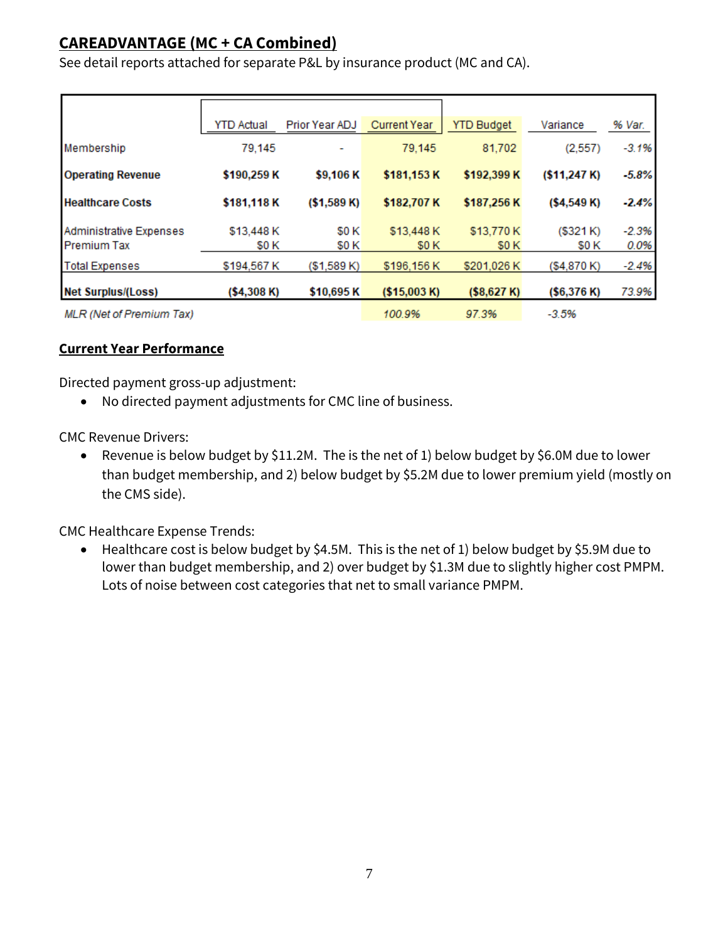## **CAREADVANTAGE (MC + CA Combined)**

See detail reports attached for separate P&L by insurance product (MC and CA).

|                                 | <b>YTD Actual</b> | Prior Year ADJ | <b>Current Year</b> | <b>YTD Budget</b> | Variance     | % Var.  |
|---------------------------------|-------------------|----------------|---------------------|-------------------|--------------|---------|
| Membership                      | 79,145            |                | 79,145              | 81,702            | (2, 557)     | $-3.1%$ |
| <b>Operating Revenue</b>        | \$190,259 K       | \$9,106K       | \$181,153K          | \$192,399 K       | (\$11,247 K) | $-5.8%$ |
| <b>Healthcare Costs</b>         | \$181,118K        | (\$1,589 K)    | \$182,707 K         | \$187,256K        | (\$4,549 K)  | $-2.4%$ |
| Administrative Expenses         | \$13,448 K        | <b>SOK</b>     | \$13,448 K          | \$13,770 K        | ( \$321 K)   | $-2.3%$ |
| <b>Premium Tax</b>              | \$0 K             | <b>SOK</b>     | <b>\$0K</b>         | <b>\$0K</b>       | <b>SOK</b>   | 0.0%    |
| <b>Total Expenses</b>           | \$194,567 K       | (\$1,589 K)    | \$196,156 K         | \$201.026 K       | (\$4,870 K)  | $-2.4%$ |
| <b>Net Surplus/(Loss)</b>       | (\$4,308 K)       | \$10,695K      | (\$15,003 K)        | (\$8,627 K)       | (\$6,376 K)  | 73.9%   |
| <b>MLR</b> (Net of Premium Tax) |                   |                | 100.9%              | 97.3%             | $-3.5%$      |         |

### **Current Year Performance**

Directed payment gross-up adjustment:

• No directed payment adjustments for CMC line of business.

CMC Revenue Drivers:

• Revenue is below budget by \$11.2M. The is the net of 1) below budget by \$6.0M due to lower than budget membership, and 2) below budget by \$5.2M due to lower premium yield (mostly on the CMS side).

CMC Healthcare Expense Trends:

• Healthcare cost is below budget by \$4.5M. This is the net of 1) below budget by \$5.9M due to lower than budget membership, and 2) over budget by \$1.3M due to slightly higher cost PMPM. Lots of noise between cost categories that net to small variance PMPM.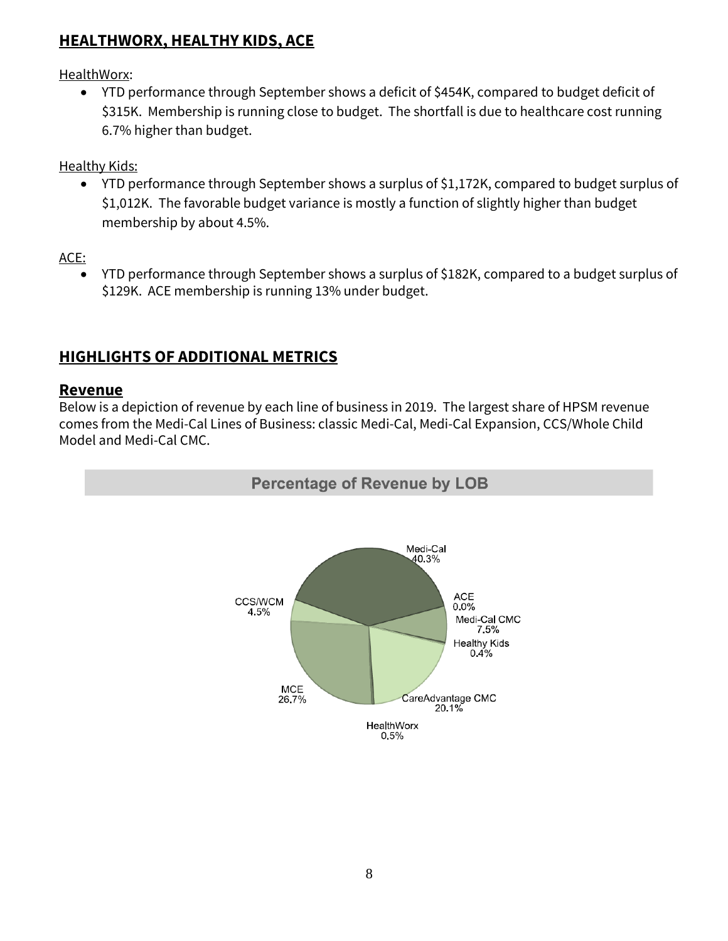## **HEALTHWORX, HEALTHY KIDS, ACE**

HealthWorx:

• YTD performance through September shows a deficit of \$454K, compared to budget deficit of \$315K. Membership is running close to budget. The shortfall is due to healthcare cost running 6.7% higher than budget.

Healthy Kids:

• YTD performance through September shows a surplus of \$1,172K, compared to budget surplus of \$1,012K. The favorable budget variance is mostly a function of slightly higher than budget membership by about 4.5%.

ACE:

• YTD performance through September shows a surplus of \$182K, compared to a budget surplus of \$129K. ACE membership is running 13% under budget.

## **HIGHLIGHTS OF ADDITIONAL METRICS**

## **Revenue**

Below is a depiction of revenue by each line of business in 2019. The largest share of HPSM revenue comes from the Medi-Cal Lines of Business: classic Medi-Cal, Medi-Cal Expansion, CCS/Whole Child Model and Medi-Cal CMC.

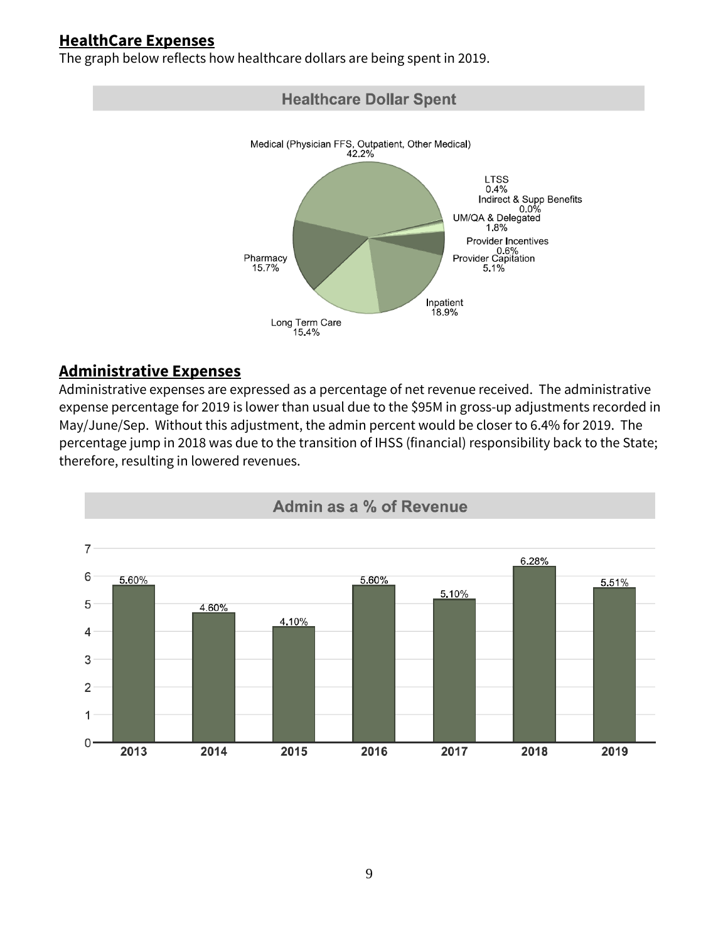## **HealthCare Expenses**

The graph below reflects how healthcare dollars are being spent in 2019.



### **Administrative Expenses**

Administrative expenses are expressed as a percentage of net revenue received. The administrative expense percentage for 2019 is lower than usual due to the \$95M in gross-up adjustments recorded in May/June/Sep. Without this adjustment, the admin percent would be closer to 6.4% for 2019. The percentage jump in 2018 was due to the transition of IHSS (financial) responsibility back to the State; therefore, resulting in lowered revenues.

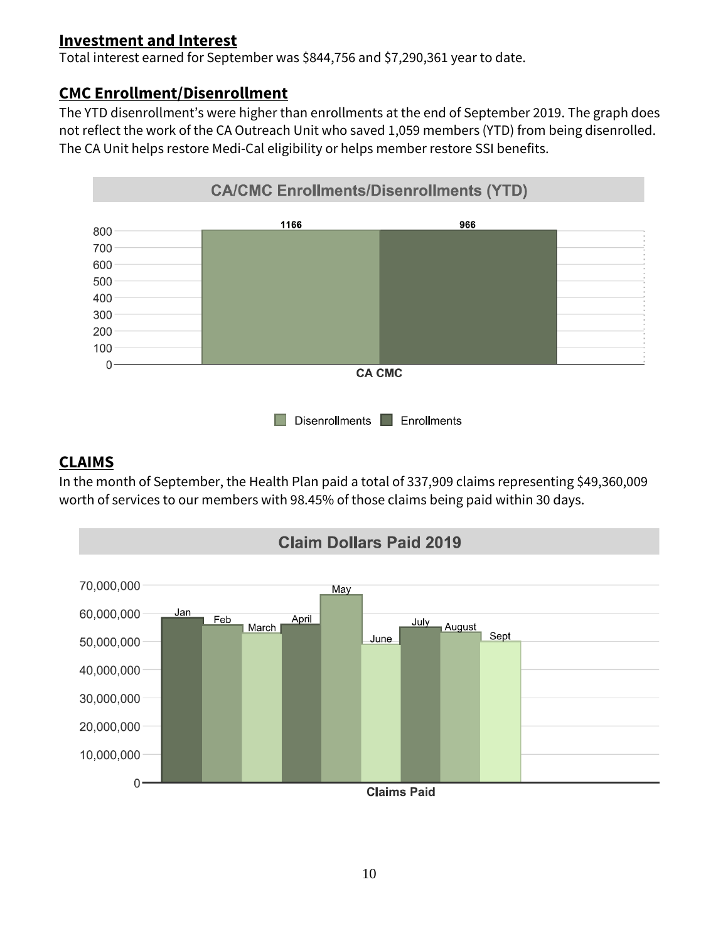## **Investment and Interest**

Total interest earned for September was \$844,756 and \$7,290,361 year to date.

## **CMC Enrollment/Disenrollment**

The YTD disenrollment's were higher than enrollments at the end of September 2019. The graph does not reflect the work of the CA Outreach Unit who saved 1,059 members (YTD) from being disenrolled. The CA Unit helps restore Medi-Cal eligibility or helps member restore SSI benefits.



## **CLAIMS**

In the month of September, the Health Plan paid a total of 337,909 claims representing \$49,360,009 worth of services to our members with 98.45% of those claims being paid within 30 days.

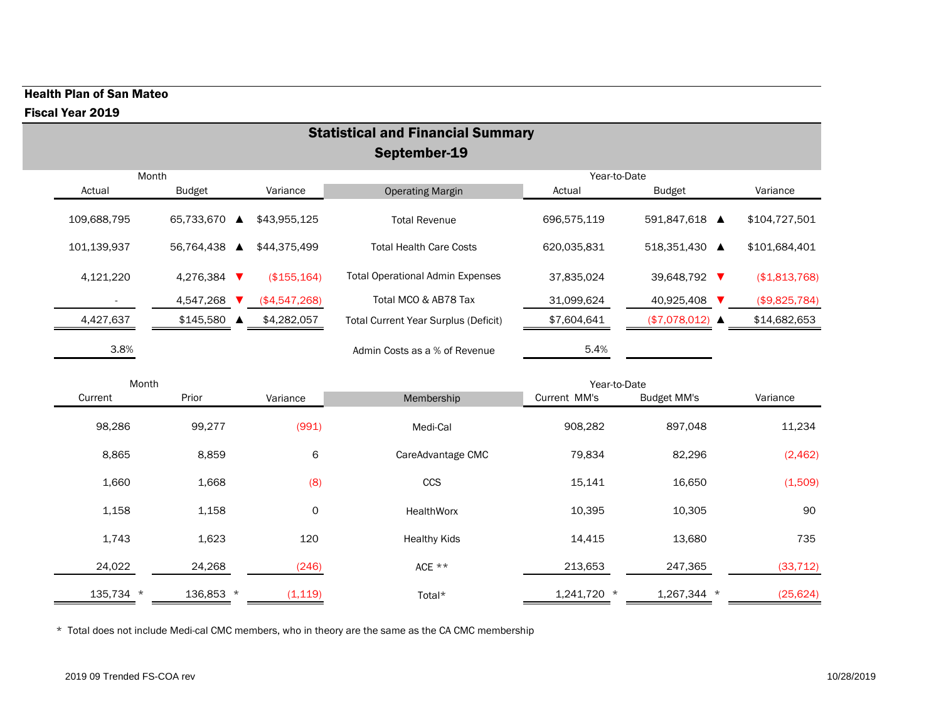### Health Plan of San Mateo

#### Fiscal Year 2019

| Month       |                             |               |                                             | Year-to-Date |                          |               |
|-------------|-----------------------------|---------------|---------------------------------------------|--------------|--------------------------|---------------|
| Actual      | <b>Budget</b><br>Variance   |               | <b>Operating Margin</b>                     | Actual       | <b>Budget</b>            | Variance      |
| 109,688,795 | 65,733,670 ▲                | \$43,955,125  | <b>Total Revenue</b>                        | 696,575,119  | 591,847,618 ▲            | \$104,727,501 |
| 101,139,937 | 56,764,438<br>▲             | \$44,375,499  | <b>Total Health Care Costs</b>              | 620,035,831  | 518,351,430 ▲            | \$101,684,401 |
| 4,121,220   | 4,276,384<br>$\blacksquare$ | (\$155, 164)  | <b>Total Operational Admin Expenses</b>     | 37,835,024   | 39,648,792 ▼             | (\$1,813,768) |
|             | 4,547,268                   | (\$4,547,268) | Total MCO & AB78 Tax                        | 31,099,624   | 40,925,408               | (\$9,825,784) |
| 4,427,637   | $$145,580$ $\triangle$      | \$4,282,057   | <b>Total Current Year Surplus (Deficit)</b> | \$7,604,641  | $($7,078,012) \triangle$ | \$14,682,653  |
| 3.8%        |                             |               | Admin Costs as a % of Revenue               | 5.4%         |                          |               |

| Current   | Prior     | Variance | Membership          | Current MM's<br><b>Budget MM's</b> |             | Variance  |
|-----------|-----------|----------|---------------------|------------------------------------|-------------|-----------|
| 98,286    | 99,277    | (991)    | Medi-Cal            | 908,282                            | 897,048     | 11,234    |
| 8,865     | 8,859     | 6        | CareAdvantage CMC   | 79,834                             | 82,296      | (2,462)   |
| 1,660     | 1,668     | (8)      | CCS                 | 15,141                             | 16,650      | (1,509)   |
| 1,158     | 1,158     | 0        | <b>HealthWorx</b>   | 10,395                             | 10,305      | 90        |
| 1,743     | 1,623     | 120      | <b>Healthy Kids</b> | 14,415                             | 13,680      | 735       |
| 24,022    | 24,268    | (246)    | ACE $**$            | 213,653                            | 247,365     | (33, 712) |
| 135,734 * | 136,853 * | (1, 119) | Total*              | 1,241,720 *                        | 1,267,344 * | (25, 624) |

\* Total does not include Medi-cal CMC members, who in theory are the same as the CA CMC membership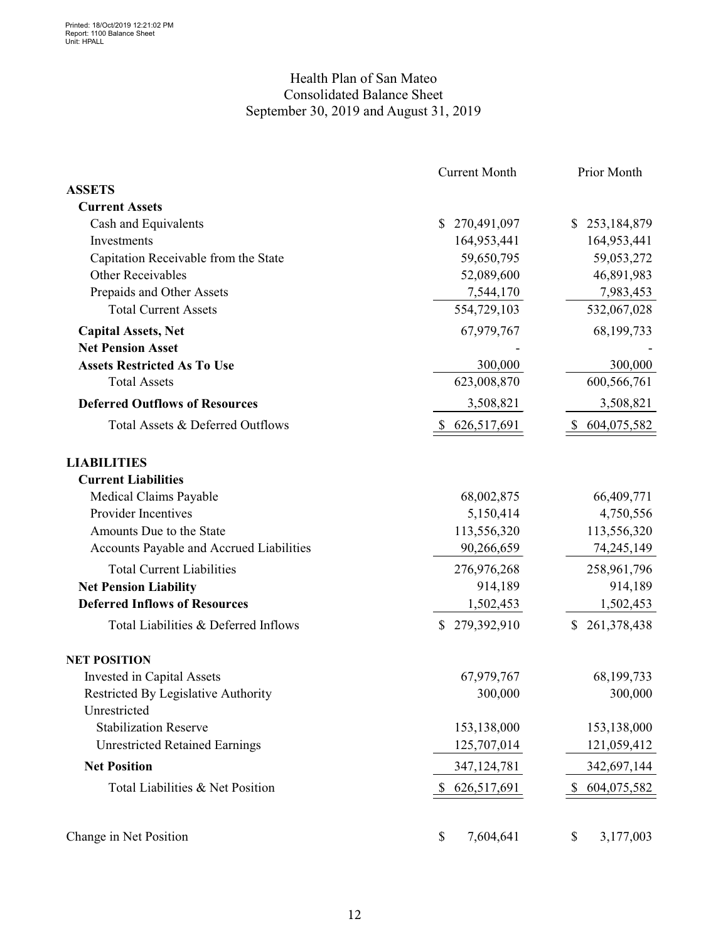### Health Plan of San Mateo Consolidated Balance Sheet September 30, 2019 and August 31, 2019

|                                            | <b>Current Month</b> | Prior Month       |  |  |
|--------------------------------------------|----------------------|-------------------|--|--|
| <b>ASSETS</b>                              |                      |                   |  |  |
| <b>Current Assets</b>                      |                      |                   |  |  |
| Cash and Equivalents                       | 270,491,097<br>\$    | \$253,184,879     |  |  |
| Investments                                | 164,953,441          | 164,953,441       |  |  |
| Capitation Receivable from the State       | 59,650,795           | 59,053,272        |  |  |
| Other Receivables                          | 52,089,600           | 46,891,983        |  |  |
| Prepaids and Other Assets                  | 7,544,170            | 7,983,453         |  |  |
| <b>Total Current Assets</b>                | 554,729,103          | 532,067,028       |  |  |
| <b>Capital Assets, Net</b>                 | 67,979,767           | 68,199,733        |  |  |
| <b>Net Pension Asset</b>                   |                      |                   |  |  |
| <b>Assets Restricted As To Use</b>         | 300,000              | 300,000           |  |  |
| <b>Total Assets</b>                        | 623,008,870          | 600,566,761       |  |  |
| <b>Deferred Outflows of Resources</b>      | 3,508,821            | 3,508,821         |  |  |
| Total Assets & Deferred Outflows           | 626,517,691          | 604,075,582       |  |  |
| <b>LIABILITIES</b>                         |                      |                   |  |  |
| <b>Current Liabilities</b>                 |                      |                   |  |  |
| Medical Claims Payable                     | 68,002,875           | 66,409,771        |  |  |
| Provider Incentives                        | 5,150,414            | 4,750,556         |  |  |
| Amounts Due to the State                   | 113,556,320          | 113,556,320       |  |  |
| Accounts Payable and Accrued Liabilities   | 90,266,659           | 74,245,149        |  |  |
| <b>Total Current Liabilities</b>           | 276,976,268          | 258,961,796       |  |  |
| <b>Net Pension Liability</b>               | 914,189              | 914,189           |  |  |
| <b>Deferred Inflows of Resources</b>       | 1,502,453            | 1,502,453         |  |  |
| Total Liabilities & Deferred Inflows       | 279,392,910<br>\$    | 261,378,438<br>\$ |  |  |
| <b>NET POSITION</b>                        |                      |                   |  |  |
| Invested in Capital Assets                 | 67,979,767           | 68,199,733        |  |  |
| <b>Restricted By Legislative Authority</b> | 300,000              | 300,000           |  |  |
| Unrestricted                               |                      |                   |  |  |
| <b>Stabilization Reserve</b>               | 153,138,000          | 153,138,000       |  |  |
| <b>Unrestricted Retained Earnings</b>      | 125,707,014          | 121,059,412       |  |  |
| <b>Net Position</b>                        | 347,124,781          | 342,697,144       |  |  |
| Total Liabilities & Net Position           | \$626,517,691        | \$604,075,582     |  |  |
|                                            |                      |                   |  |  |
| Change in Net Position                     | \$<br>7,604,641      | \$<br>3,177,003   |  |  |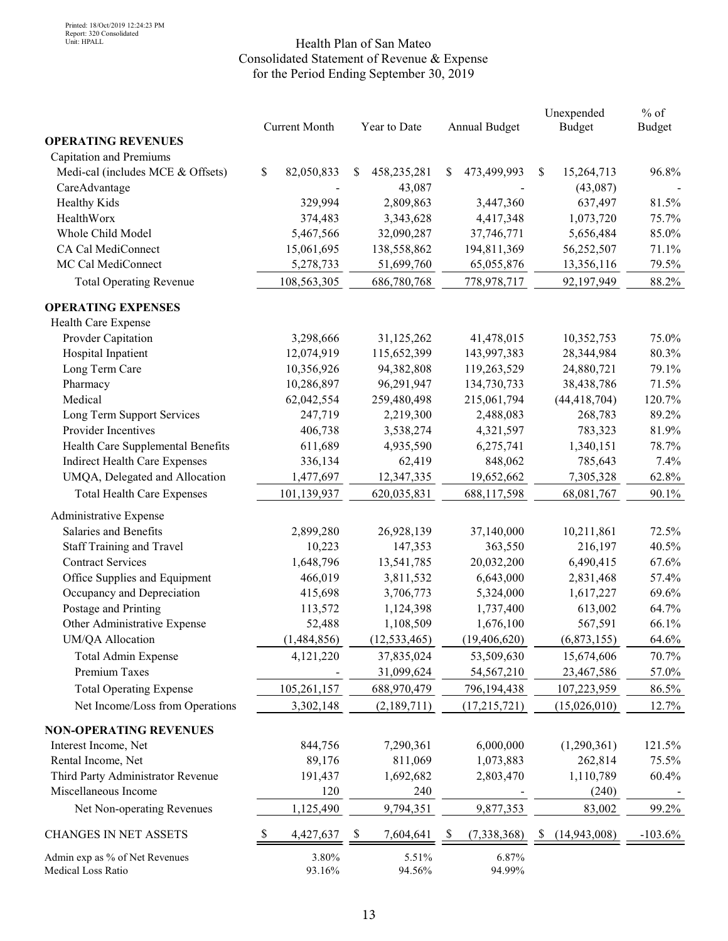#### Health Plan of San Mateo Consolidated Statement of Revenue & Expense for the Period Ending September 30, 2019

|                                                              |    | <b>Current Month</b> | Year to Date                |   | Annual Budget           | Unexpended<br><b>Budget</b> | $%$ of<br><b>Budget</b> |  |
|--------------------------------------------------------------|----|----------------------|-----------------------------|---|-------------------------|-----------------------------|-------------------------|--|
| <b>OPERATING REVENUES</b>                                    |    |                      |                             |   |                         |                             |                         |  |
| Capitation and Premiums<br>Medi-cal (includes MCE & Offsets) | \$ |                      |                             |   |                         | \$                          |                         |  |
|                                                              |    | 82,050,833           | \$<br>458,235,281<br>43,087 | S | 473,499,993             | 15,264,713                  | 96.8%                   |  |
| CareAdvantage<br><b>Healthy Kids</b>                         |    | 329,994              | 2,809,863                   |   |                         | (43,087)<br>637,497         | 81.5%                   |  |
| HealthWorx                                                   |    |                      |                             |   | 3,447,360               | 1,073,720                   | 75.7%                   |  |
| Whole Child Model                                            |    | 374,483              | 3,343,628<br>32,090,287     |   | 4,417,348<br>37,746,771 | 5,656,484                   | 85.0%                   |  |
| CA Cal MediConnect                                           |    | 5,467,566            |                             |   |                         |                             |                         |  |
| MC Cal MediConnect                                           |    | 15,061,695           | 138,558,862                 |   | 194,811,369             | 56,252,507                  | 71.1%                   |  |
|                                                              |    | 5,278,733            | 51,699,760                  |   | 65,055,876              | 13,356,116                  | 79.5%                   |  |
| <b>Total Operating Revenue</b>                               |    | 108,563,305          | 686,780,768                 |   | 778,978,717             | 92,197,949                  | 88.2%                   |  |
| <b>OPERATING EXPENSES</b>                                    |    |                      |                             |   |                         |                             |                         |  |
| Health Care Expense                                          |    |                      |                             |   |                         |                             |                         |  |
| Provder Capitation                                           |    | 3,298,666            | 31,125,262                  |   | 41,478,015              | 10,352,753                  | 75.0%                   |  |
| Hospital Inpatient                                           |    | 12,074,919           | 115,652,399                 |   | 143,997,383             | 28,344,984                  | 80.3%                   |  |
| Long Term Care                                               |    | 10,356,926           | 94,382,808                  |   | 119,263,529             | 24,880,721                  | 79.1%                   |  |
| Pharmacy                                                     |    | 10,286,897           | 96,291,947                  |   | 134,730,733             | 38,438,786                  | 71.5%                   |  |
| Medical                                                      |    | 62,042,554           | 259,480,498                 |   | 215,061,794             | (44, 418, 704)              | 120.7%                  |  |
| Long Term Support Services                                   |    | 247,719              | 2,219,300                   |   | 2,488,083               | 268,783                     | 89.2%                   |  |
| Provider Incentives                                          |    | 406,738              | 3,538,274                   |   | 4,321,597               | 783,323                     | 81.9%                   |  |
| Health Care Supplemental Benefits                            |    | 611,689              | 4,935,590                   |   | 6,275,741               | 1,340,151                   | 78.7%                   |  |
| Indirect Health Care Expenses                                |    | 336,134              | 62,419                      |   | 848,062                 | 785,643                     | 7.4%                    |  |
| UMQA, Delegated and Allocation                               |    | 1,477,697            | 12,347,335                  |   | 19,652,662              | 7,305,328                   | 62.8%                   |  |
| <b>Total Health Care Expenses</b>                            |    | 101,139,937          | 620,035,831                 |   | 688,117,598             | 68,081,767                  | 90.1%                   |  |
| Administrative Expense                                       |    |                      |                             |   |                         |                             |                         |  |
| Salaries and Benefits                                        |    | 2,899,280            | 26,928,139                  |   | 37,140,000              | 10,211,861                  | 72.5%                   |  |
| <b>Staff Training and Travel</b>                             |    | 10,223               | 147,353                     |   | 363,550                 | 216,197                     | 40.5%                   |  |
| <b>Contract Services</b>                                     |    | 1,648,796            | 13,541,785                  |   | 20,032,200              | 6,490,415                   | 67.6%                   |  |
| Office Supplies and Equipment                                |    | 466,019              | 3,811,532                   |   | 6,643,000               | 2,831,468                   | 57.4%                   |  |
| Occupancy and Depreciation                                   |    | 415,698              | 3,706,773                   |   | 5,324,000               | 1,617,227                   | 69.6%                   |  |
| Postage and Printing                                         |    | 113,572              | 1,124,398                   |   | 1,737,400               | 613,002                     | 64.7%                   |  |
| Other Administrative Expense                                 |    | 52,488               | 1,108,509                   |   | 1,676,100               | 567,591                     | 66.1%                   |  |
| UM/QA Allocation                                             |    | (1,484,856)          | (12, 533, 465)              |   | (19, 406, 620)          | (6,873,155)                 | 64.6%                   |  |
| Total Admin Expense                                          |    | 4,121,220            | 37,835,024                  |   | 53,509,630              | 15,674,606                  | 70.7%                   |  |
| Premium Taxes                                                |    |                      | 31,099,624                  |   | 54,567,210              | 23,467,586                  | 57.0%                   |  |
| <b>Total Operating Expense</b>                               |    | 105,261,157          | 688,970,479                 |   | 796,194,438             | 107,223,959                 | 86.5%                   |  |
| Net Income/Loss from Operations                              |    | 3,302,148            | (2,189,711)                 |   | (17,215,721)            | (15,026,010)                | 12.7%                   |  |
| <b>NON-OPERATING REVENUES</b>                                |    |                      |                             |   |                         |                             |                         |  |
| Interest Income, Net                                         |    | 844,756              | 7,290,361                   |   | 6,000,000               | (1,290,361)                 | 121.5%                  |  |
| Rental Income, Net                                           |    | 89,176               | 811,069                     |   | 1,073,883               | 262,814                     | 75.5%                   |  |
| Third Party Administrator Revenue                            |    | 191,437              | 1,692,682                   |   | 2,803,470               | 1,110,789                   | 60.4%                   |  |
| Miscellaneous Income                                         |    | 120                  | 240                         |   |                         | (240)                       |                         |  |
| Net Non-operating Revenues                                   |    | 1,125,490            | 9,794,351                   |   | 9,877,353               | 83,002                      | 99.2%                   |  |
|                                                              |    |                      |                             |   |                         |                             |                         |  |
| <b>CHANGES IN NET ASSETS</b>                                 | S  | 4,427,637            | \$<br>7,604,641             |   | (7, 338, 368)           | (14, 943, 008)              | $-103.6%$               |  |
| Admin exp as % of Net Revenues<br>Medical Loss Ratio         |    | 3.80%<br>93.16%      | 5.51%<br>94.56%             |   | 6.87%<br>94.99%         |                             |                         |  |
|                                                              |    |                      |                             |   |                         |                             |                         |  |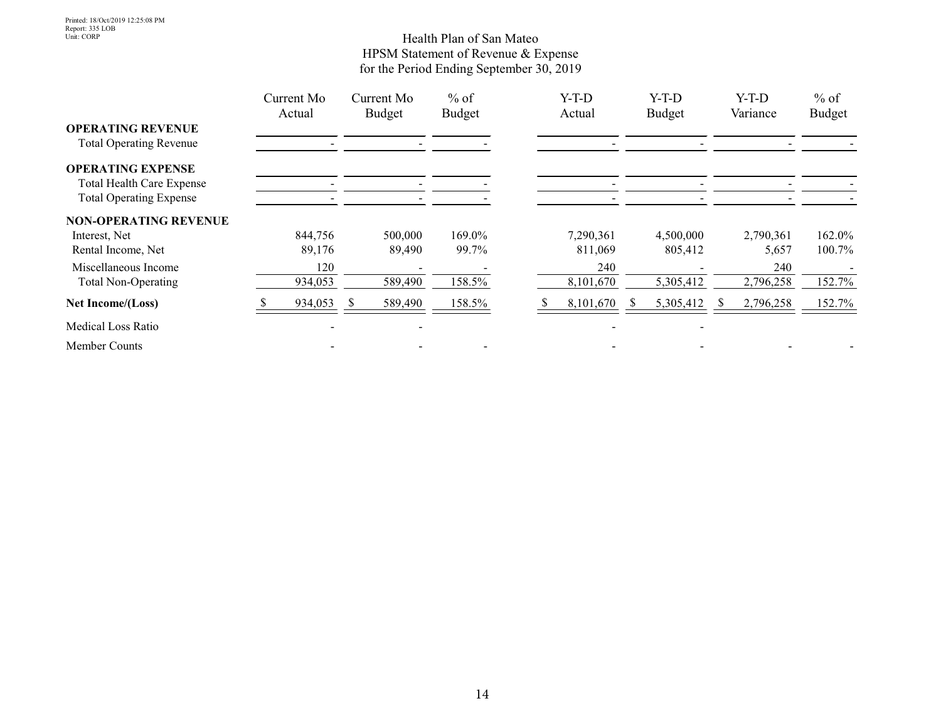#### Health Plan of San Mateo HPSM Statement of Revenue & Expense for the Period Ending September 30, 2019

|                                  | Current Mo<br>Actual |    | Current Mo<br><b>Budget</b> | $%$ of<br><b>Budget</b> |  | $Y-T-D$<br>Actual | $Y-T-D$<br><b>Budget</b> | $Y-T-D$<br>Variance | $%$ of<br><b>Budget</b> |
|----------------------------------|----------------------|----|-----------------------------|-------------------------|--|-------------------|--------------------------|---------------------|-------------------------|
| <b>OPERATING REVENUE</b>         |                      |    |                             |                         |  |                   |                          |                     |                         |
| <b>Total Operating Revenue</b>   |                      |    |                             |                         |  |                   |                          |                     |                         |
| <b>OPERATING EXPENSE</b>         |                      |    |                             |                         |  |                   |                          |                     |                         |
| <b>Total Health Care Expense</b> |                      |    |                             |                         |  |                   |                          |                     |                         |
| <b>Total Operating Expense</b>   |                      |    |                             |                         |  |                   |                          |                     |                         |
| <b>NON-OPERATING REVENUE</b>     |                      |    |                             |                         |  |                   |                          |                     |                         |
| Interest, Net                    | 844,756              |    | 500,000                     | 169.0%                  |  | 7,290,361         | 4,500,000                | 2,790,361           | 162.0%                  |
| Rental Income, Net               | 89,176               |    | 89,490                      | 99.7%                   |  | 811,069           | 805,412                  | 5,657               | 100.7%                  |
| Miscellaneous Income             | 120                  |    |                             |                         |  | 240               |                          | 240                 |                         |
| <b>Total Non-Operating</b>       | 934,053              |    | 589,490                     | 158.5%                  |  | 8,101,670         | 5,305,412                | 2,796,258           | 152.7%                  |
| Net Income/(Loss)                | 934,053              | S. | 589,490                     | 158.5%                  |  | 8,101,670         | 5,305,412                | 2,796,258           | 152.7%                  |
| Medical Loss Ratio               |                      |    |                             |                         |  |                   |                          |                     |                         |
| Member Counts                    |                      |    |                             |                         |  |                   |                          |                     |                         |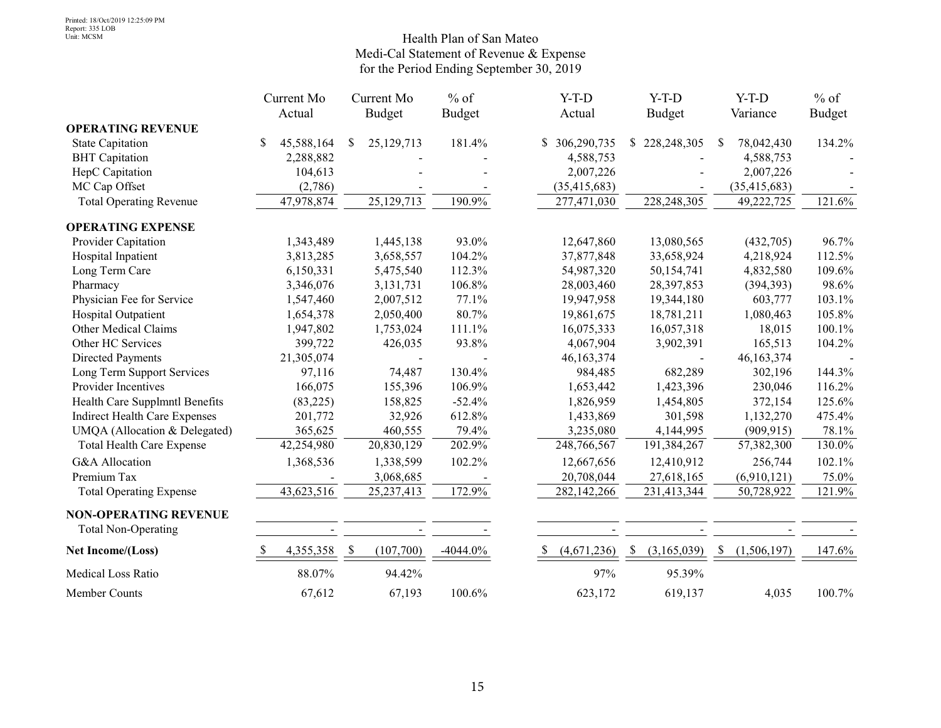#### Health Plan of San Mateo Medi-Cal Statement of Revenue & Expense for the Period Ending September 30, 2019

|                                                            |              | Current Mo |     | Current Mo     | $%$ of        | $Y-T-D$           |     | $Y-T-D$       |              | $Y-T-D$        | $%$ of        |
|------------------------------------------------------------|--------------|------------|-----|----------------|---------------|-------------------|-----|---------------|--------------|----------------|---------------|
|                                                            |              | Actual     |     | <b>Budget</b>  | <b>Budget</b> | Actual            |     | <b>Budget</b> |              | Variance       | <b>Budget</b> |
| <b>OPERATING REVENUE</b>                                   |              |            |     |                |               |                   |     |               |              |                |               |
| <b>State Capitation</b>                                    | S.           | 45,588,164 | \$  | 25,129,713     | 181.4%        | 306,290,735<br>S. | S   | 228, 248, 305 | <sup>S</sup> | 78,042,430     | 134.2%        |
| <b>BHT</b> Capitation                                      |              | 2,288,882  |     |                |               | 4,588,753         |     |               |              | 4,588,753      |               |
| HepC Capitation                                            |              | 104,613    |     |                |               | 2,007,226         |     |               |              | 2,007,226      |               |
| MC Cap Offset                                              |              | (2,786)    |     |                |               | (35, 415, 683)    |     |               |              | (35, 415, 683) |               |
| <b>Total Operating Revenue</b>                             |              | 47,978,874 |     | 25, 129, 713   | 190.9%        | 277,471,030       |     | 228,248,305   |              | 49,222,725     | 121.6%        |
| <b>OPERATING EXPENSE</b>                                   |              |            |     |                |               |                   |     |               |              |                |               |
| Provider Capitation                                        |              | 1,343,489  |     | 1,445,138      | 93.0%         | 12,647,860        |     | 13,080,565    |              | (432,705)      | 96.7%         |
| Hospital Inpatient                                         |              | 3,813,285  |     | 3,658,557      | 104.2%        | 37,877,848        |     | 33,658,924    |              | 4,218,924      | 112.5%        |
| Long Term Care                                             |              | 6,150,331  |     | 5,475,540      | 112.3%        | 54,987,320        |     | 50,154,741    |              | 4,832,580      | 109.6%        |
| Pharmacy                                                   |              | 3,346,076  |     | 3,131,731      | 106.8%        | 28,003,460        |     | 28,397,853    |              | (394, 393)     | 98.6%         |
| Physician Fee for Service                                  |              | 1,547,460  |     | 2,007,512      | 77.1%         | 19,947,958        |     | 19,344,180    |              | 603,777        | 103.1%        |
| Hospital Outpatient                                        |              | 1,654,378  |     | 2,050,400      | 80.7%         | 19,861,675        |     | 18,781,211    |              | 1,080,463      | 105.8%        |
| Other Medical Claims                                       |              | 1,947,802  |     | 1,753,024      | 111.1%        | 16,075,333        |     | 16,057,318    |              | 18,015         | 100.1%        |
| Other HC Services                                          |              | 399,722    |     | 426,035        | 93.8%         | 4,067,904         |     | 3,902,391     |              | 165,513        | 104.2%        |
| <b>Directed Payments</b>                                   |              | 21,305,074 |     |                |               | 46, 163, 374      |     |               |              | 46,163,374     |               |
| Long Term Support Services                                 |              | 97,116     |     | 74,487         | 130.4%        | 984,485           |     | 682,289       |              | 302,196        | 144.3%        |
| Provider Incentives                                        |              | 166,075    |     | 155,396        | 106.9%        | 1,653,442         |     | 1,423,396     |              | 230,046        | 116.2%        |
| Health Care Supplmntl Benefits                             |              | (83, 225)  |     | 158,825        | $-52.4%$      | 1,826,959         |     | 1,454,805     |              | 372,154        | 125.6%        |
| <b>Indirect Health Care Expenses</b>                       |              | 201,772    |     | 32,926         | 612.8%        | 1,433,869         |     | 301,598       |              | 1,132,270      | 475.4%        |
| UMQA (Allocation & Delegated)                              |              | 365,625    |     | 460,555        | 79.4%         | 3,235,080         |     | 4,144,995     |              | (909, 915)     | 78.1%         |
| <b>Total Health Care Expense</b>                           |              | 42,254,980 |     | 20,830,129     | 202.9%        | 248,766,567       |     | 191,384,267   |              | 57,382,300     | 130.0%        |
| G&A Allocation                                             |              | 1,368,536  |     | 1,338,599      | 102.2%        | 12,667,656        |     | 12,410,912    |              | 256,744        | 102.1%        |
| Premium Tax                                                |              |            |     | 3,068,685      |               | 20,708,044        |     | 27,618,165    |              | (6,910,121)    | 75.0%         |
| <b>Total Operating Expense</b>                             |              | 43,623,516 |     | 25, 237, 413   | 172.9%        | 282,142,266       |     | 231,413,344   |              | 50,728,922     | 121.9%        |
| <b>NON-OPERATING REVENUE</b><br><b>Total Non-Operating</b> |              | $\sim$     |     | $\blacksquare$ |               |                   |     |               |              |                |               |
| Net Income/(Loss)                                          | <sup>S</sup> | 4,355,358  | - S | (107,700)      | $-4044.0\%$   | (4,671,236)<br>S. | - S | (3,165,039)   | -S           | (1,506,197)    | 147.6%        |
| Medical Loss Ratio                                         |              | 88.07%     |     | 94.42%         |               | 97%               |     | 95.39%        |              |                |               |
| Member Counts                                              |              | 67,612     |     | 67,193         | 100.6%        | 623,172           |     | 619,137       |              | 4,035          | 100.7%        |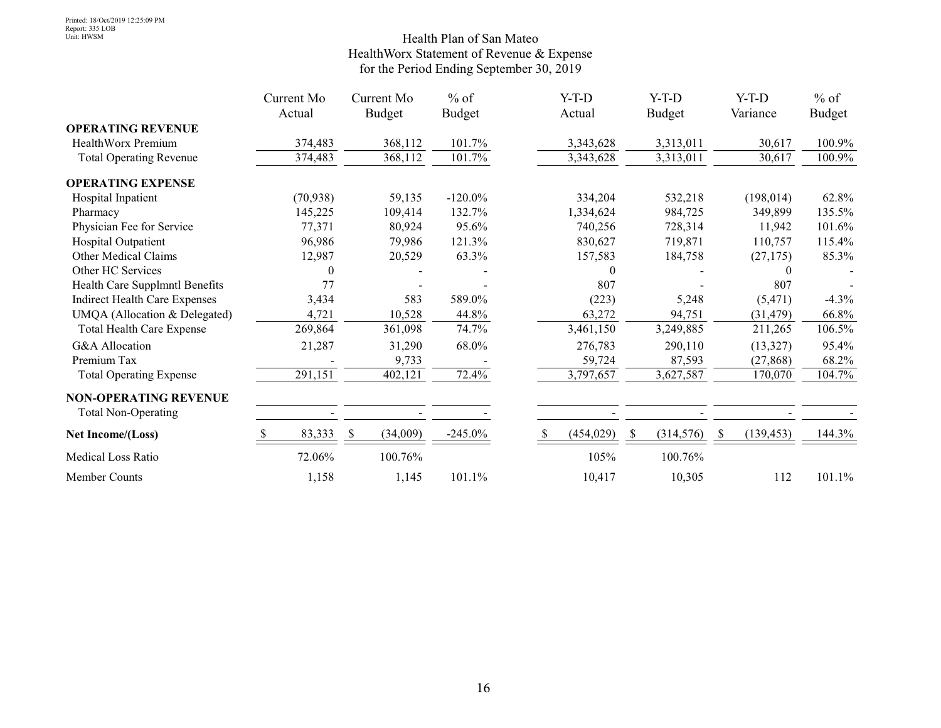#### Health Plan of San Mateo HealthWorx Statement of Revenue & Expense for the Period Ending September 30, 2019

|                                      | Current Mo | Current Mo     | $%$ of        | $Y-T-D$    | $Y-T-D$       | $Y-T-D$    | $%$ of        |
|--------------------------------------|------------|----------------|---------------|------------|---------------|------------|---------------|
|                                      | Actual     | <b>Budget</b>  | <b>Budget</b> | Actual     | <b>Budget</b> | Variance   | <b>Budget</b> |
| <b>OPERATING REVENUE</b>             |            |                |               |            |               |            |               |
| HealthWorx Premium                   | 374,483    | 368,112        | 101.7%        | 3,343,628  | 3,313,011     | 30,617     | 100.9%        |
| <b>Total Operating Revenue</b>       | 374,483    | 368,112        | 101.7%        | 3,343,628  | 3,313,011     | 30,617     | 100.9%        |
| <b>OPERATING EXPENSE</b>             |            |                |               |            |               |            |               |
| Hospital Inpatient                   | (70, 938)  | 59,135         | $-120.0\%$    | 334,204    | 532,218       | (198, 014) | 62.8%         |
| Pharmacy                             | 145,225    | 109,414        | 132.7%        | 1,334,624  | 984,725       | 349,899    | 135.5%        |
| Physician Fee for Service            | 77,371     | 80,924         | 95.6%         | 740,256    | 728,314       | 11,942     | 101.6%        |
| Hospital Outpatient                  | 96,986     | 79,986         | 121.3%        | 830,627    | 719,871       | 110,757    | 115.4%        |
| Other Medical Claims                 | 12,987     | 20,529         | 63.3%         | 157,583    | 184,758       | (27, 175)  | 85.3%         |
| Other HC Services                    | $\theta$   |                |               | $\Omega$   |               | 0          |               |
| Health Care Supplmntl Benefits       | 77         |                |               | 807        |               | 807        |               |
| <b>Indirect Health Care Expenses</b> | 3,434      | 583            | 589.0%        | (223)      | 5,248         | (5, 471)   | $-4.3\%$      |
| UMQA (Allocation & Delegated)        | 4,721      | 10,528         | 44.8%         | 63,272     | 94,751        | (31, 479)  | 66.8%         |
| <b>Total Health Care Expense</b>     | 269,864    | 361,098        | 74.7%         | 3,461,150  | 3,249,885     | 211,265    | 106.5%        |
| G&A Allocation                       | 21,287     | 31,290         | 68.0%         | 276,783    | 290,110       | (13,327)   | 95.4%         |
| Premium Tax                          |            | 9,733          |               | 59,724     | 87,593        | (27, 868)  | 68.2%         |
| <b>Total Operating Expense</b>       | 291,151    | 402,121        | 72.4%         | 3,797,657  | 3,627,587     | 170,070    | 104.7%        |
| <b>NON-OPERATING REVENUE</b>         |            |                |               |            |               |            |               |
| <b>Total Non-Operating</b>           |            |                |               |            |               |            |               |
| Net Income/(Loss)                    | 83,333     | (34,009)<br>-S | $-245.0\%$    | (454, 029) | (314, 576)    | (139, 453) | 144.3%        |
| <b>Medical Loss Ratio</b>            | 72.06%     | 100.76%        |               | 105%       | 100.76%       |            |               |
| Member Counts                        | 1,158      | 1,145          | 101.1%        | 10,417     | 10,305        | 112        | 101.1%        |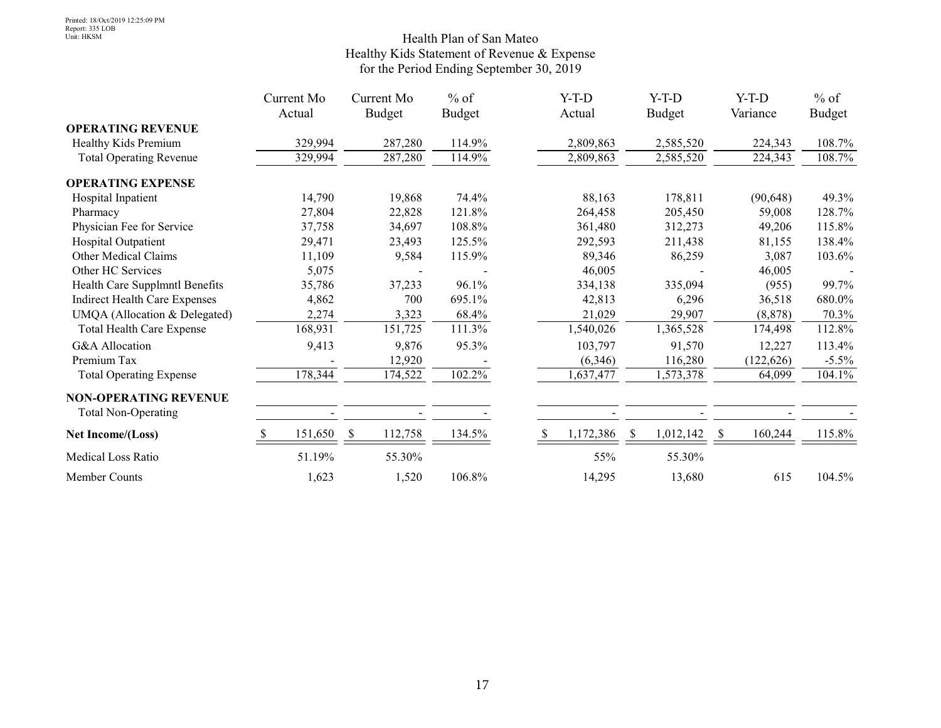#### Health Plan of San Mateo Healthy Kids Statement of Revenue & Expense for the Period Ending September 30, 2019

|                                      | Current Mo | Current Mo    | $%$ of        | $Y-T-D$   | $Y-T-D$       |           | $Y-T-D$    | $%$ of        |
|--------------------------------------|------------|---------------|---------------|-----------|---------------|-----------|------------|---------------|
|                                      | Actual     | <b>Budget</b> | <b>Budget</b> | Actual    | <b>Budget</b> |           | Variance   | <b>Budget</b> |
| <b>OPERATING REVENUE</b>             |            |               |               |           |               |           |            |               |
| Healthy Kids Premium                 | 329,994    | 287,280       | 114.9%        | 2,809,863 |               | 2,585,520 | 224,343    | 108.7%        |
| <b>Total Operating Revenue</b>       | 329,994    | 287,280       | 114.9%        | 2,809,863 |               | 2,585,520 | 224,343    | 108.7%        |
| <b>OPERATING EXPENSE</b>             |            |               |               |           |               |           |            |               |
| Hospital Inpatient                   | 14,790     | 19,868        | 74.4%         | 88,163    |               | 178,811   | (90, 648)  | 49.3%         |
| Pharmacy                             | 27,804     | 22,828        | 121.8%        | 264,458   |               | 205,450   | 59,008     | 128.7%        |
| Physician Fee for Service            | 37,758     | 34,697        | 108.8%        | 361,480   |               | 312,273   | 49,206     | 115.8%        |
| Hospital Outpatient                  | 29,471     | 23,493        | 125.5%        | 292,593   |               | 211,438   | 81,155     | 138.4%        |
| Other Medical Claims                 | 11,109     | 9,584         | 115.9%        | 89,346    |               | 86,259    | 3,087      | 103.6%        |
| Other HC Services                    | 5,075      |               |               | 46,005    |               |           | 46,005     |               |
| Health Care Supplmntl Benefits       | 35,786     | 37,233        | $96.1\%$      | 334,138   |               | 335,094   | (955)      | 99.7%         |
| <b>Indirect Health Care Expenses</b> | 4,862      | 700           | 695.1%        | 42,813    |               | 6,296     | 36,518     | 680.0%        |
| UMQA (Allocation & Delegated)        | 2,274      | 3,323         | 68.4%         | 21,029    |               | 29,907    | (8, 878)   | 70.3%         |
| <b>Total Health Care Expense</b>     | 168,931    | 151,725       | 111.3%        | 1,540,026 |               | 1,365,528 | 174,498    | 112.8%        |
| G&A Allocation                       | 9,413      | 9,876         | 95.3%         | 103,797   |               | 91,570    | 12,227     | 113.4%        |
| Premium Tax                          |            | 12,920        |               | (6,346)   |               | 116,280   | (122, 626) | $-5.5\%$      |
| <b>Total Operating Expense</b>       | 178,344    | 174,522       | 102.2%        | 1,637,477 |               | 1,573,378 | 64,099     | 104.1%        |
| <b>NON-OPERATING REVENUE</b>         |            |               |               |           |               |           |            |               |
| <b>Total Non-Operating</b>           |            |               |               |           |               |           |            |               |
| Net Income/(Loss)                    | 151,650    | 112,758<br>-S | 134.5%        | 1,172,386 | S             | 1,012,142 | 160,244    | 115.8%        |
| <b>Medical Loss Ratio</b>            | 51.19%     | 55.30%        |               | 55%       |               | 55.30%    |            |               |
| Member Counts                        | 1,623      | 1,520         | 106.8%        | 14,295    |               | 13,680    | 615        | 104.5%        |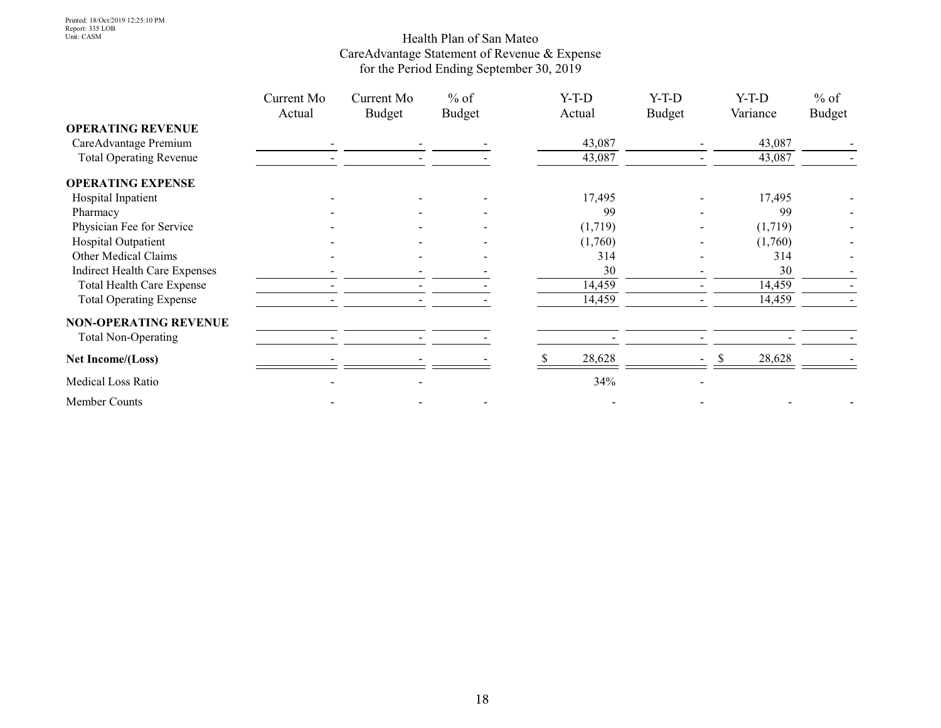#### Health Plan of San Mateo CareAdvantage Statement of Revenue & Expense for the Period Ending September 30, 2019

|                                      | Current Mo<br>Actual | Current Mo<br>Budget | $%$ of<br><b>Budget</b> | $Y-T-D$<br>Actual | $Y-T-D$<br><b>Budget</b> | $Y-T-D$<br>Variance | $%$ of<br><b>Budget</b> |
|--------------------------------------|----------------------|----------------------|-------------------------|-------------------|--------------------------|---------------------|-------------------------|
| <b>OPERATING REVENUE</b>             |                      |                      |                         |                   |                          |                     |                         |
| CareAdvantage Premium                |                      |                      |                         | 43,087            |                          | 43,087              |                         |
| <b>Total Operating Revenue</b>       |                      |                      |                         | 43,087            |                          | 43,087              |                         |
| <b>OPERATING EXPENSE</b>             |                      |                      |                         |                   |                          |                     |                         |
| Hospital Inpatient                   |                      |                      |                         | 17,495            |                          | 17,495              |                         |
| Pharmacy                             |                      |                      |                         | 99                |                          | 99                  |                         |
| Physician Fee for Service            |                      |                      |                         | (1,719)           |                          | (1,719)             |                         |
| Hospital Outpatient                  |                      |                      |                         | (1,760)           |                          | (1,760)             |                         |
| Other Medical Claims                 |                      |                      |                         | 314               |                          | 314                 |                         |
| <b>Indirect Health Care Expenses</b> |                      |                      |                         | 30                |                          | 30                  |                         |
| <b>Total Health Care Expense</b>     |                      |                      |                         | 14,459            |                          | 14,459              |                         |
| <b>Total Operating Expense</b>       |                      |                      |                         | 14,459            |                          | 14,459              |                         |
| <b>NON-OPERATING REVENUE</b>         |                      |                      |                         |                   |                          |                     |                         |
| <b>Total Non-Operating</b>           |                      |                      |                         |                   |                          |                     |                         |
| Net Income/(Loss)                    |                      |                      |                         | 28,628            |                          | 28,628              |                         |
| Medical Loss Ratio                   |                      |                      |                         | 34%               |                          |                     |                         |
| Member Counts                        |                      |                      |                         |                   |                          |                     |                         |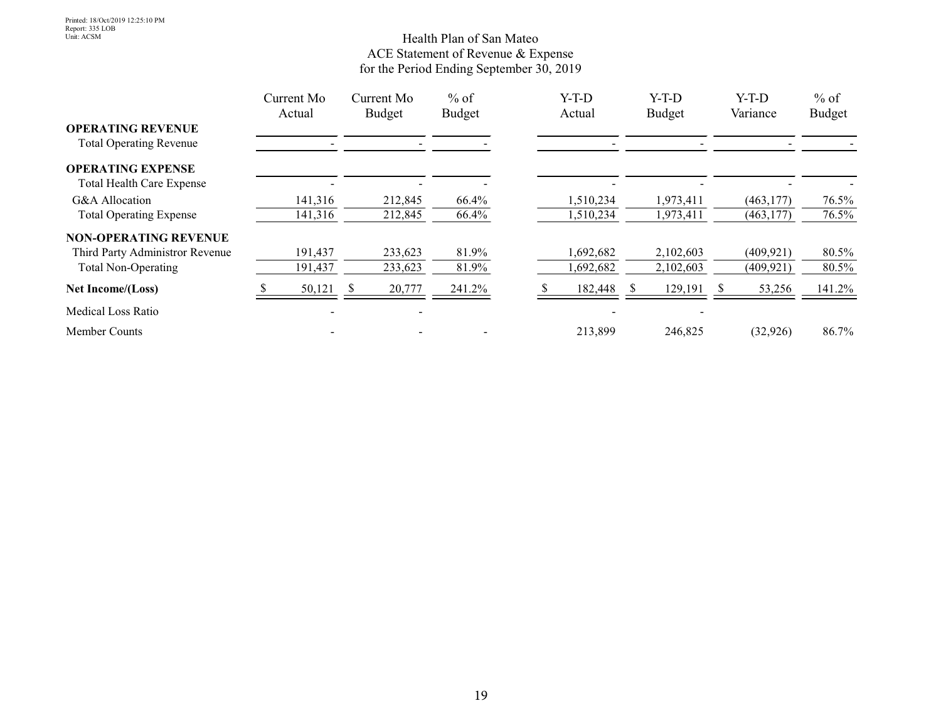#### Health Plan of San Mateo ACE Statement of Revenue & Expense for the Period Ending September 30, 2019

|                                                            | Current Mo<br>Actual     | Current Mo<br><b>Budget</b> | $%$ of<br><b>Budget</b> | $Y-T-D$<br>Actual | $Y-T-D$<br><b>Budget</b> |    | $Y-T-D$<br>Variance | $%$ of<br><b>Budget</b> |
|------------------------------------------------------------|--------------------------|-----------------------------|-------------------------|-------------------|--------------------------|----|---------------------|-------------------------|
| <b>OPERATING REVENUE</b><br><b>Total Operating Revenue</b> |                          |                             |                         |                   |                          |    |                     |                         |
| <b>OPERATING EXPENSE</b>                                   |                          |                             |                         |                   |                          |    |                     |                         |
| <b>Total Health Care Expense</b>                           |                          |                             |                         |                   |                          |    |                     |                         |
| G&A Allocation                                             | 141,316                  | 212,845                     | 66.4%                   | 1,510,234         | 1,973,411                |    | (463, 177)          | 76.5%                   |
| <b>Total Operating Expense</b>                             | 141,316                  | 212,845                     | 66.4%                   | 1,510,234         | 1,973,411                |    | (463, 177)          | 76.5%                   |
| <b>NON-OPERATING REVENUE</b>                               |                          |                             |                         |                   |                          |    |                     |                         |
| Third Party Administror Revenue                            | 191,437                  | 233,623                     | 81.9%                   | 1,692,682         | 2,102,603                |    | (409, 921)          | 80.5%                   |
| <b>Total Non-Operating</b>                                 | 191,437                  | 233,623                     | 81.9%                   | 1,692,682         | 2,102,603                |    | (409, 921)          | 80.5%                   |
| Net Income/(Loss)                                          | 50,121                   | 20,777<br><sup>\$</sup>     | 241.2%                  | 182,448           | 129,191                  | S. | 53,256              | 141.2%                  |
| Medical Loss Ratio                                         | $\overline{\phantom{a}}$ |                             |                         |                   |                          |    |                     |                         |
| <b>Member Counts</b>                                       |                          |                             |                         | 213,899           | 246,825                  |    | (32,926)            | 86.7%                   |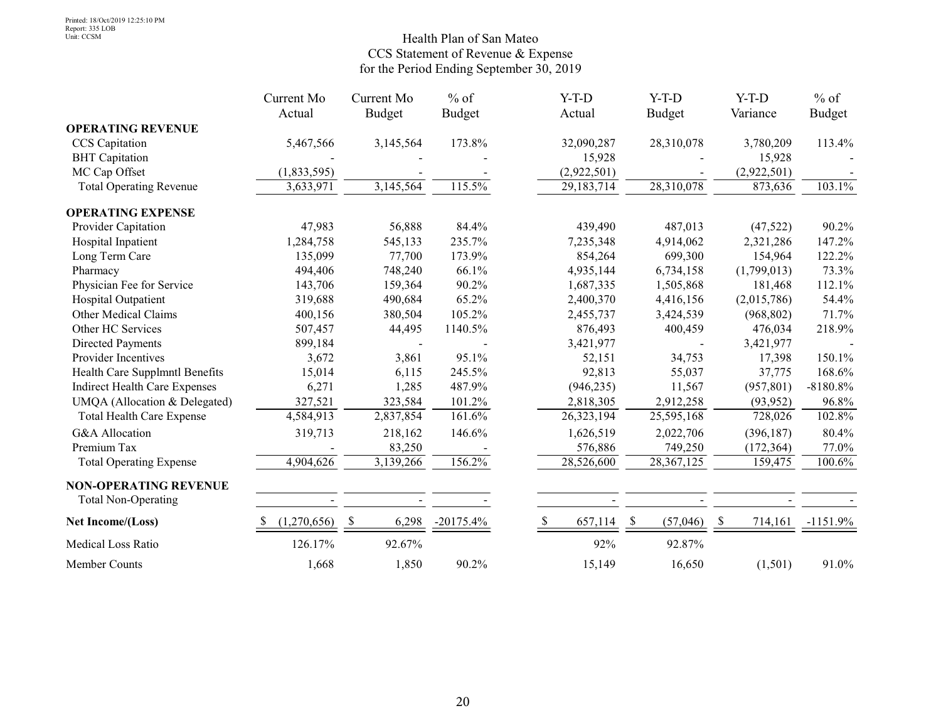#### Health Plan of San Mateo CCS Statement of Revenue & Expense for the Period Ending September 30, 2019

|                                      | Current Mo  | Current Mo    | $%$ of        | $Y-T-D$                  | $Y-T-D$        | $Y-T-D$       | $%$ of        |
|--------------------------------------|-------------|---------------|---------------|--------------------------|----------------|---------------|---------------|
|                                      | Actual      | <b>Budget</b> | <b>Budget</b> | Actual                   | <b>Budget</b>  | Variance      | <b>Budget</b> |
| <b>OPERATING REVENUE</b>             |             |               |               |                          |                |               |               |
| CCS Capitation                       | 5,467,566   | 3,145,564     | 173.8%        | 32,090,287               | 28,310,078     | 3,780,209     | 113.4%        |
| <b>BHT</b> Capitation                |             |               |               | 15,928                   |                | 15,928        |               |
| MC Cap Offset                        | (1,833,595) |               |               | (2,922,501)              |                | (2,922,501)   |               |
| <b>Total Operating Revenue</b>       | 3,633,971   | 3,145,564     | 115.5%        | 29,183,714               | 28,310,078     | 873,636       | 103.1%        |
| <b>OPERATING EXPENSE</b>             |             |               |               |                          |                |               |               |
| Provider Capitation                  | 47,983      | 56,888        | 84.4%         | 439,490                  | 487,013        | (47,522)      | 90.2%         |
| Hospital Inpatient                   | 1,284,758   | 545,133       | 235.7%        | 7,235,348                | 4,914,062      | 2,321,286     | 147.2%        |
| Long Term Care                       | 135,099     | 77,700        | 173.9%        | 854,264                  | 699,300        | 154,964       | 122.2%        |
| Pharmacy                             | 494,406     | 748,240       | 66.1%         | 4,935,144                | 6,734,158      | (1,799,013)   | 73.3%         |
| Physician Fee for Service            | 143,706     | 159,364       | 90.2%         | 1,687,335                | 1,505,868      | 181,468       | 112.1%        |
| Hospital Outpatient                  | 319,688     | 490,684       | 65.2%         | 2,400,370                | 4,416,156      | (2,015,786)   | 54.4%         |
| Other Medical Claims                 | 400,156     | 380,504       | 105.2%        | 2,455,737                | 3,424,539      | (968, 802)    | 71.7%         |
| Other HC Services                    | 507,457     | 44,495        | 1140.5%       | 876,493                  | 400,459        | 476,034       | 218.9%        |
| Directed Payments                    | 899,184     |               |               | 3,421,977                |                | 3,421,977     |               |
| Provider Incentives                  | 3,672       | 3,861         | 95.1%         | 52,151                   | 34,753         | 17,398        | 150.1%        |
| Health Care Supplmntl Benefits       | 15,014      | 6,115         | 245.5%        | 92,813                   | 55,037         | 37,775        | 168.6%        |
| <b>Indirect Health Care Expenses</b> | 6,271       | 1,285         | 487.9%        | (946, 235)               | 11,567         | (957, 801)    | $-8180.8%$    |
| UMQA (Allocation & Delegated)        | 327,521     | 323,584       | 101.2%        | 2,818,305                | 2,912,258      | (93, 952)     | 96.8%         |
| <b>Total Health Care Expense</b>     | 4,584,913   | 2,837,854     | 161.6%        | 26,323,194               | 25,595,168     | 728,026       | 102.8%        |
| G&A Allocation                       | 319,713     | 218,162       | 146.6%        | 1,626,519                | 2,022,706      | (396, 187)    | 80.4%         |
| Premium Tax                          |             | 83,250        |               | 576,886                  | 749,250        | (172, 364)    | 77.0%         |
| <b>Total Operating Expense</b>       | 4,904,626   | 3,139,266     | 156.2%        | 28,526,600               | 28,367,125     | 159,475       | 100.6%        |
| <b>NON-OPERATING REVENUE</b>         |             |               |               |                          |                |               |               |
| <b>Total Non-Operating</b>           |             |               |               |                          |                |               |               |
| Net Income/(Loss)                    | (1,270,656) | \$<br>6,298   | $-20175.4%$   | <sup>\$</sup><br>657,114 | -S<br>(57,046) | -S<br>714,161 | $-1151.9%$    |
| Medical Loss Ratio                   | 126.17%     | 92.67%        |               | 92%                      | 92.87%         |               |               |
| Member Counts                        | 1,668       | 1,850         | 90.2%         | 15,149                   | 16,650         | (1,501)       | 91.0%         |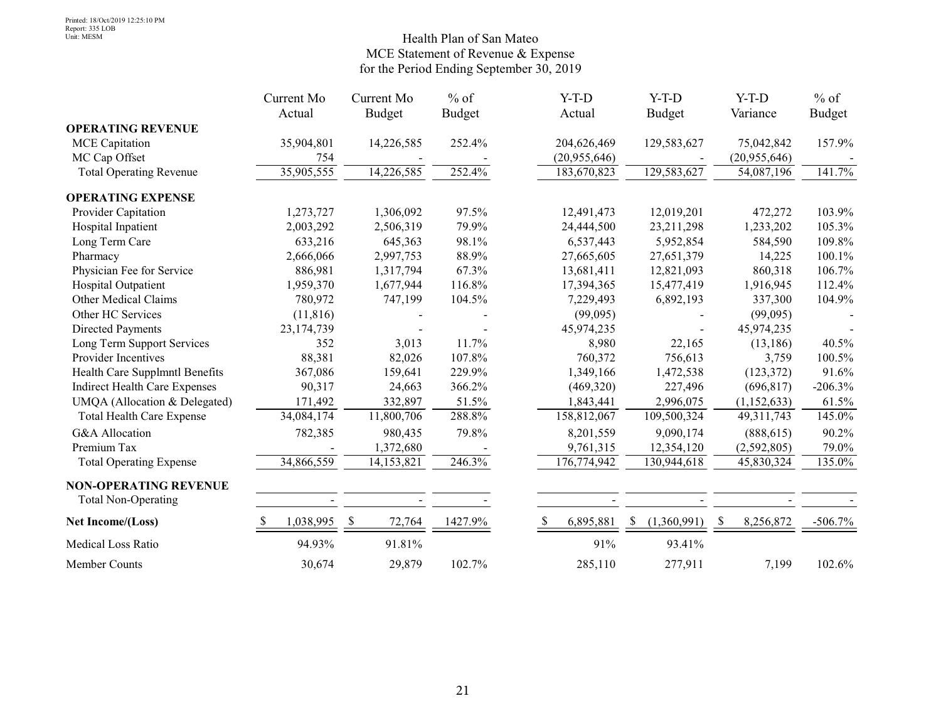#### Health Plan of San Mateo MCE Statement of Revenue & Expense for the Period Ending September 30, 2019

|                                      | Current Mo | Current Mo                          | $%$ of        | $Y-T-D$                    | $Y-T-D$                      | $Y-T-D$       | $%$ of        |
|--------------------------------------|------------|-------------------------------------|---------------|----------------------------|------------------------------|---------------|---------------|
|                                      | Actual     | <b>Budget</b>                       | <b>Budget</b> | Actual                     | <b>Budget</b>                | Variance      | <b>Budget</b> |
| <b>OPERATING REVENUE</b>             |            |                                     |               |                            |                              |               |               |
| <b>MCE</b> Capitation                | 35,904,801 | 14,226,585                          | 252.4%        | 204,626,469                | 129,583,627                  | 75,042,842    | 157.9%        |
| MC Cap Offset                        | 754        |                                     |               | (20,955,646)               |                              | (20,955,646)  |               |
| <b>Total Operating Revenue</b>       | 35,905,555 | 14,226,585                          | 252.4%        | 183,670,823                | 129,583,627                  | 54,087,196    | 141.7%        |
| <b>OPERATING EXPENSE</b>             |            |                                     |               |                            |                              |               |               |
| Provider Capitation                  | 1,273,727  | 1,306,092                           | 97.5%         | 12,491,473                 | 12,019,201                   | 472,272       | 103.9%        |
| Hospital Inpatient                   | 2,003,292  | 2,506,319                           | 79.9%         | 24,444,500                 | 23,211,298                   | 1,233,202     | 105.3%        |
| Long Term Care                       | 633,216    | 645,363                             | 98.1%         | 6,537,443                  | 5,952,854                    | 584,590       | 109.8%        |
| Pharmacy                             | 2,666,066  | 2,997,753                           | 88.9%         | 27,665,605                 | 27,651,379                   | 14,225        | 100.1%        |
| Physician Fee for Service            | 886,981    | 1,317,794                           | 67.3%         | 13,681,411                 | 12,821,093                   | 860,318       | 106.7%        |
| Hospital Outpatient                  | 1,959,370  | 1,677,944                           | 116.8%        | 17,394,365                 | 15,477,419                   | 1,916,945     | 112.4%        |
| Other Medical Claims                 | 780,972    | 747,199                             | 104.5%        | 7,229,493                  | 6,892,193                    | 337,300       | 104.9%        |
| Other HC Services                    | (11, 816)  |                                     |               | (99,095)                   |                              | (99,095)      |               |
| Directed Payments                    | 23,174,739 |                                     |               | 45,974,235                 |                              | 45,974,235    |               |
| Long Term Support Services           | 352        | 3,013                               | 11.7%         | 8,980                      | 22,165                       | (13, 186)     | 40.5%         |
| Provider Incentives                  | 88,381     | 82,026                              | 107.8%        | 760,372                    | 756,613                      | 3,759         | 100.5%        |
| Health Care Supplmntl Benefits       | 367,086    | 159,641                             | 229.9%        | 1,349,166                  | 1,472,538                    | (123, 372)    | 91.6%         |
| <b>Indirect Health Care Expenses</b> | 90,317     | 24,663                              | 366.2%        | (469,320)                  | 227,496                      | (696, 817)    | $-206.3%$     |
| UMQA (Allocation & Delegated)        | 171,492    | 332,897                             | 51.5%         | 1,843,441                  | 2,996,075                    | (1, 152, 633) | 61.5%         |
| <b>Total Health Care Expense</b>     | 34,084,174 | 11,800,706                          | 288.8%        | 158,812,067                | 109,500,324                  | 49, 311, 743  | 145.0%        |
| G&A Allocation                       | 782,385    | 980,435                             | 79.8%         | 8,201,559                  | 9,090,174                    | (888, 615)    | 90.2%         |
| Premium Tax                          |            | 1,372,680                           |               | 9,761,315                  | 12,354,120                   | (2,592,805)   | 79.0%         |
| <b>Total Operating Expense</b>       | 34,866,559 | 14,153,821                          | 246.3%        | 176,774,942                | 130,944,618                  | 45,830,324    | 135.0%        |
| <b>NON-OPERATING REVENUE</b>         |            |                                     |               |                            |                              |               |               |
| <b>Total Non-Operating</b>           |            |                                     |               |                            |                              |               |               |
| Net Income/(Loss)                    | 1,038,995  | $\boldsymbol{\mathsf{S}}$<br>72,764 | 1427.9%       | <sup>\$</sup><br>6,895,881 | (1,360,991)<br><sup>\$</sup> | 8,256,872     | $-506.7\%$    |
| Medical Loss Ratio                   | 94.93%     | 91.81%                              |               |                            | 91%<br>93.41%                |               |               |
| Member Counts                        | 30,674     | 29,879                              | 102.7%        | 285,110                    | 277,911                      | 7,199         | 102.6%        |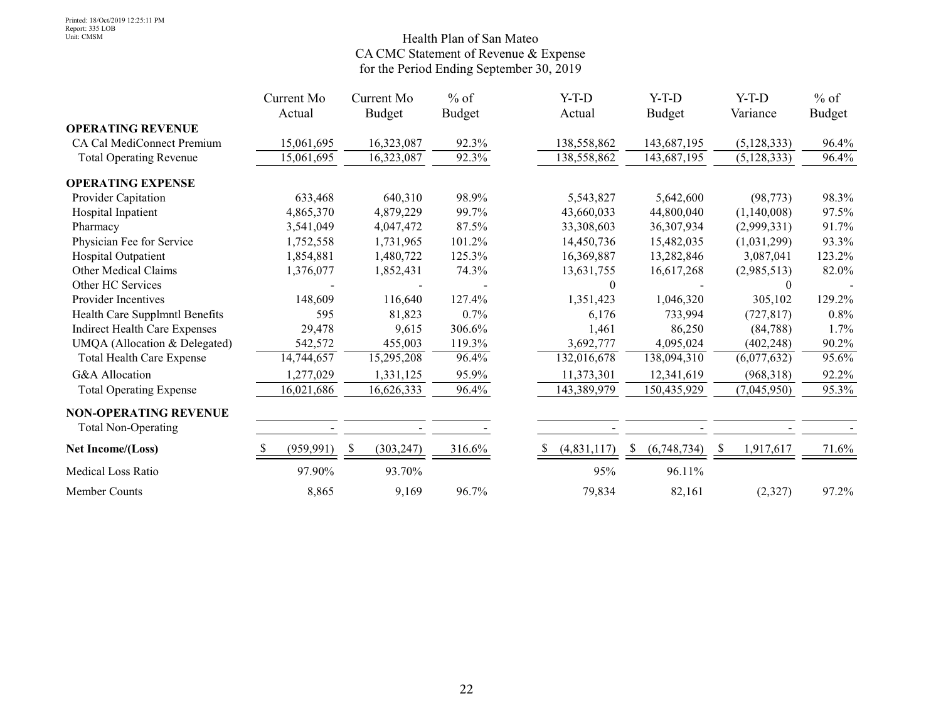#### Health Plan of San Mateo CA CMC Statement of Revenue & Expense for the Period Ending September 30, 2019

|                                      | Current Mo | Current Mo      | $%$ of        |    | $Y-T-D$     | $Y-T-D$          | $Y-T-D$       | $%$ of        |
|--------------------------------------|------------|-----------------|---------------|----|-------------|------------------|---------------|---------------|
|                                      | Actual     | Budget          | <b>Budget</b> |    | Actual      | <b>Budget</b>    | Variance      | <b>Budget</b> |
| <b>OPERATING REVENUE</b>             |            |                 |               |    |             |                  |               |               |
| CA Cal MediConnect Premium           | 15,061,695 | 16,323,087      | 92.3%         |    | 138,558,862 | 143,687,195      | (5, 128, 333) | 96.4%         |
| <b>Total Operating Revenue</b>       | 15,061,695 | 16,323,087      | 92.3%         |    | 138,558,862 | 143,687,195      | (5, 128, 333) | 96.4%         |
| <b>OPERATING EXPENSE</b>             |            |                 |               |    |             |                  |               |               |
| Provider Capitation                  | 633,468    | 640,310         | 98.9%         |    | 5,543,827   | 5,642,600        | (98, 773)     | 98.3%         |
| Hospital Inpatient                   | 4,865,370  | 4,879,229       | 99.7%         |    | 43,660,033  | 44,800,040       | (1,140,008)   | 97.5%         |
| Pharmacy                             | 3,541,049  | 4,047,472       | 87.5%         |    | 33,308,603  | 36,307,934       | (2,999,331)   | 91.7%         |
| Physician Fee for Service            | 1,752,558  | 1,731,965       | 101.2%        |    | 14,450,736  | 15,482,035       | (1,031,299)   | 93.3%         |
| Hospital Outpatient                  | 1,854,881  | 1,480,722       | 125.3%        |    | 16,369,887  | 13,282,846       | 3,087,041     | 123.2%        |
| Other Medical Claims                 | 1,376,077  | 1,852,431       | 74.3%         |    | 13,631,755  | 16,617,268       | (2,985,513)   | 82.0%         |
| Other HC Services                    |            |                 |               |    | $\theta$    |                  | $\theta$      |               |
| <b>Provider Incentives</b>           | 148,609    | 116,640         | 127.4%        |    | 1,351,423   | 1,046,320        | 305,102       | 129.2%        |
| Health Care Supplmntl Benefits       | 595        | 81,823          | 0.7%          |    | 6,176       | 733,994          | (727, 817)    | 0.8%          |
| <b>Indirect Health Care Expenses</b> | 29,478     | 9,615           | 306.6%        |    | 1,461       | 86,250           | (84, 788)     | 1.7%          |
| UMQA (Allocation & Delegated)        | 542,572    | 455,003         | 119.3%        |    | 3,692,777   | 4,095,024        | (402, 248)    | 90.2%         |
| <b>Total Health Care Expense</b>     | 14,744,657 | 15,295,208      | 96.4%         |    | 132,016,678 | 138,094,310      | (6,077,632)   | 95.6%         |
| <b>G&amp;A</b> Allocation            | 1,277,029  | 1,331,125       | 95.9%         |    | 11,373,301  | 12,341,619       | (968,318)     | 92.2%         |
| <b>Total Operating Expense</b>       | 16,021,686 | 16,626,333      | 96.4%         |    | 143,389,979 | 150,435,929      | (7,045,950)   | 95.3%         |
| <b>NON-OPERATING REVENUE</b>         |            |                 |               |    |             |                  |               |               |
| <b>Total Non-Operating</b>           |            |                 |               |    |             |                  |               |               |
| Net Income/(Loss)                    | (959, 991) | S<br>(303, 247) | 316.6%        | S. | (4,831,117) | (6,748,734)<br>S | 1,917,617     | 71.6%         |
| <b>Medical Loss Ratio</b>            | 97.90%     | 93.70%          |               |    | 95%         | 96.11%           |               |               |
| Member Counts                        | 8,865      | 9,169           | 96.7%         |    | 79,834      | 82,161           | (2,327)       | 97.2%         |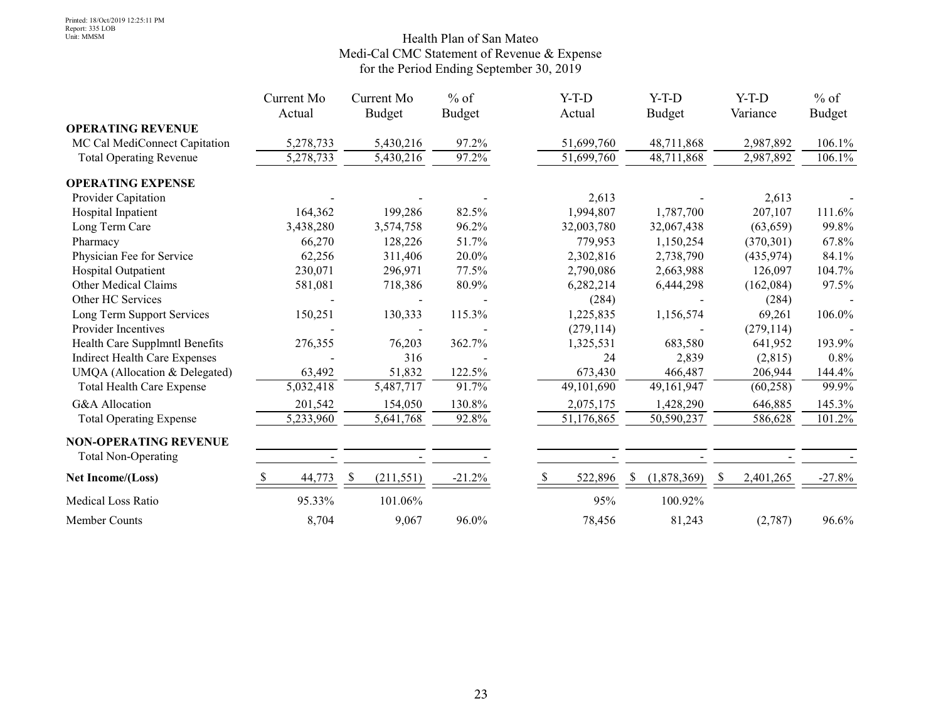#### Health Plan of San Mateo Medi-Cal CMC Statement of Revenue & Expense for the Period Ending September 30, 2019

|                                      | Current Mo | Current Mo                  | $%$ of        | $Y-T-D$    | $Y-T-D$           | $Y-T-D$    | $%$ of        |
|--------------------------------------|------------|-----------------------------|---------------|------------|-------------------|------------|---------------|
|                                      | Actual     | <b>Budget</b>               | <b>Budget</b> | Actual     | <b>Budget</b>     | Variance   | <b>Budget</b> |
| <b>OPERATING REVENUE</b>             |            |                             |               |            |                   |            |               |
| MC Cal MediConnect Capitation        | 5,278,733  | 5,430,216                   | 97.2%         | 51,699,760 | 48,711,868        | 2,987,892  | 106.1%        |
| <b>Total Operating Revenue</b>       | 5,278,733  | 5,430,216                   | 97.2%         | 51,699,760 | 48,711,868        | 2,987,892  | 106.1%        |
| <b>OPERATING EXPENSE</b>             |            |                             |               |            |                   |            |               |
| <b>Provider Capitation</b>           |            |                             |               | 2,613      |                   | 2,613      |               |
| Hospital Inpatient                   | 164,362    | 199,286                     | 82.5%         | 1,994,807  | 1,787,700         | 207,107    | 111.6%        |
| Long Term Care                       | 3,438,280  | 3,574,758                   | 96.2%         | 32,003,780 | 32,067,438        | (63, 659)  | 99.8%         |
| Pharmacy                             | 66,270     | 128,226                     | 51.7%         | 779,953    | 1,150,254         | (370, 301) | 67.8%         |
| Physician Fee for Service            | 62,256     | 311,406                     | 20.0%         | 2,302,816  | 2,738,790         | (435, 974) | 84.1%         |
| Hospital Outpatient                  | 230,071    | 296,971                     | 77.5%         | 2,790,086  | 2,663,988         | 126,097    | 104.7%        |
| Other Medical Claims                 | 581,081    | 718,386                     | 80.9%         | 6,282,214  | 6,444,298         | (162,084)  | 97.5%         |
| Other HC Services                    |            |                             |               | (284)      |                   | (284)      |               |
| Long Term Support Services           | 150,251    | 130,333                     | 115.3%        | 1,225,835  | 1,156,574         | 69,261     | 106.0%        |
| Provider Incentives                  |            |                             |               | (279, 114) |                   | (279, 114) |               |
| Health Care Supplmntl Benefits       | 276,355    | 76,203                      | 362.7%        | 1,325,531  | 683,580           | 641,952    | 193.9%        |
| <b>Indirect Health Care Expenses</b> |            | 316                         |               | 24         | 2,839             | (2,815)    | 0.8%          |
| UMQA (Allocation & Delegated)        | 63,492     | 51,832                      | 122.5%        | 673,430    | 466,487           | 206,944    | 144.4%        |
| Total Health Care Expense            | 5,032,418  | 5,487,717                   | 91.7%         | 49,101,690 | 49,161,947        | (60, 258)  | 99.9%         |
| <b>G&amp;A</b> Allocation            | 201,542    | 154,050                     | 130.8%        | 2,075,175  | 1,428,290         | 646,885    | 145.3%        |
| <b>Total Operating Expense</b>       | 5,233,960  | 5,641,768                   | 92.8%         | 51,176,865 | 50,590,237        | 586,628    | 101.2%        |
| <b>NON-OPERATING REVENUE</b>         |            |                             |               |            |                   |            |               |
| <b>Total Non-Operating</b>           |            |                             |               |            |                   |            |               |
| Net Income/(Loss)                    | 44,773     | <sup>\$</sup><br>(211, 551) | $-21.2%$      | 522,896    | (1,878,369)<br>-S | 2,401,265  | $-27.8%$      |
| Medical Loss Ratio                   | 95.33%     | 101.06%                     |               | 95%        | 100.92%           |            |               |
| Member Counts                        | 8,704      | 9,067                       | 96.0%         | 78,456     | 81,243            | (2,787)    | 96.6%         |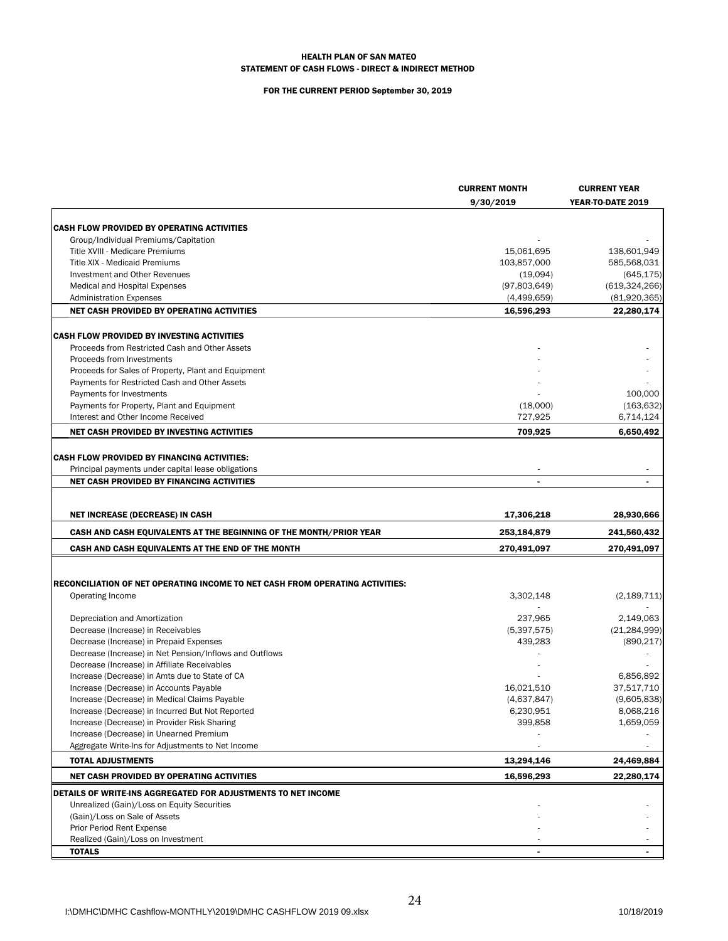#### HEALTH PLAN OF SAN MATEO STATEMENT OF CASH FLOWS - DIRECT & INDIRECT METHOD

#### FOR THE CURRENT PERIOD September 30, 2019

|                                                                                      | <b>CURRENT MONTH</b> | <b>CURRENT YEAR</b>      |
|--------------------------------------------------------------------------------------|----------------------|--------------------------|
|                                                                                      | 9/30/2019            | YEAR-TO-DATE 2019        |
|                                                                                      |                      |                          |
| <b>CASH FLOW PROVIDED BY OPERATING ACTIVITIES</b>                                    |                      |                          |
| Group/Individual Premiums/Capitation                                                 |                      |                          |
| Title XVIII - Medicare Premiums                                                      | 15,061,695           | 138,601,949              |
| Title XIX - Medicaid Premiums                                                        | 103,857,000          | 585,568,031              |
| Investment and Other Revenues                                                        | (19,094)             | (645, 175)               |
| Medical and Hospital Expenses                                                        | (97,803,649)         | (619, 324, 266)          |
| <b>Administration Expenses</b>                                                       | (4,499,659)          | (81,920,365)             |
| NET CASH PROVIDED BY OPERATING ACTIVITIES                                            | 16,596,293           | 22,280,174               |
| CASH FLOW PROVIDED BY INVESTING ACTIVITIES                                           |                      |                          |
| Proceeds from Restricted Cash and Other Assets                                       |                      |                          |
| Proceeds from Investments                                                            |                      |                          |
| Proceeds for Sales of Property, Plant and Equipment                                  |                      |                          |
| Payments for Restricted Cash and Other Assets                                        |                      |                          |
| Payments for Investments                                                             |                      | 100,000                  |
| Payments for Property, Plant and Equipment                                           | (18,000)             | (163, 632)               |
| Interest and Other Income Received                                                   | 727,925              | 6,714,124                |
| NET CASH PROVIDED BY INVESTING ACTIVITIES                                            | 709,925              | 6,650,492                |
|                                                                                      |                      |                          |
| <b>CASH FLOW PROVIDED BY FINANCING ACTIVITIES:</b>                                   |                      |                          |
| Principal payments under capital lease obligations                                   | $\overline{a}$       | $\overline{\phantom{a}}$ |
| <b>NET CASH PROVIDED BY FINANCING ACTIVITIES</b>                                     | $\blacksquare$       |                          |
|                                                                                      |                      |                          |
| <b>NET INCREASE (DECREASE) IN CASH</b>                                               | 17,306,218           | 28,930,666               |
| <b>CASH AND CASH EQUIVALENTS AT THE BEGINNING OF THE MONTH/PRIOR YEAR</b>            | 253,184,879          | 241,560,432              |
| CASH AND CASH EQUIVALENTS AT THE END OF THE MONTH                                    | 270,491,097          | 270,491,097              |
|                                                                                      |                      |                          |
| <b>RECONCILIATION OF NET OPERATING INCOME TO NET CASH FROM OPERATING ACTIVITIES:</b> |                      |                          |
| Operating Income                                                                     | 3,302,148            | (2, 189, 711)            |
|                                                                                      |                      |                          |
| Depreciation and Amortization                                                        | 237,965              | 2,149,063                |
| Decrease (Increase) in Receivables                                                   | (5,397,575)          | (21, 284, 999)           |
| Decrease (Increase) in Prepaid Expenses                                              | 439,283              | (890, 217)               |
| Decrease (Increase) in Net Pension/Inflows and Outflows                              |                      |                          |
| Decrease (Increase) in Affiliate Receivables                                         |                      |                          |
| Increase (Decrease) in Amts due to State of CA                                       |                      | 6,856,892                |
| Increase (Decrease) in Accounts Payable                                              | 16,021,510           | 37,517,710               |
| Increase (Decrease) in Medical Claims Payable                                        | (4,637,847)          | (9,605,838)              |
| Increase (Decrease) in Incurred But Not Reported                                     | 6.230.951            | 8.068.216                |
| Increase (Decrease) in Provider Risk Sharing                                         | 399,858              | 1,659,059                |
| Increase (Decrease) in Unearned Premium                                              |                      |                          |
| Aggregate Write-Ins for Adjustments to Net Income                                    |                      |                          |
| <b>TOTAL ADJUSTMENTS</b>                                                             | 13,294,146           | 24,469,884               |
| NET CASH PROVIDED BY OPERATING ACTIVITIES                                            | 16,596,293           | 22,280,174               |
| DETAILS OF WRITE-INS AGGREGATED FOR ADJUSTMENTS TO NET INCOME                        |                      |                          |
| Unrealized (Gain)/Loss on Equity Securities                                          |                      |                          |
| (Gain)/Loss on Sale of Assets                                                        |                      |                          |
| Prior Period Rent Expense                                                            |                      |                          |
| Realized (Gain)/Loss on Investment                                                   |                      |                          |
| <b>TOTALS</b>                                                                        |                      |                          |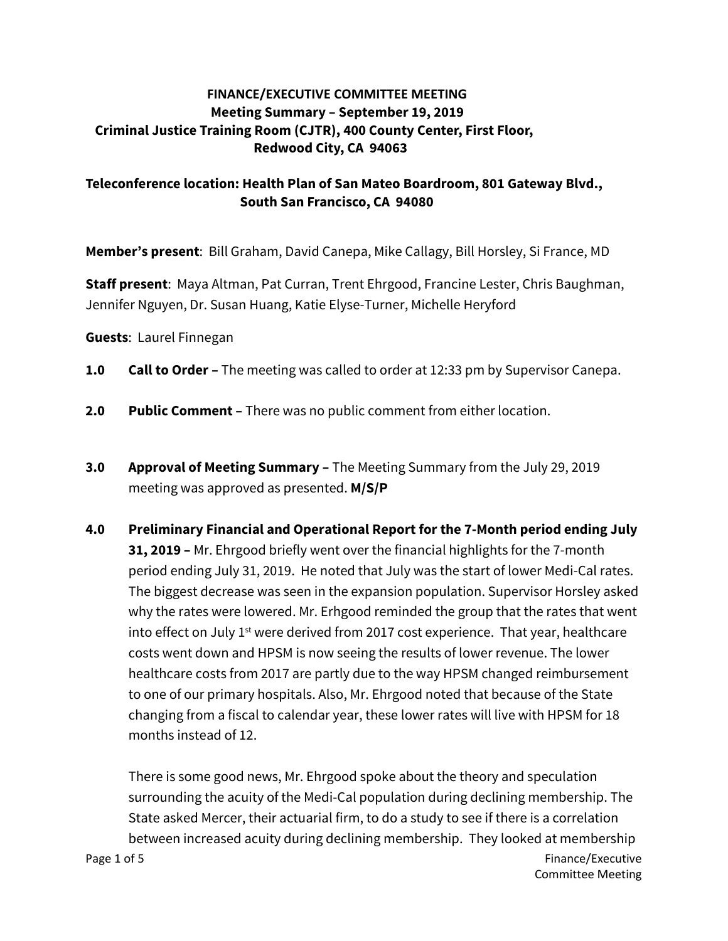### **FINANCE/EXECUTIVE COMMITTEE MEETING Meeting Summary – September 19, 2019 Criminal Justice Training Room (CJTR), 400 County Center, First Floor, Redwood City, CA 94063**

### **Teleconference location: Health Plan of San Mateo Boardroom, 801 Gateway Blvd., South San Francisco, CA 94080**

**Member's present**: Bill Graham, David Canepa, Mike Callagy, Bill Horsley, Si France, MD

**Staff present**: Maya Altman, Pat Curran, Trent Ehrgood, Francine Lester, Chris Baughman, Jennifer Nguyen, Dr. Susan Huang, Katie Elyse-Turner, Michelle Heryford

**Guests**: Laurel Finnegan

- **1.0 Call to Order** The meeting was called to order at 12:33 pm by Supervisor Canepa.
- **2.0 Public Comment** There was no public comment from either location.
- **3.0 Approval of Meeting Summary** The Meeting Summary from the July 29, 2019 meeting was approved as presented. **M/S/P**
- **4.0 Preliminary Financial and Operational Report for the 7-Month period ending July 31, 2019 –** Mr. Ehrgood briefly went over the financial highlights for the 7-month period ending July 31, 2019. He noted that July was the start of lower Medi-Cal rates. The biggest decrease was seen in the expansion population. Supervisor Horsley asked why the rates were lowered. Mr. Erhgood reminded the group that the rates that went into effect on July  $1<sup>st</sup>$  were derived from 2017 cost experience. That year, healthcare costs went down and HPSM is now seeing the results of lower revenue. The lower healthcare costs from 2017 are partly due to the way HPSM changed reimbursement to one of our primary hospitals. Also, Mr. Ehrgood noted that because of the State changing from a fiscal to calendar year, these lower rates will live with HPSM for 18 months instead of 12.

There is some good news, Mr. Ehrgood spoke about the theory and speculation surrounding the acuity of the Medi-Cal population during declining membership. The State asked Mercer, their actuarial firm, to do a study to see if there is a correlation between increased acuity during declining membership. They looked at membership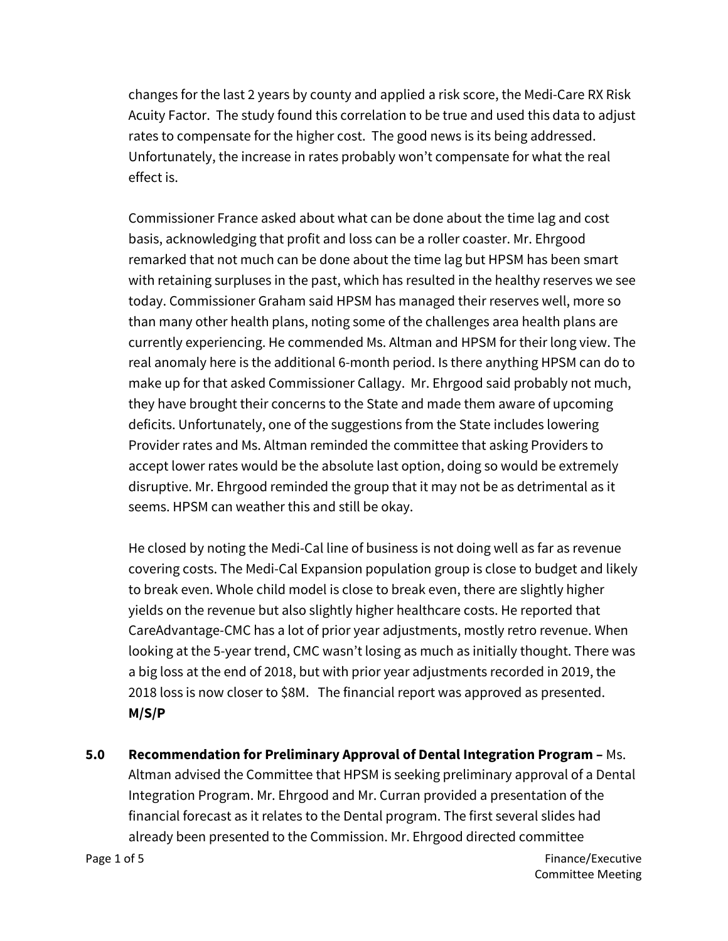changes for the last 2 years by county and applied a risk score, the Medi-Care RX Risk Acuity Factor. The study found this correlation to be true and used this data to adjust rates to compensate for the higher cost. The good news is its being addressed. Unfortunately, the increase in rates probably won't compensate for what the real effect is.

Commissioner France asked about what can be done about the time lag and cost basis, acknowledging that profit and loss can be a roller coaster. Mr. Ehrgood remarked that not much can be done about the time lag but HPSM has been smart with retaining surpluses in the past, which has resulted in the healthy reserves we see today. Commissioner Graham said HPSM has managed their reserves well, more so than many other health plans, noting some of the challenges area health plans are currently experiencing. He commended Ms. Altman and HPSM for their long view. The real anomaly here is the additional 6-month period. Is there anything HPSM can do to make up for that asked Commissioner Callagy. Mr. Ehrgood said probably not much, they have brought their concerns to the State and made them aware of upcoming deficits. Unfortunately, one of the suggestions from the State includes lowering Provider rates and Ms. Altman reminded the committee that asking Providers to accept lower rates would be the absolute last option, doing so would be extremely disruptive. Mr. Ehrgood reminded the group that it may not be as detrimental as it seems. HPSM can weather this and still be okay.

He closed by noting the Medi-Cal line of business is not doing well as far as revenue covering costs. The Medi-Cal Expansion population group is close to budget and likely to break even. Whole child model is close to break even, there are slightly higher yields on the revenue but also slightly higher healthcare costs. He reported that CareAdvantage-CMC has a lot of prior year adjustments, mostly retro revenue. When looking at the 5-year trend, CMC wasn't losing as much as initially thought. There was a big loss at the end of 2018, but with prior year adjustments recorded in 2019, the 2018 loss is now closer to \$8M. The financial report was approved as presented. **M/S/P**

**5.0 Recommendation for Preliminary Approval of Dental Integration Program –** Ms. Altman advised the Committee that HPSM is seeking preliminary approval of a Dental Integration Program. Mr. Ehrgood and Mr. Curran provided a presentation of the financial forecast as it relates to the Dental program. The first several slides had already been presented to the Commission. Mr. Ehrgood directed committee

Page 1 of 5 Finance/Executive Committee Meeting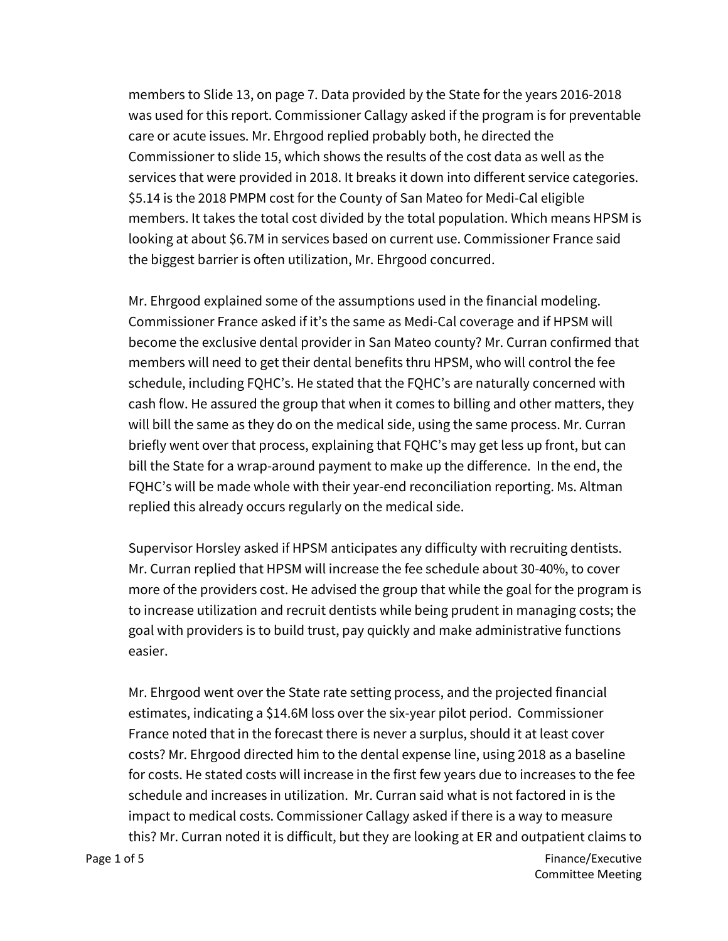members to Slide 13, on page 7. Data provided by the State for the years 2016-2018 was used for this report. Commissioner Callagy asked if the program is for preventable care or acute issues. Mr. Ehrgood replied probably both, he directed the Commissioner to slide 15, which shows the results of the cost data as well as the services that were provided in 2018. It breaks it down into different service categories. \$5.14 is the 2018 PMPM cost for the County of San Mateo for Medi-Cal eligible members. It takes the total cost divided by the total population. Which means HPSM is looking at about \$6.7M in services based on current use. Commissioner France said the biggest barrier is often utilization, Mr. Ehrgood concurred.

Mr. Ehrgood explained some of the assumptions used in the financial modeling. Commissioner France asked if it's the same as Medi-Cal coverage and if HPSM will become the exclusive dental provider in San Mateo county? Mr. Curran confirmed that members will need to get their dental benefits thru HPSM, who will control the fee schedule, including FQHC's. He stated that the FQHC's are naturally concerned with cash flow. He assured the group that when it comes to billing and other matters, they will bill the same as they do on the medical side, using the same process. Mr. Curran briefly went over that process, explaining that FQHC's may get less up front, but can bill the State for a wrap-around payment to make up the difference. In the end, the FQHC's will be made whole with their year-end reconciliation reporting. Ms. Altman replied this already occurs regularly on the medical side.

Supervisor Horsley asked if HPSM anticipates any difficulty with recruiting dentists. Mr. Curran replied that HPSM will increase the fee schedule about 30-40%, to cover more of the providers cost. He advised the group that while the goal for the program is to increase utilization and recruit dentists while being prudent in managing costs; the goal with providers is to build trust, pay quickly and make administrative functions easier.

Page 1 of 5 Finance/Executive Mr. Ehrgood went over the State rate setting process, and the projected financial estimates, indicating a \$14.6M loss over the six-year pilot period. Commissioner France noted that in the forecast there is never a surplus, should it at least cover costs? Mr. Ehrgood directed him to the dental expense line, using 2018 as a baseline for costs. He stated costs will increase in the first few years due to increases to the fee schedule and increases in utilization. Mr. Curran said what is not factored in is the impact to medical costs. Commissioner Callagy asked if there is a way to measure this? Mr. Curran noted it is difficult, but they are looking at ER and outpatient claims to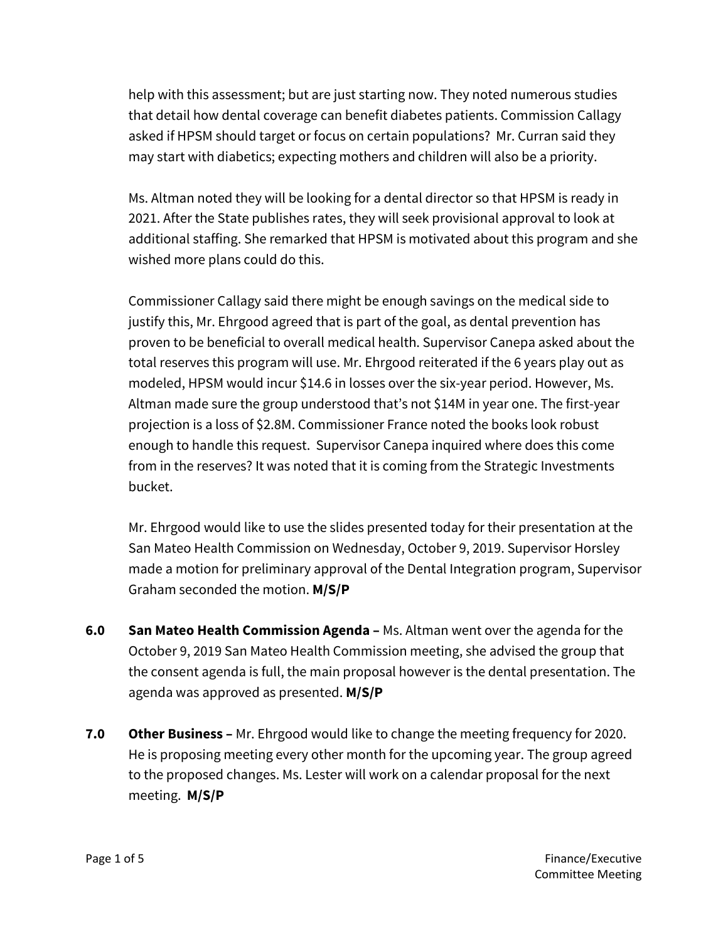help with this assessment; but are just starting now. They noted numerous studies that detail how dental coverage can benefit diabetes patients. Commission Callagy asked if HPSM should target or focus on certain populations? Mr. Curran said they may start with diabetics; expecting mothers and children will also be a priority.

Ms. Altman noted they will be looking for a dental director so that HPSM is ready in 2021. After the State publishes rates, they will seek provisional approval to look at additional staffing. She remarked that HPSM is motivated about this program and she wished more plans could do this.

Commissioner Callagy said there might be enough savings on the medical side to justify this, Mr. Ehrgood agreed that is part of the goal, as dental prevention has proven to be beneficial to overall medical health. Supervisor Canepa asked about the total reserves this program will use. Mr. Ehrgood reiterated if the 6 years play out as modeled, HPSM would incur \$14.6 in losses over the six-year period. However, Ms. Altman made sure the group understood that's not \$14M in year one. The first-year projection is a loss of \$2.8M. Commissioner France noted the books look robust enough to handle this request. Supervisor Canepa inquired where does this come from in the reserves? It was noted that it is coming from the Strategic Investments bucket.

Mr. Ehrgood would like to use the slides presented today for their presentation at the San Mateo Health Commission on Wednesday, October 9, 2019. Supervisor Horsley made a motion for preliminary approval of the Dental Integration program, Supervisor Graham seconded the motion. **M/S/P**

- **6.0 San Mateo Health Commission Agenda –** Ms. Altman went over the agenda for the October 9, 2019 San Mateo Health Commission meeting, she advised the group that the consent agenda is full, the main proposal however is the dental presentation. The agenda was approved as presented. **M/S/P**
- **7.0 Other Business –** Mr. Ehrgood would like to change the meeting frequency for 2020. He is proposing meeting every other month for the upcoming year. The group agreed to the proposed changes. Ms. Lester will work on a calendar proposal for the next meeting. **M/S/P**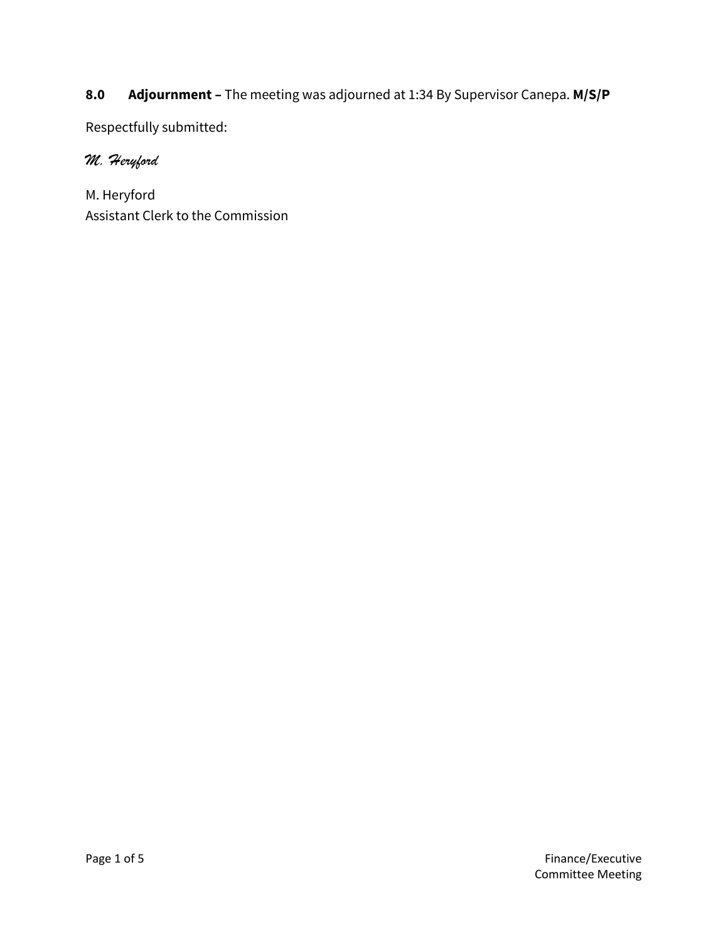## **8.0 Adjournment –** The meeting was adjourned at 1:34 By Supervisor Canepa. **M/S/P**

Respectfully submitted:

### *M. Heryford*

M. Heryford Assistant Clerk to the Commission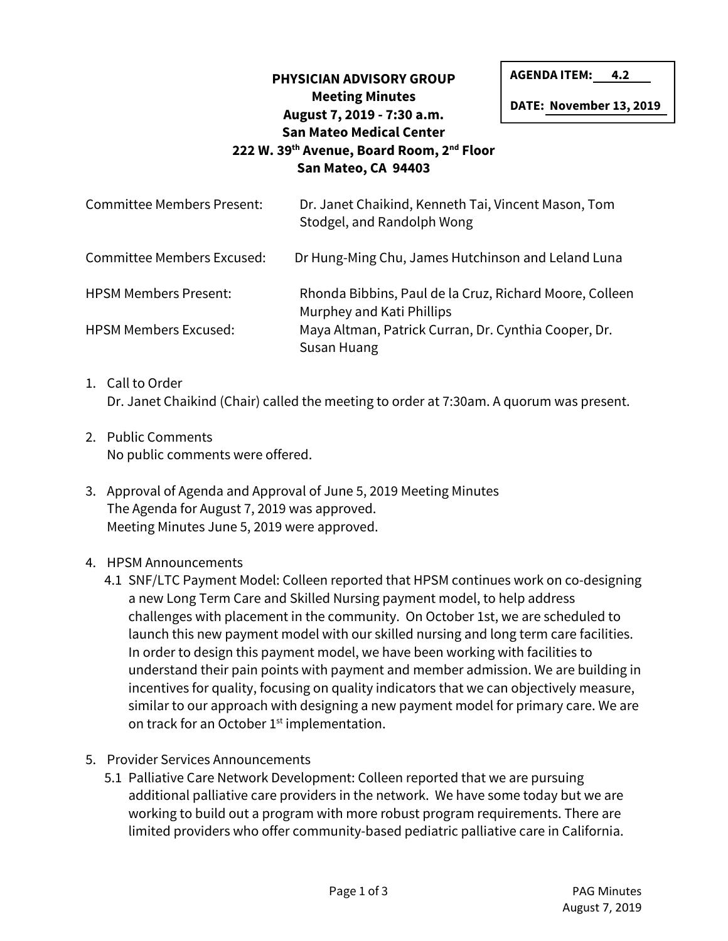## **PHYSICIAN ADVISORY GROUP Meeting Minutes August 7, 2019 - 7:30 a.m. San Mateo Medical Center 222 W. 39th Avenue, Board Room, 2nd Floor San Mateo, CA 94403**

**AGENDA ITEM: 4.2**

**DATE: November 13, 2019** 

| <b>Committee Members Present:</b> | Dr. Janet Chaikind, Kenneth Tai, Vincent Mason, Tom<br>Stodgel, and Randolph Wong    |
|-----------------------------------|--------------------------------------------------------------------------------------|
| <b>Committee Members Excused:</b> | Dr Hung-Ming Chu, James Hutchinson and Leland Luna                                   |
| <b>HPSM Members Present:</b>      | Rhonda Bibbins, Paul de la Cruz, Richard Moore, Colleen<br>Murphey and Kati Phillips |
| <b>HPSM Members Excused:</b>      | Maya Altman, Patrick Curran, Dr. Cynthia Cooper, Dr.<br>Susan Huang                  |

- 1. Call to Order Dr. Janet Chaikind (Chair) called the meeting to order at 7:30am. A quorum was present.
- 2. Public Comments No public comments were offered.
- 3. Approval of Agenda and Approval of June 5, 2019 Meeting Minutes The Agenda for August 7, 2019 was approved. Meeting Minutes June 5, 2019 were approved.
- 4. HPSM Announcements
	- 4.1 SNF/LTC Payment Model: Colleen reported that HPSM continues work on co-designing a new Long Term Care and Skilled Nursing payment model, to help address challenges with placement in the community. On October 1st, we are scheduled to launch this new payment model with our skilled nursing and long term care facilities. In order to design this payment model, we have been working with facilities to understand their pain points with payment and member admission. We are building in incentives for quality, focusing on quality indicators that we can objectively measure, similar to our approach with designing a new payment model for primary care. We are on track for an October 1<sup>st</sup> implementation.
- 5. Provider Services Announcements
	- 5.1 Palliative Care Network Development: Colleen reported that we are pursuing additional palliative care providers in the network. We have some today but we are working to build out a program with more robust program requirements. There are limited providers who offer community-based pediatric palliative care in California.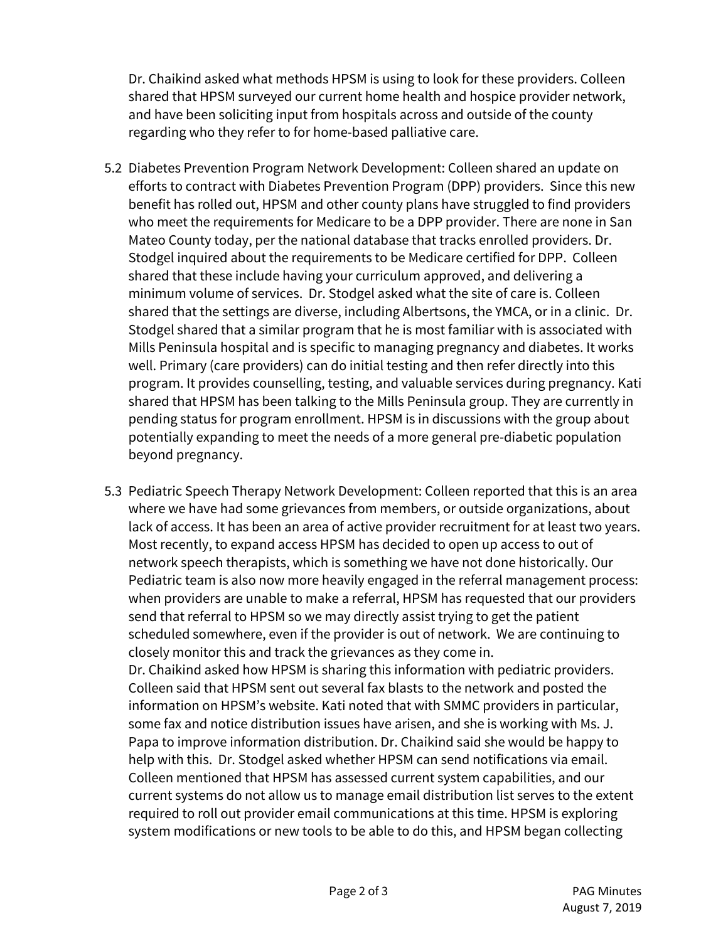Dr. Chaikind asked what methods HPSM is using to look for these providers. Colleen shared that HPSM surveyed our current home health and hospice provider network, and have been soliciting input from hospitals across and outside of the county regarding who they refer to for home-based palliative care.

- 5.2 Diabetes Prevention Program Network Development: Colleen shared an update on efforts to contract with Diabetes Prevention Program (DPP) providers. Since this new benefit has rolled out, HPSM and other county plans have struggled to find providers who meet the requirements for Medicare to be a DPP provider. There are none in San Mateo County today, per the national database that tracks enrolled providers. Dr. Stodgel inquired about the requirements to be Medicare certified for DPP. Colleen shared that these include having your curriculum approved, and delivering a minimum volume of services. Dr. Stodgel asked what the site of care is. Colleen shared that the settings are diverse, including Albertsons, the YMCA, or in a clinic. Dr. Stodgel shared that a similar program that he is most familiar with is associated with Mills Peninsula hospital and is specific to managing pregnancy and diabetes. It works well. Primary (care providers) can do initial testing and then refer directly into this program. It provides counselling, testing, and valuable services during pregnancy. Kati shared that HPSM has been talking to the Mills Peninsula group. They are currently in pending status for program enrollment. HPSM is in discussions with the group about potentially expanding to meet the needs of a more general pre-diabetic population beyond pregnancy.
- 5.3 Pediatric Speech Therapy Network Development: Colleen reported that this is an area where we have had some grievances from members, or outside organizations, about lack of access. It has been an area of active provider recruitment for at least two years. Most recently, to expand access HPSM has decided to open up access to out of network speech therapists, which is something we have not done historically. Our Pediatric team is also now more heavily engaged in the referral management process: when providers are unable to make a referral, HPSM has requested that our providers send that referral to HPSM so we may directly assist trying to get the patient scheduled somewhere, even if the provider is out of network. We are continuing to closely monitor this and track the grievances as they come in. Dr. Chaikind asked how HPSM is sharing this information with pediatric providers. Colleen said that HPSM sent out several fax blasts to the network and posted the information on HPSM's website. Kati noted that with SMMC providers in particular, some fax and notice distribution issues have arisen, and she is working with Ms. J. Papa to improve information distribution. Dr. Chaikind said she would be happy to help with this. Dr. Stodgel asked whether HPSM can send notifications via email. Colleen mentioned that HPSM has assessed current system capabilities, and our current systems do not allow us to manage email distribution list serves to the extent required to roll out provider email communications at this time. HPSM is exploring system modifications or new tools to be able to do this, and HPSM began collecting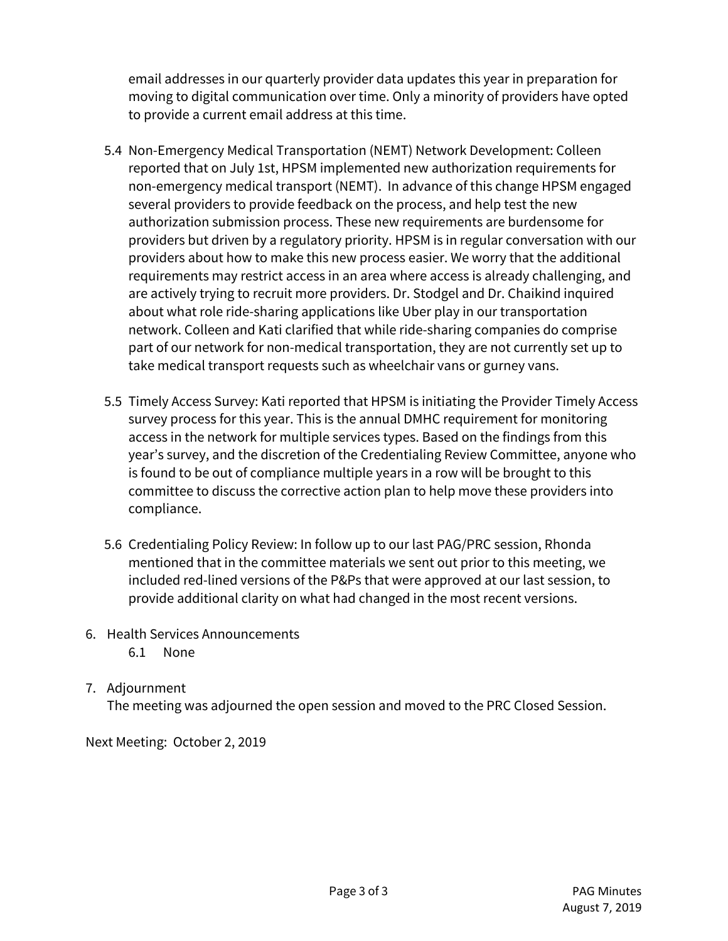email addresses in our quarterly provider data updates this year in preparation for moving to digital communication over time. Only a minority of providers have opted to provide a current email address at this time.

- 5.4 Non-Emergency Medical Transportation (NEMT) Network Development: Colleen reported that on July 1st, HPSM implemented new authorization requirements for non-emergency medical transport (NEMT). In advance of this change HPSM engaged several providers to provide feedback on the process, and help test the new authorization submission process. These new requirements are burdensome for providers but driven by a regulatory priority. HPSM is in regular conversation with our providers about how to make this new process easier. We worry that the additional requirements may restrict access in an area where access is already challenging, and are actively trying to recruit more providers. Dr. Stodgel and Dr. Chaikind inquired about what role ride-sharing applications like Uber play in our transportation network. Colleen and Kati clarified that while ride-sharing companies do comprise part of our network for non-medical transportation, they are not currently set up to take medical transport requests such as wheelchair vans or gurney vans.
- 5.5 Timely Access Survey: Kati reported that HPSM is initiating the Provider Timely Access survey process for this year. This is the annual DMHC requirement for monitoring access in the network for multiple services types. Based on the findings from this year's survey, and the discretion of the Credentialing Review Committee, anyone who is found to be out of compliance multiple years in a row will be brought to this committee to discuss the corrective action plan to help move these providers into compliance.
- 5.6 Credentialing Policy Review: In follow up to our last PAG/PRC session, Rhonda mentioned that in the committee materials we sent out prior to this meeting, we included red-lined versions of the P&Ps that were approved at our last session, to provide additional clarity on what had changed in the most recent versions.
- 6. Health Services Announcements
	- 6.1 None
- 7. Adjournment

The meeting was adjourned the open session and moved to the PRC Closed Session.

Next Meeting: October 2, 2019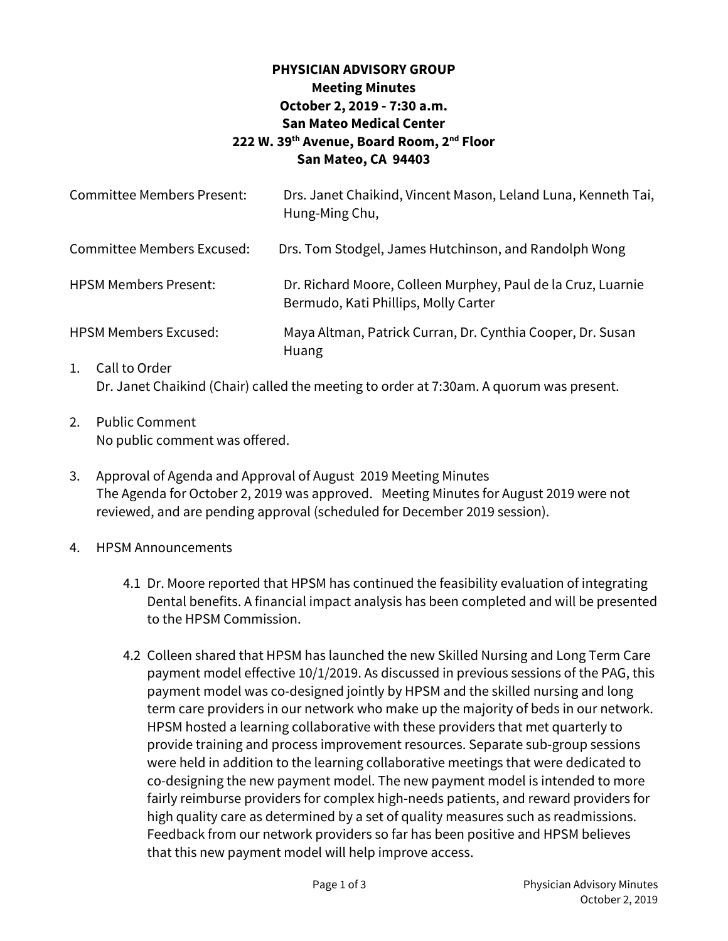### **PHYSICIAN ADVISORY GROUP Meeting Minutes October 2, 2019 - 7:30 a.m. San Mateo Medical Center 222 W. 39th Avenue, Board Room, 2nd Floor San Mateo, CA 94403**

| <b>Committee Members Present:</b> | Drs. Janet Chaikind, Vincent Mason, Leland Luna, Kenneth Tai,<br>Hung-Ming Chu,                      |
|-----------------------------------|------------------------------------------------------------------------------------------------------|
| Committee Members Excused:        | Drs. Tom Stodgel, James Hutchinson, and Randolph Wong                                                |
| <b>HPSM Members Present:</b>      | Dr. Richard Moore, Colleen Murphey, Paul de la Cruz, Luarnie<br>Bermudo, Kati Phillips, Molly Carter |
| <b>HPSM Members Excused:</b>      | Maya Altman, Patrick Curran, Dr. Cynthia Cooper, Dr. Susan<br><b>Huang</b>                           |
| Call to Order<br>1.               | Dr. Janet Chaikind (Chair) called the meeting to order at 7:30am. A quorum was present.              |

- 2. Public Comment No public comment was offered.
- 3. Approval of Agenda and Approval of August 2019 Meeting Minutes The Agenda for October 2, 2019 was approved. Meeting Minutes for August 2019 were not reviewed, and are pending approval (scheduled for December 2019 session).
- 4. HPSM Announcements
	- 4.1 Dr. Moore reported that HPSM has continued the feasibility evaluation of integrating Dental benefits. A financial impact analysis has been completed and will be presented to the HPSM Commission.
	- 4.2 Colleen shared that HPSM has launched the new Skilled Nursing and Long Term Care payment model effective 10/1/2019. As discussed in previous sessions of the PAG, this payment model was co-designed jointly by HPSM and the skilled nursing and long term care providers in our network who make up the majority of beds in our network. HPSM hosted a learning collaborative with these providers that met quarterly to provide training and process improvement resources. Separate sub-group sessions were held in addition to the learning collaborative meetings that were dedicated to co-designing the new payment model. The new payment model is intended to more fairly reimburse providers for complex high-needs patients, and reward providers for high quality care as determined by a set of quality measures such as readmissions. Feedback from our network providers so far has been positive and HPSM believes that this new payment model will help improve access.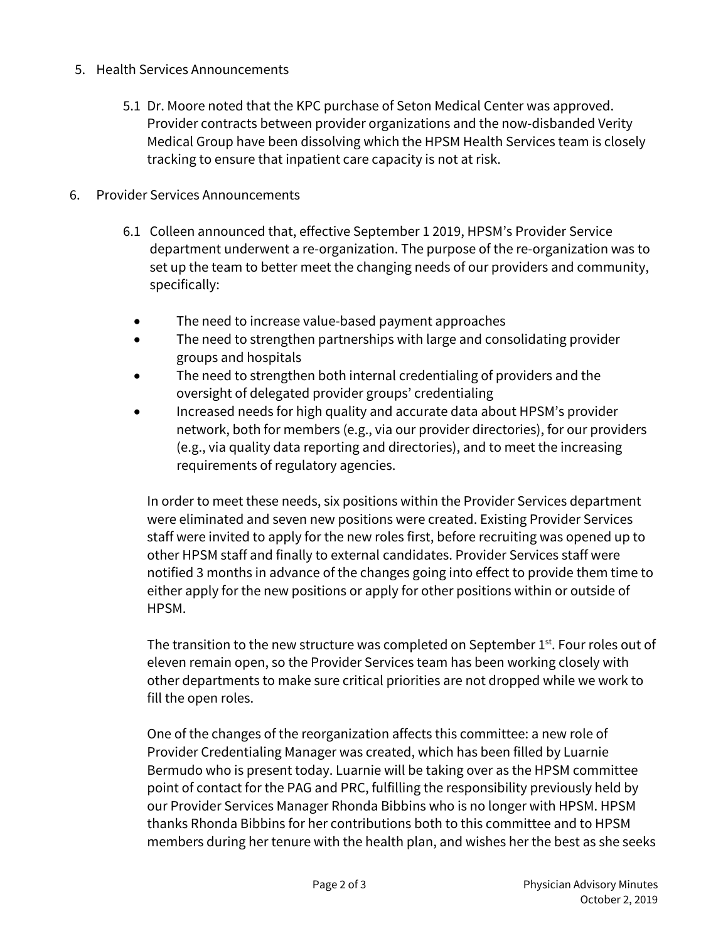- 5. Health Services Announcements
	- 5.1 Dr. Moore noted that the KPC purchase of Seton Medical Center was approved. Provider contracts between provider organizations and the now-disbanded Verity Medical Group have been dissolving which the HPSM Health Services team is closely tracking to ensure that inpatient care capacity is not at risk.
- 6. Provider Services Announcements
	- 6.1 Colleen announced that, effective September 1 2019, HPSM's Provider Service department underwent a re-organization. The purpose of the re-organization was to set up the team to better meet the changing needs of our providers and community, specifically:
		- The need to increase value-based payment approaches
		- The need to strengthen partnerships with large and consolidating provider groups and hospitals
		- The need to strengthen both internal credentialing of providers and the oversight of delegated provider groups' credentialing
		- Increased needs for high quality and accurate data about HPSM's provider network, both for members (e.g., via our provider directories), for our providers (e.g., via quality data reporting and directories), and to meet the increasing requirements of regulatory agencies.

In order to meet these needs, six positions within the Provider Services department were eliminated and seven new positions were created. Existing Provider Services staff were invited to apply for the new roles first, before recruiting was opened up to other HPSM staff and finally to external candidates. Provider Services staff were notified 3 months in advance of the changes going into effect to provide them time to either apply for the new positions or apply for other positions within or outside of HPSM.

The transition to the new structure was completed on September 1<sup>st</sup>. Four roles out of eleven remain open, so the Provider Services team has been working closely with other departments to make sure critical priorities are not dropped while we work to fill the open roles.

One of the changes of the reorganization affects this committee: a new role of Provider Credentialing Manager was created, which has been filled by Luarnie Bermudo who is present today. Luarnie will be taking over as the HPSM committee point of contact for the PAG and PRC, fulfilling the responsibility previously held by our Provider Services Manager Rhonda Bibbins who is no longer with HPSM. HPSM thanks Rhonda Bibbins for her contributions both to this committee and to HPSM members during her tenure with the health plan, and wishes her the best as she seeks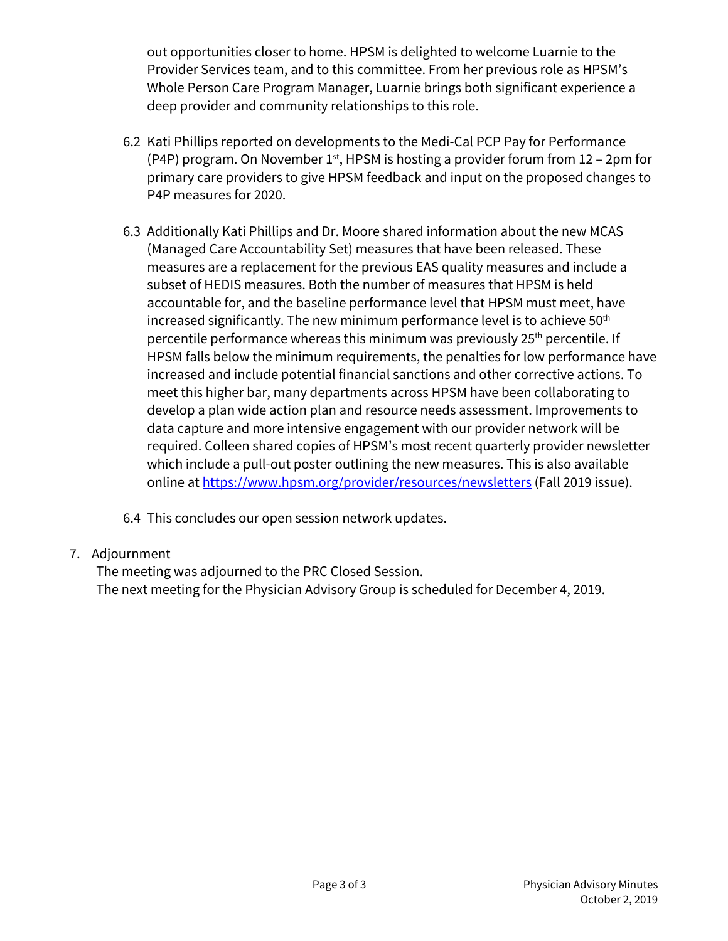out opportunities closer to home. HPSM is delighted to welcome Luarnie to the Provider Services team, and to this committee. From her previous role as HPSM's Whole Person Care Program Manager, Luarnie brings both significant experience a deep provider and community relationships to this role.

- 6.2 Kati Phillips reported on developments to the Medi-Cal PCP Pay for Performance (P4P) program. On November  $1<sup>st</sup>$ , HPSM is hosting a provider forum from 12 – 2pm for primary care providers to give HPSM feedback and input on the proposed changes to P4P measures for 2020.
- 6.3 Additionally Kati Phillips and Dr. Moore shared information about the new MCAS (Managed Care Accountability Set) measures that have been released. These measures are a replacement for the previous EAS quality measures and include a subset of HEDIS measures. Both the number of measures that HPSM is held accountable for, and the baseline performance level that HPSM must meet, have increased significantly. The new minimum performance level is to achieve 50<sup>th</sup> percentile performance whereas this minimum was previously 25<sup>th</sup> percentile. If HPSM falls below the minimum requirements, the penalties for low performance have increased and include potential financial sanctions and other corrective actions. To meet this higher bar, many departments across HPSM have been collaborating to develop a plan wide action plan and resource needs assessment. Improvements to data capture and more intensive engagement with our provider network will be required. Colleen shared copies of HPSM's most recent quarterly provider newsletter which include a pull-out poster outlining the new measures. This is also available online at https://www.hpsm.org/provider/resources/newsletters (Fall 2019 issue).
- 6.4 This concludes our open session network updates.

### 7. Adjournment

The meeting was adjourned to the PRC Closed Session. The next meeting for the Physician Advisory Group is scheduled for December 4, 2019.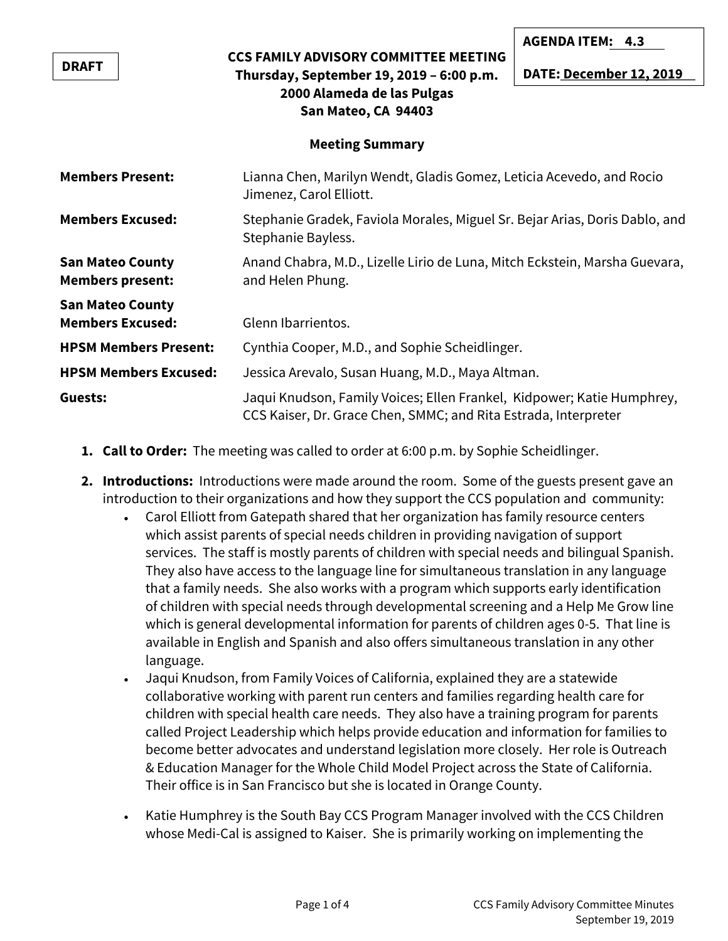|                                                    |                                                                                                                                           | AGENDAILEM: 4.3         |  |  |
|----------------------------------------------------|-------------------------------------------------------------------------------------------------------------------------------------------|-------------------------|--|--|
| <b>DRAFT</b>                                       | <b>CCS FAMILY ADVISORY COMMITTEE MEETING</b><br>Thursday, September 19, 2019 - 6:00 p.m.                                                  | DATE: December 12, 2019 |  |  |
| 2000 Alameda de las Pulgas<br>San Mateo, CA 94403  |                                                                                                                                           |                         |  |  |
| <b>Meeting Summary</b>                             |                                                                                                                                           |                         |  |  |
| <b>Members Present:</b>                            | Lianna Chen, Marilyn Wendt, Gladis Gomez, Leticia Acevedo, and Rocio<br>Jimenez, Carol Elliott.                                           |                         |  |  |
| <b>Members Excused:</b>                            | Stephanie Gradek, Faviola Morales, Miguel Sr. Bejar Arias, Doris Dablo, and<br>Stephanie Bayless.                                         |                         |  |  |
| <b>San Mateo County</b><br><b>Members present:</b> | Anand Chabra, M.D., Lizelle Lirio de Luna, Mitch Eckstein, Marsha Guevara,<br>and Helen Phung.                                            |                         |  |  |
| <b>San Mateo County</b>                            |                                                                                                                                           |                         |  |  |
| <b>Members Excused:</b>                            | Glenn Ibarrientos.                                                                                                                        |                         |  |  |
| <b>HPSM Members Present:</b>                       | Cynthia Cooper, M.D., and Sophie Scheidlinger.                                                                                            |                         |  |  |
| <b>HPSM Members Excused:</b>                       | Jessica Arevalo, Susan Huang, M.D., Maya Altman.                                                                                          |                         |  |  |
| Guests:                                            | Jaqui Knudson, Family Voices; Ellen Frankel, Kidpower; Katie Humphrey,<br>CCS Kaiser, Dr. Grace Chen, SMMC; and Rita Estrada, Interpreter |                         |  |  |

- **1. Call to Order:** The meeting was called to order at 6:00 p.m. by Sophie Scheidlinger.
- **2. Introductions:** Introductions were made around the room. Some of the guests present gave an introduction to their organizations and how they support the CCS population and community:
	- Carol Elliott from Gatepath shared that her organization has family resource centers which assist parents of special needs children in providing navigation of support services. The staff is mostly parents of children with special needs and bilingual Spanish. They also have access to the language line for simultaneous translation in any language that a family needs. She also works with a program which supports early identification of children with special needs through developmental screening and a Help Me Grow line which is general developmental information for parents of children ages 0-5. That line is available in English and Spanish and also offers simultaneous translation in any other language.
	- Jaqui Knudson, from Family Voices of California, explained they are a statewide collaborative working with parent run centers and families regarding health care for children with special health care needs. They also have a training program for parents called Project Leadership which helps provide education and information for families to become better advocates and understand legislation more closely. Her role is Outreach & Education Manager for the Whole Child Model Project across the State of California. Their office is in San Francisco but she is located in Orange County.
	- Katie Humphrey is the South Bay CCS Program Manager involved with the CCS Children whose Medi-Cal is assigned to Kaiser. She is primarily working on implementing the

**AGENDA ITEM: 4.3**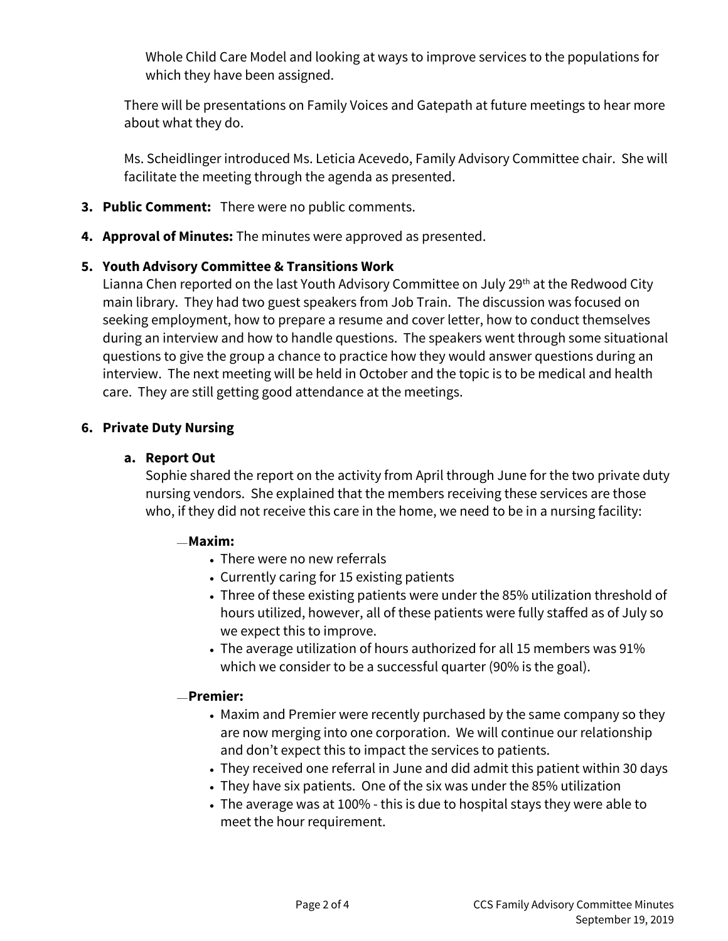Whole Child Care Model and looking at ways to improve services to the populations for which they have been assigned.

There will be presentations on Family Voices and Gatepath at future meetings to hear more about what they do.

Ms. Scheidlinger introduced Ms. Leticia Acevedo, Family Advisory Committee chair. She will facilitate the meeting through the agenda as presented.

- **3. Public Comment:** There were no public comments.
- **4. Approval of Minutes:** The minutes were approved as presented.

### **5. Youth Advisory Committee & Transitions Work**

Lianna Chen reported on the last Youth Advisory Committee on July 29<sup>th</sup> at the Redwood City main library. They had two guest speakers from Job Train. The discussion was focused on seeking employment, how to prepare a resume and cover letter, how to conduct themselves during an interview and how to handle questions. The speakers went through some situational questions to give the group a chance to practice how they would answer questions during an interview. The next meeting will be held in October and the topic is to be medical and health care. They are still getting good attendance at the meetings.

### **6. Private Duty Nursing**

### **a. Report Out**

Sophie shared the report on the activity from April through June for the two private duty nursing vendors. She explained that the members receiving these services are those who, if they did not receive this care in the home, we need to be in a nursing facility:

### $-Maxim:$

- There were no new referrals
- Currently caring for 15 existing patients
- Three of these existing patients were under the 85% utilization threshold of hours utilized, however, all of these patients were fully staffed as of July so we expect this to improve.
- The average utilization of hours authorized for all 15 members was 91% which we consider to be a successful quarter (90% is the goal).

### **Premier:**

- Maxim and Premier were recently purchased by the same company so they are now merging into one corporation. We will continue our relationship and don't expect this to impact the services to patients.
- They received one referral in June and did admit this patient within 30 days
- They have six patients. One of the six was under the 85% utilization
- The average was at 100% this is due to hospital stays they were able to meet the hour requirement.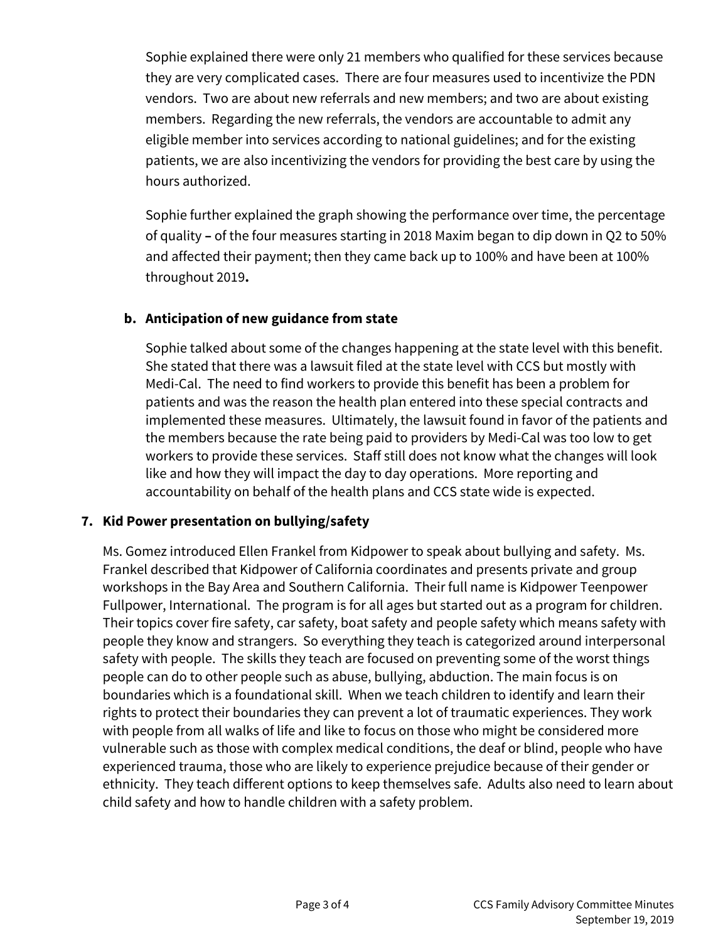Sophie explained there were only 21 members who qualified for these services because they are very complicated cases. There are four measures used to incentivize the PDN vendors. Two are about new referrals and new members; and two are about existing members. Regarding the new referrals, the vendors are accountable to admit any eligible member into services according to national guidelines; and for the existing patients, we are also incentivizing the vendors for providing the best care by using the hours authorized.

Sophie further explained the graph showing the performance over time, the percentage of quality **–** of the four measures starting in 2018 Maxim began to dip down in Q2 to 50% and affected their payment; then they came back up to 100% and have been at 100% throughout 2019**.** 

### **b. Anticipation of new guidance from state**

Sophie talked about some of the changes happening at the state level with this benefit. She stated that there was a lawsuit filed at the state level with CCS but mostly with Medi-Cal. The need to find workers to provide this benefit has been a problem for patients and was the reason the health plan entered into these special contracts and implemented these measures. Ultimately, the lawsuit found in favor of the patients and the members because the rate being paid to providers by Medi-Cal was too low to get workers to provide these services. Staff still does not know what the changes will look like and how they will impact the day to day operations. More reporting and accountability on behalf of the health plans and CCS state wide is expected.

### **7. Kid Power presentation on bullying/safety**

Ms. Gomez introduced Ellen Frankel from Kidpower to speak about bullying and safety. Ms. Frankel described that Kidpower of California coordinates and presents private and group workshops in the Bay Area and Southern California. Their full name is Kidpower Teenpower Fullpower, International. The program is for all ages but started out as a program for children. Their topics cover fire safety, car safety, boat safety and people safety which means safety with people they know and strangers. So everything they teach is categorized around interpersonal safety with people. The skills they teach are focused on preventing some of the worst things people can do to other people such as abuse, bullying, abduction. The main focus is on boundaries which is a foundational skill. When we teach children to identify and learn their rights to protect their boundaries they can prevent a lot of traumatic experiences. They work with people from all walks of life and like to focus on those who might be considered more vulnerable such as those with complex medical conditions, the deaf or blind, people who have experienced trauma, those who are likely to experience prejudice because of their gender or ethnicity. They teach different options to keep themselves safe. Adults also need to learn about child safety and how to handle children with a safety problem.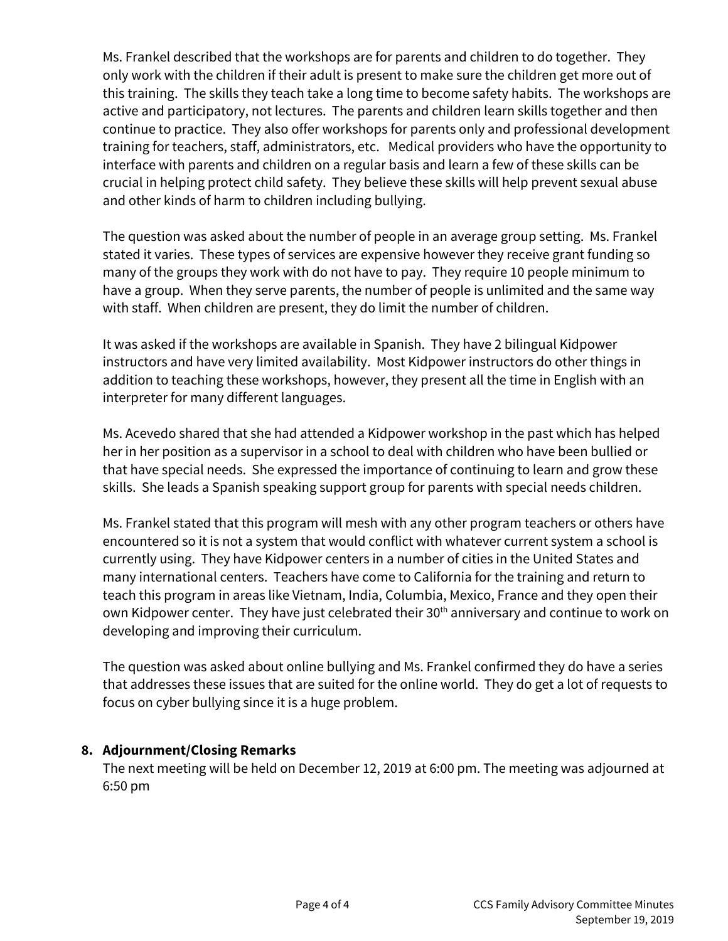Ms. Frankel described that the workshops are for parents and children to do together. They only work with the children if their adult is present to make sure the children get more out of this training. The skills they teach take a long time to become safety habits. The workshops are active and participatory, not lectures. The parents and children learn skills together and then continue to practice. They also offer workshops for parents only and professional development training for teachers, staff, administrators, etc. Medical providers who have the opportunity to interface with parents and children on a regular basis and learn a few of these skills can be crucial in helping protect child safety. They believe these skills will help prevent sexual abuse and other kinds of harm to children including bullying.

The question was asked about the number of people in an average group setting. Ms. Frankel stated it varies. These types of services are expensive however they receive grant funding so many of the groups they work with do not have to pay. They require 10 people minimum to have a group. When they serve parents, the number of people is unlimited and the same way with staff. When children are present, they do limit the number of children.

It was asked if the workshops are available in Spanish. They have 2 bilingual Kidpower instructors and have very limited availability. Most Kidpower instructors do other things in addition to teaching these workshops, however, they present all the time in English with an interpreter for many different languages.

Ms. Acevedo shared that she had attended a Kidpower workshop in the past which has helped her in her position as a supervisor in a school to deal with children who have been bullied or that have special needs. She expressed the importance of continuing to learn and grow these skills. She leads a Spanish speaking support group for parents with special needs children.

Ms. Frankel stated that this program will mesh with any other program teachers or others have encountered so it is not a system that would conflict with whatever current system a school is currently using. They have Kidpower centers in a number of cities in the United States and many international centers. Teachers have come to California for the training and return to teach this program in areas like Vietnam, India, Columbia, Mexico, France and they open their own Kidpower center. They have just celebrated their 30<sup>th</sup> anniversary and continue to work on developing and improving their curriculum.

The question was asked about online bullying and Ms. Frankel confirmed they do have a series that addresses these issues that are suited for the online world. They do get a lot of requests to focus on cyber bullying since it is a huge problem.

### **8. Adjournment/Closing Remarks**

The next meeting will be held on December 12, 2019 at 6:00 pm. The meeting was adjourned at 6:50 pm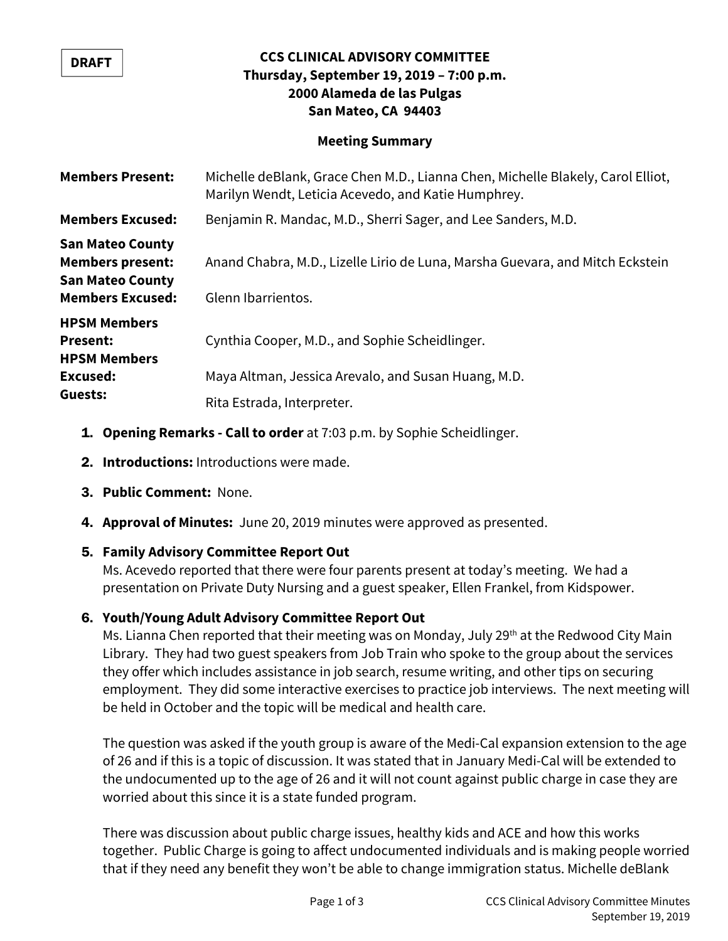#### **DRAFT**

### **CCS CLINICAL ADVISORY COMMITTEE Thursday, September 19, 2019 – 7:00 p.m. 2000 Alameda de las Pulgas San Mateo, CA 94403**

### **Meeting Summary**

| <b>Members Present:</b>                                                                                  | Michelle deBlank, Grace Chen M.D., Lianna Chen, Michelle Blakely, Carol Elliot,<br>Marilyn Wendt, Leticia Acevedo, and Katie Humphrey. |
|----------------------------------------------------------------------------------------------------------|----------------------------------------------------------------------------------------------------------------------------------------|
| <b>Members Excused:</b>                                                                                  | Benjamin R. Mandac, M.D., Sherri Sager, and Lee Sanders, M.D.                                                                          |
| <b>San Mateo County</b><br><b>Members present:</b><br><b>San Mateo County</b><br><b>Members Excused:</b> | Anand Chabra, M.D., Lizelle Lirio de Luna, Marsha Guevara, and Mitch Eckstein<br>Glenn Ibarrientos.                                    |
| <b>HPSM Members</b><br><b>Present:</b><br><b>HPSM Members</b><br>Excused:                                | Cynthia Cooper, M.D., and Sophie Scheidlinger.<br>Maya Altman, Jessica Arevalo, and Susan Huang, M.D.                                  |
| Guests:                                                                                                  | Rita Estrada, Interpreter.                                                                                                             |

- 1. **Opening Remarks Call to order** at 7:03 p.m. by Sophie Scheidlinger.
- 2. **Introductions:** Introductions were made.
- 3. **Public Comment:** None.
- 4. **Approval of Minutes:** June 20, 2019 minutes were approved as presented.

### 5. **Family Advisory Committee Report Out**

Ms. Acevedo reported that there were four parents present at today's meeting. We had a presentation on Private Duty Nursing and a guest speaker, Ellen Frankel, from Kidspower.

### 6. **Youth/Young Adult Advisory Committee Report Out**

Ms. Lianna Chen reported that their meeting was on Monday, July 29<sup>th</sup> at the Redwood City Main Library. They had two guest speakers from Job Train who spoke to the group about the services they offer which includes assistance in job search, resume writing, and other tips on securing employment. They did some interactive exercises to practice job interviews. The next meeting will be held in October and the topic will be medical and health care.

The question was asked if the youth group is aware of the Medi-Cal expansion extension to the age of 26 and if this is a topic of discussion. It was stated that in January Medi-Cal will be extended to the undocumented up to the age of 26 and it will not count against public charge in case they are worried about this since it is a state funded program.

There was discussion about public charge issues, healthy kids and ACE and how this works together. Public Charge is going to affect undocumented individuals and is making people worried that if they need any benefit they won't be able to change immigration status. Michelle deBlank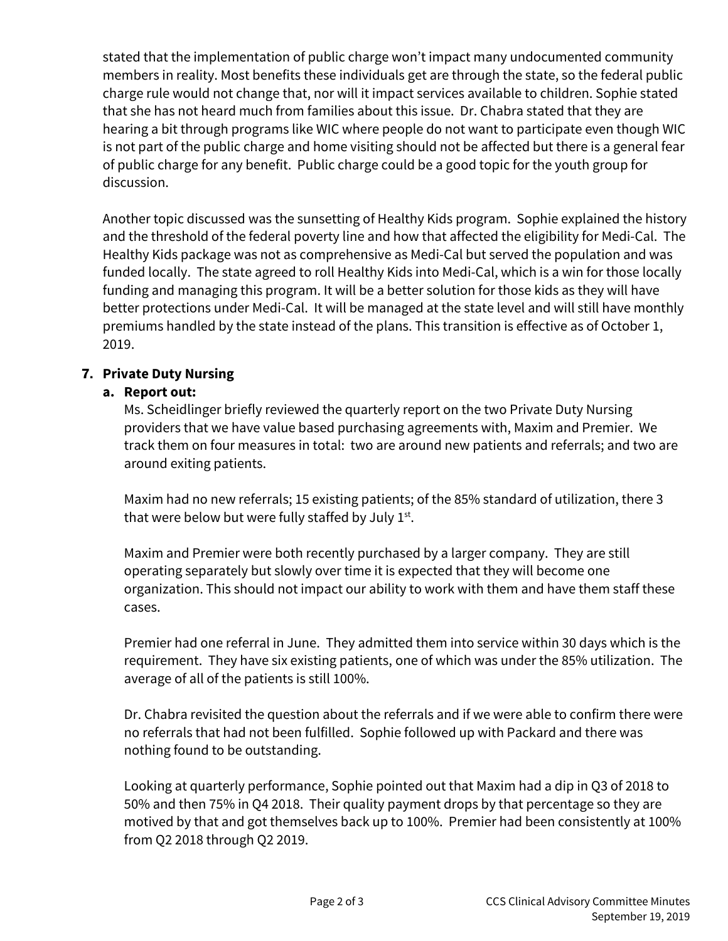stated that the implementation of public charge won't impact many undocumented community members in reality. Most benefits these individuals get are through the state, so the federal public charge rule would not change that, nor will it impact services available to children. Sophie stated that she has not heard much from families about this issue. Dr. Chabra stated that they are hearing a bit through programs like WIC where people do not want to participate even though WIC is not part of the public charge and home visiting should not be affected but there is a general fear of public charge for any benefit. Public charge could be a good topic for the youth group for discussion.

Another topic discussed was the sunsetting of Healthy Kids program. Sophie explained the history and the threshold of the federal poverty line and how that affected the eligibility for Medi-Cal. The Healthy Kids package was not as comprehensive as Medi-Cal but served the population and was funded locally. The state agreed to roll Healthy Kids into Medi-Cal, which is a win for those locally funding and managing this program. It will be a better solution for those kids as they will have better protections under Medi-Cal. It will be managed at the state level and will still have monthly premiums handled by the state instead of the plans. This transition is effective as of October 1, 2019.

### 7. **Private Duty Nursing**

### **a. Report out:**

Ms. Scheidlinger briefly reviewed the quarterly report on the two Private Duty Nursing providers that we have value based purchasing agreements with, Maxim and Premier. We track them on four measures in total: two are around new patients and referrals; and two are around exiting patients.

Maxim had no new referrals; 15 existing patients; of the 85% standard of utilization, there 3 that were below but were fully staffed by July  $1^{st}$ .

Maxim and Premier were both recently purchased by a larger company. They are still operating separately but slowly over time it is expected that they will become one organization. This should not impact our ability to work with them and have them staff these cases.

Premier had one referral in June. They admitted them into service within 30 days which is the requirement. They have six existing patients, one of which was under the 85% utilization. The average of all of the patients is still 100%.

Dr. Chabra revisited the question about the referrals and if we were able to confirm there were no referrals that had not been fulfilled. Sophie followed up with Packard and there was nothing found to be outstanding.

Looking at quarterly performance, Sophie pointed out that Maxim had a dip in Q3 of 2018 to 50% and then 75% in Q4 2018. Their quality payment drops by that percentage so they are motived by that and got themselves back up to 100%. Premier had been consistently at 100% from Q2 2018 through Q2 2019.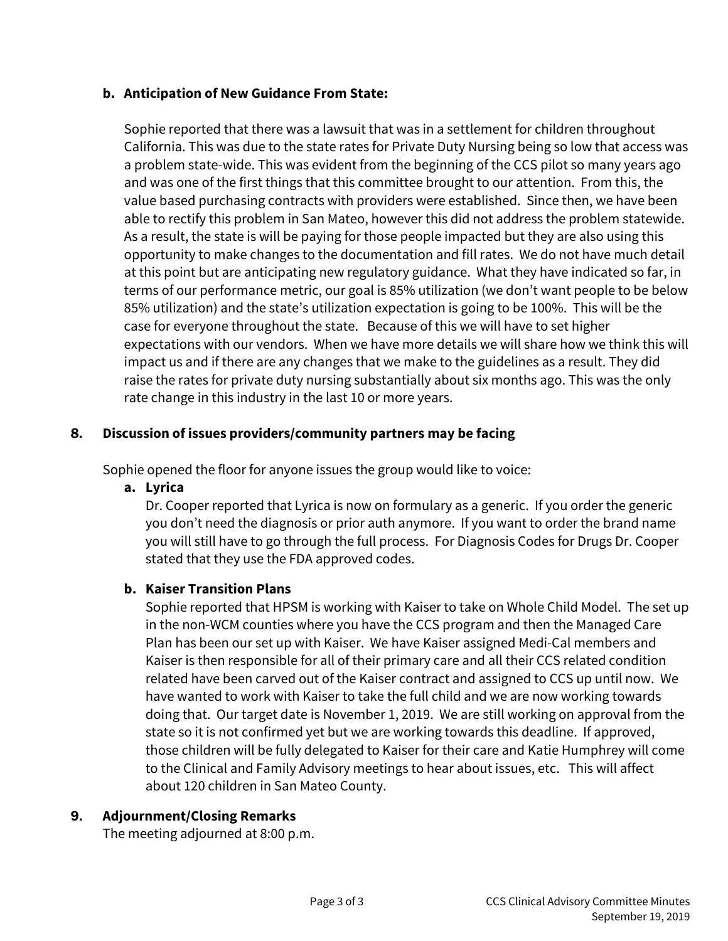### **b. Anticipation of New Guidance From State:**

Sophie reported that there was a lawsuit that was in a settlement for children throughout California. This was due to the state rates for Private Duty Nursing being so low that access was a problem state-wide. This was evident from the beginning of the CCS pilot so many years ago and was one of the first things that this committee brought to our attention. From this, the value based purchasing contracts with providers were established. Since then, we have been able to rectify this problem in San Mateo, however this did not address the problem statewide. As a result, the state is will be paying for those people impacted but they are also using this opportunity to make changes to the documentation and fill rates. We do not have much detail at this point but are anticipating new regulatory guidance. What they have indicated so far, in terms of our performance metric, our goal is 85% utilization (we don't want people to be below 85% utilization) and the state's utilization expectation is going to be 100%. This will be the case for everyone throughout the state. Because of this we will have to set higher expectations with our vendors. When we have more details we will share how we think this will impact us and if there are any changes that we make to the guidelines as a result. They did raise the rates for private duty nursing substantially about six months ago. This was the only rate change in this industry in the last 10 or more years.

### 8. **Discussion of issues providers/community partners may be facing**

Sophie opened the floor for anyone issues the group would like to voice:

**a. Lyrica** 

Dr. Cooper reported that Lyrica is now on formulary as a generic. If you order the generic you don't need the diagnosis or prior auth anymore. If you want to order the brand name you will still have to go through the full process. For Diagnosis Codes for Drugs Dr. Cooper stated that they use the FDA approved codes.

### **b. Kaiser Transition Plans**

Sophie reported that HPSM is working with Kaiser to take on Whole Child Model. The set up in the non-WCM counties where you have the CCS program and then the Managed Care Plan has been our set up with Kaiser. We have Kaiser assigned Medi-Cal members and Kaiser is then responsible for all of their primary care and all their CCS related condition related have been carved out of the Kaiser contract and assigned to CCS up until now. We have wanted to work with Kaiser to take the full child and we are now working towards doing that. Our target date is November 1, 2019. We are still working on approval from the state so it is not confirmed yet but we are working towards this deadline. If approved, those children will be fully delegated to Kaiser for their care and Katie Humphrey will come to the Clinical and Family Advisory meetings to hear about issues, etc. This will affect about 120 children in San Mateo County.

### 9. **Adjournment/Closing Remarks**

The meeting adjourned at 8:00 p.m.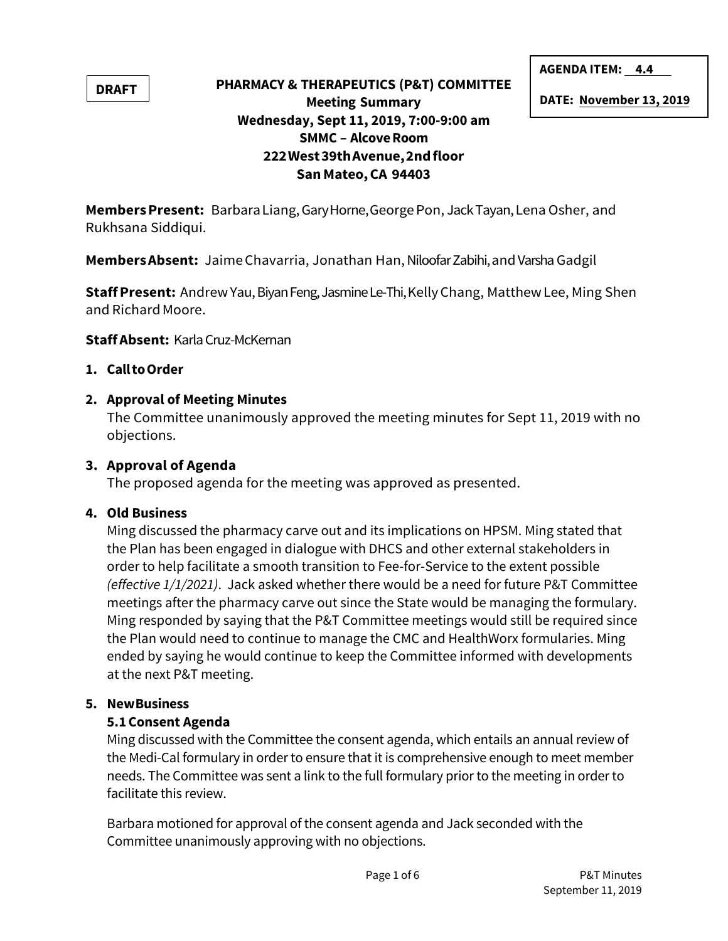**DRAFT**

## **PHARMACY & THERAPEUTICS (P&T) COMMITTEE Meeting Summary Wednesday, Sept 11, 2019, 7:00-9:00 am SMMC – Alcove Room 222 West 39th Avenue, 2nd floor San Mateo, CA 94403**

**AGENDA ITEM: 4.4**

**DATE: November 13, 2019** 

**Members Present:** Barbara Liang, Gary Horne, George Pon, Jack Tayan, Lena Osher, and Rukhsana Siddiqui.

**Members Absent:** Jaime Chavarria, Jonathan Han, Niloofar Zabihi, and Varsha Gadgil

**Staff Present:** Andrew Yau, Biyan Feng, Jasmine Le-Thi, Kelly Chang, Matthew Lee, Ming Shen and Richard Moore.

**Staff Absent:** Karla Cruz-McKernan

### **1. Call to Order**

### **2. Approval of Meeting Minutes**

The Committee unanimously approved the meeting minutes for Sept 11, 2019 with no objections.

### **3. Approval of Agenda**

The proposed agenda for the meeting was approved as presented.

### **4. Old Business**

Ming discussed the pharmacy carve out and its implications on HPSM. Ming stated that the Plan has been engaged in dialogue with DHCS and other external stakeholders in order to help facilitate a smooth transition to Fee-for-Service to the extent possible *(effective 1/1/2021)*. Jack asked whether there would be a need for future P&T Committee meetings after the pharmacy carve out since the State would be managing the formulary. Ming responded by saying that the P&T Committee meetings would still be required since the Plan would need to continue to manage the CMC and HealthWorx formularies. Ming ended by saying he would continue to keep the Committee informed with developments at the next P&T meeting.

### **5. New Business**

### **5.1Consent Agenda**

Ming discussed with the Committee the consent agenda, which entails an annual review of the Medi-Cal formulary in order to ensure that it is comprehensive enough to meet member needs. The Committee was sent a link to the full formulary prior to the meeting in order to facilitate this review.

Barbara motioned for approval of the consent agenda and Jack seconded with the Committee unanimously approving with no objections.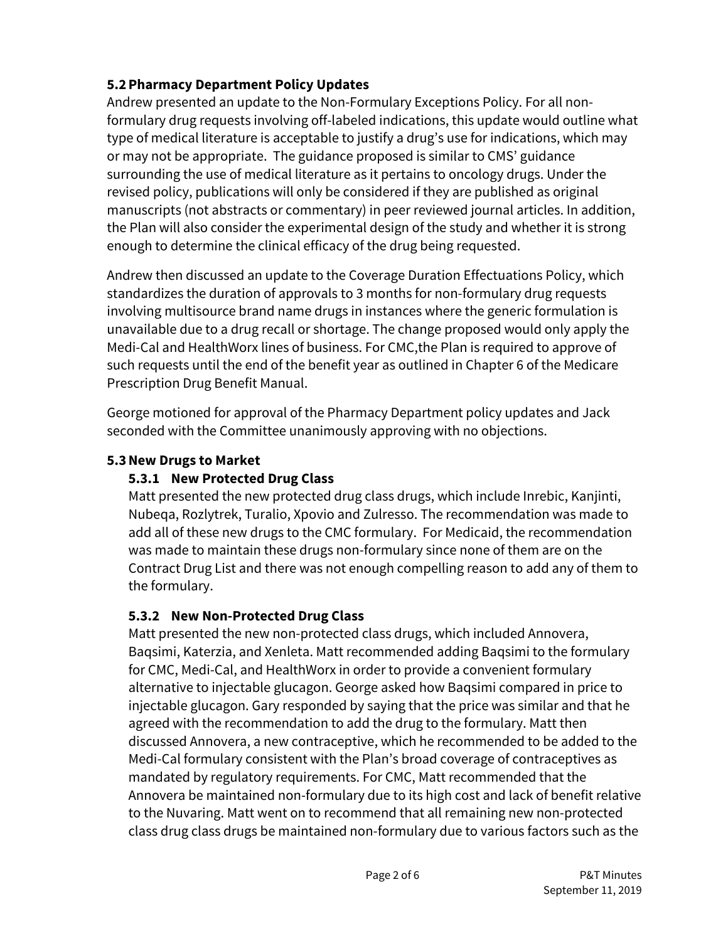## **5.2Pharmacy Department Policy Updates**

Andrew presented an update to the Non-Formulary Exceptions Policy. For all nonformulary drug requests involving off-labeled indications, this update would outline what type of medical literature is acceptable to justify a drug's use for indications, which may or may not be appropriate. The guidance proposed is similar to CMS' guidance surrounding the use of medical literature as it pertains to oncology drugs. Under the revised policy, publications will only be considered if they are published as original manuscripts (not abstracts or commentary) in peer reviewed journal articles. In addition, the Plan will also consider the experimental design of the study and whether it is strong enough to determine the clinical efficacy of the drug being requested.

Andrew then discussed an update to the Coverage Duration Effectuations Policy, which standardizes the duration of approvals to 3 months for non-formulary drug requests involving multisource brand name drugs in instances where the generic formulation is unavailable due to a drug recall or shortage. The change proposed would only apply the Medi-Cal and HealthWorx lines of business. For CMC,the Plan is required to approve of such requests until the end of the benefit year as outlined in Chapter 6 of the Medicare Prescription Drug Benefit Manual.

George motioned for approval of the Pharmacy Department policy updates and Jack seconded with the Committee unanimously approving with no objections.

### **5.3New Drugs to Market**

## **5.3.1 New Protected Drug Class**

Matt presented the new protected drug class drugs, which include Inrebic, Kanjinti, Nubeqa, Rozlytrek, Turalio, Xpovio and Zulresso. The recommendation was made to add all of these new drugs to the CMC formulary. For Medicaid, the recommendation was made to maintain these drugs non-formulary since none of them are on the Contract Drug List and there was not enough compelling reason to add any of them to the formulary.

## **5.3.2 New Non-Protected Drug Class**

Matt presented the new non-protected class drugs, which included Annovera, Baqsimi, Katerzia, and Xenleta. Matt recommended adding Baqsimi to the formulary for CMC, Medi-Cal, and HealthWorx in order to provide a convenient formulary alternative to injectable glucagon. George asked how Baqsimi compared in price to injectable glucagon. Gary responded by saying that the price was similar and that he agreed with the recommendation to add the drug to the formulary. Matt then discussed Annovera, a new contraceptive, which he recommended to be added to the Medi-Cal formulary consistent with the Plan's broad coverage of contraceptives as mandated by regulatory requirements. For CMC, Matt recommended that the Annovera be maintained non-formulary due to its high cost and lack of benefit relative to the Nuvaring. Matt went on to recommend that all remaining new non-protected class drug class drugs be maintained non-formulary due to various factors such as the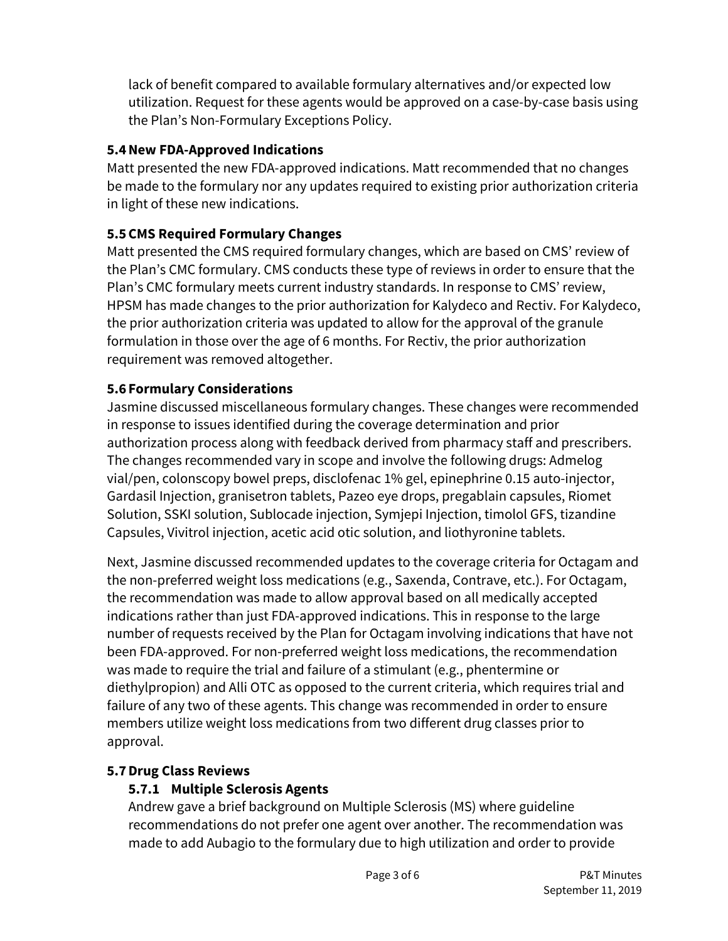lack of benefit compared to available formulary alternatives and/or expected low utilization. Request for these agents would be approved on a case-by-case basis using the Plan's Non-Formulary Exceptions Policy.

## **5.4New FDA-Approved Indications**

Matt presented the new FDA-approved indications. Matt recommended that no changes be made to the formulary nor any updates required to existing prior authorization criteria in light of these new indications.

## **5.5CMS Required Formulary Changes**

Matt presented the CMS required formulary changes, which are based on CMS' review of the Plan's CMC formulary. CMS conducts these type of reviews in order to ensure that the Plan's CMC formulary meets current industry standards. In response to CMS' review, HPSM has made changes to the prior authorization for Kalydeco and Rectiv. For Kalydeco, the prior authorization criteria was updated to allow for the approval of the granule formulation in those over the age of 6 months. For Rectiv, the prior authorization requirement was removed altogether.

## **5.6 Formulary Considerations**

Jasmine discussed miscellaneous formulary changes. These changes were recommended in response to issues identified during the coverage determination and prior authorization process along with feedback derived from pharmacy staff and prescribers. The changes recommended vary in scope and involve the following drugs: Admelog vial/pen, colonscopy bowel preps, disclofenac 1% gel, epinephrine 0.15 auto-injector, Gardasil Injection, granisetron tablets, Pazeo eye drops, pregablain capsules, Riomet Solution, SSKI solution, Sublocade injection, Symjepi Injection, timolol GFS, tizandine Capsules, Vivitrol injection, acetic acid otic solution, and liothyronine tablets.

Next, Jasmine discussed recommended updates to the coverage criteria for Octagam and the non-preferred weight loss medications (e.g., Saxenda, Contrave, etc.). For Octagam, the recommendation was made to allow approval based on all medically accepted indications rather than just FDA-approved indications. This in response to the large number of requests received by the Plan for Octagam involving indications that have not been FDA-approved. For non-preferred weight loss medications, the recommendation was made to require the trial and failure of a stimulant (e.g., phentermine or diethylpropion) and Alli OTC as opposed to the current criteria, which requires trial and failure of any two of these agents. This change was recommended in order to ensure members utilize weight loss medications from two different drug classes prior to approval.

### **5.7Drug Class Reviews**

## **5.7.1 Multiple Sclerosis Agents**

Andrew gave a brief background on Multiple Sclerosis (MS) where guideline recommendations do not prefer one agent over another. The recommendation was made to add Aubagio to the formulary due to high utilization and order to provide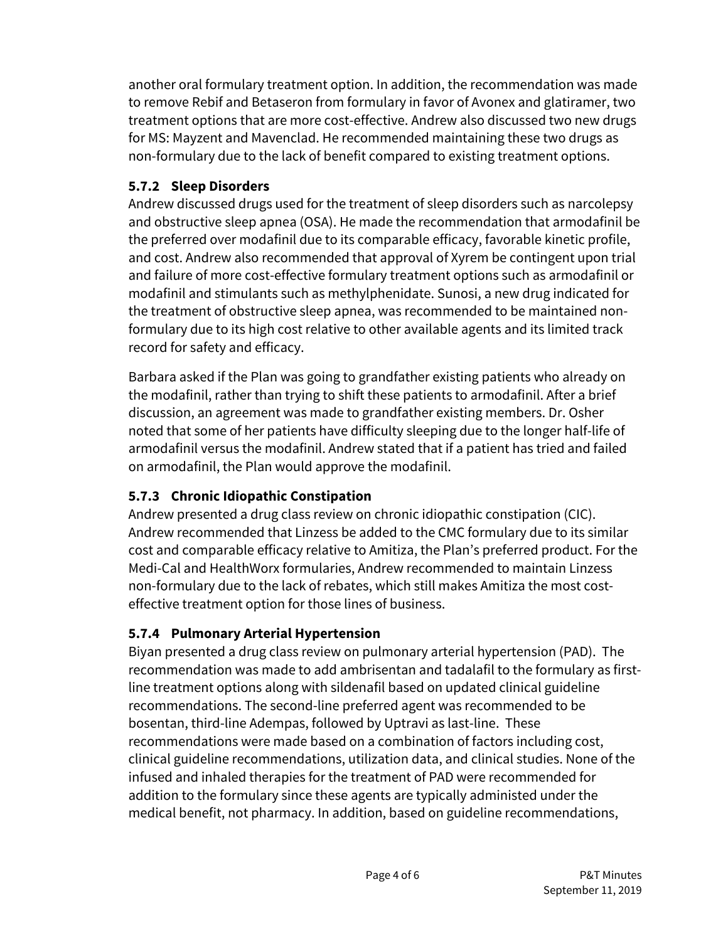another oral formulary treatment option. In addition, the recommendation was made to remove Rebif and Betaseron from formulary in favor of Avonex and glatiramer, two treatment options that are more cost-effective. Andrew also discussed two new drugs for MS: Mayzent and Mavenclad. He recommended maintaining these two drugs as non-formulary due to the lack of benefit compared to existing treatment options.

## **5.7.2 Sleep Disorders**

Andrew discussed drugs used for the treatment of sleep disorders such as narcolepsy and obstructive sleep apnea (OSA). He made the recommendation that armodafinil be the preferred over modafinil due to its comparable efficacy, favorable kinetic profile, and cost. Andrew also recommended that approval of Xyrem be contingent upon trial and failure of more cost-effective formulary treatment options such as armodafinil or modafinil and stimulants such as methylphenidate. Sunosi, a new drug indicated for the treatment of obstructive sleep apnea, was recommended to be maintained nonformulary due to its high cost relative to other available agents and its limited track record for safety and efficacy.

Barbara asked if the Plan was going to grandfather existing patients who already on the modafinil, rather than trying to shift these patients to armodafinil. After a brief discussion, an agreement was made to grandfather existing members. Dr. Osher noted that some of her patients have difficulty sleeping due to the longer half-life of armodafinil versus the modafinil. Andrew stated that if a patient has tried and failed on armodafinil, the Plan would approve the modafinil.

## **5.7.3 Chronic Idiopathic Constipation**

Andrew presented a drug class review on chronic idiopathic constipation (CIC). Andrew recommended that Linzess be added to the CMC formulary due to its similar cost and comparable efficacy relative to Amitiza, the Plan's preferred product. For the Medi-Cal and HealthWorx formularies, Andrew recommended to maintain Linzess non-formulary due to the lack of rebates, which still makes Amitiza the most costeffective treatment option for those lines of business.

## **5.7.4 Pulmonary Arterial Hypertension**

Biyan presented a drug class review on pulmonary arterial hypertension (PAD). The recommendation was made to add ambrisentan and tadalafil to the formulary as firstline treatment options along with sildenafil based on updated clinical guideline recommendations. The second-line preferred agent was recommended to be bosentan, third-line Adempas, followed by Uptravi as last-line. These recommendations were made based on a combination of factors including cost, clinical guideline recommendations, utilization data, and clinical studies. None of the infused and inhaled therapies for the treatment of PAD were recommended for addition to the formulary since these agents are typically administed under the medical benefit, not pharmacy. In addition, based on guideline recommendations,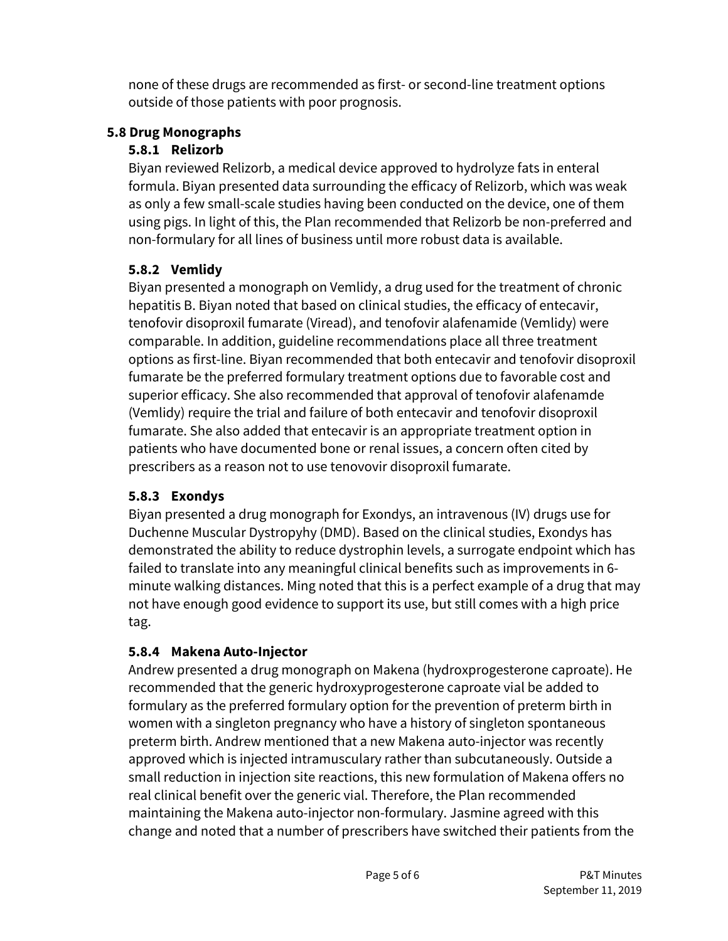none of these drugs are recommended as first- or second-line treatment options outside of those patients with poor prognosis.

## **5.8 Drug Monographs**

## **5.8.1 Relizorb**

Biyan reviewed Relizorb, a medical device approved to hydrolyze fats in enteral formula. Biyan presented data surrounding the efficacy of Relizorb, which was weak as only a few small-scale studies having been conducted on the device, one of them using pigs. In light of this, the Plan recommended that Relizorb be non-preferred and non-formulary for all lines of business until more robust data is available.

## **5.8.2 Vemlidy**

Biyan presented a monograph on Vemlidy, a drug used for the treatment of chronic hepatitis B. Biyan noted that based on clinical studies, the efficacy of entecavir, tenofovir disoproxil fumarate (Viread), and tenofovir alafenamide (Vemlidy) were comparable. In addition, guideline recommendations place all three treatment options as first-line. Biyan recommended that both entecavir and tenofovir disoproxil fumarate be the preferred formulary treatment options due to favorable cost and superior efficacy. She also recommended that approval of tenofovir alafenamde (Vemlidy) require the trial and failure of both entecavir and tenofovir disoproxil fumarate. She also added that entecavir is an appropriate treatment option in patients who have documented bone or renal issues, a concern often cited by prescribers as a reason not to use tenovovir disoproxil fumarate.

## **5.8.3 Exondys**

Biyan presented a drug monograph for Exondys, an intravenous (IV) drugs use for Duchenne Muscular Dystropyhy (DMD). Based on the clinical studies, Exondys has demonstrated the ability to reduce dystrophin levels, a surrogate endpoint which has failed to translate into any meaningful clinical benefits such as improvements in 6 minute walking distances. Ming noted that this is a perfect example of a drug that may not have enough good evidence to support its use, but still comes with a high price tag.

## **5.8.4 Makena Auto-Injector**

Andrew presented a drug monograph on Makena (hydroxprogesterone caproate). He recommended that the generic hydroxyprogesterone caproate vial be added to formulary as the preferred formulary option for the prevention of preterm birth in women with a singleton pregnancy who have a history of singleton spontaneous preterm birth. Andrew mentioned that a new Makena auto-injector was recently approved which is injected intramusculary rather than subcutaneously. Outside a small reduction in injection site reactions, this new formulation of Makena offers no real clinical benefit over the generic vial. Therefore, the Plan recommended maintaining the Makena auto-injector non-formulary. Jasmine agreed with this change and noted that a number of prescribers have switched their patients from the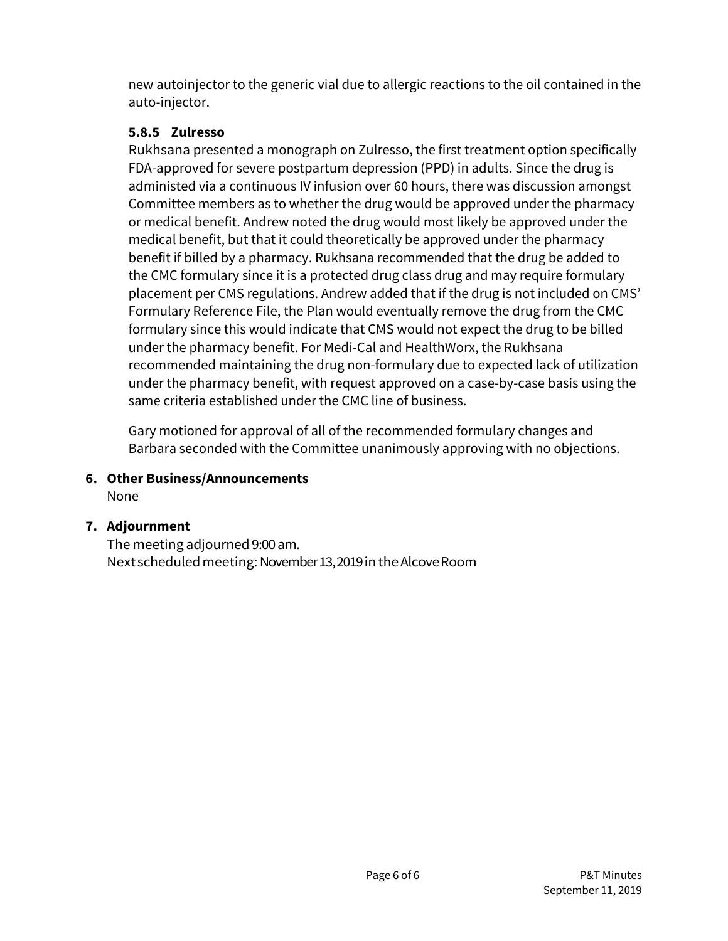new autoinjector to the generic vial due to allergic reactions to the oil contained in the auto-injector.

## **5.8.5 Zulresso**

Rukhsana presented a monograph on Zulresso, the first treatment option specifically FDA-approved for severe postpartum depression (PPD) in adults. Since the drug is administed via a continuous IV infusion over 60 hours, there was discussion amongst Committee members as to whether the drug would be approved under the pharmacy or medical benefit. Andrew noted the drug would most likely be approved under the medical benefit, but that it could theoretically be approved under the pharmacy benefit if billed by a pharmacy. Rukhsana recommended that the drug be added to the CMC formulary since it is a protected drug class drug and may require formulary placement per CMS regulations. Andrew added that if the drug is not included on CMS' Formulary Reference File, the Plan would eventually remove the drug from the CMC formulary since this would indicate that CMS would not expect the drug to be billed under the pharmacy benefit. For Medi-Cal and HealthWorx, the Rukhsana recommended maintaining the drug non-formulary due to expected lack of utilization under the pharmacy benefit, with request approved on a case-by-case basis using the same criteria established under the CMC line of business.

Gary motioned for approval of all of the recommended formulary changes and Barbara seconded with the Committee unanimously approving with no objections.

**6. Other Business/Announcements** 

None

## **7. Adjournment**

The meeting adjourned 9:00 am. Next scheduled meeting: November 13, 2019 in the Alcove Room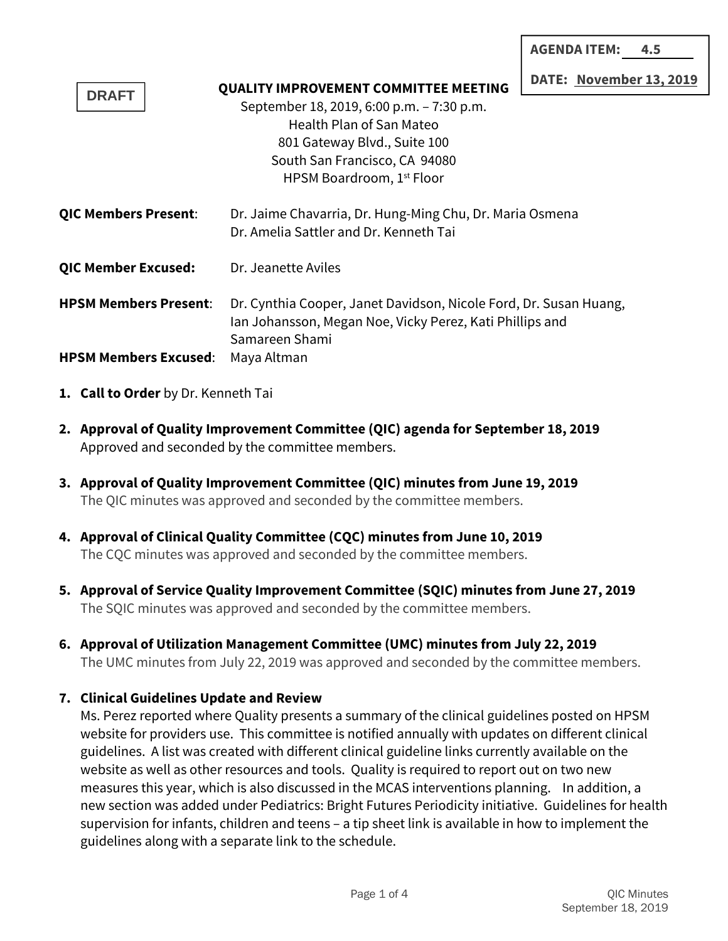| <b>AGENDA ITEM:</b><br>4.5 |  |
|----------------------------|--|
|----------------------------|--|

**November 13, 2019** 

| <b>DRAFT</b>                 | DUIL, MOVCHIN<br><b>QUALITY IMPROVEMENT COMMITTEE MEETING</b>                                                                                   |
|------------------------------|-------------------------------------------------------------------------------------------------------------------------------------------------|
|                              | September 18, 2019, 6:00 p.m. - 7:30 p.m.                                                                                                       |
|                              | <b>Health Plan of San Mateo</b>                                                                                                                 |
|                              | 801 Gateway Blvd., Suite 100                                                                                                                    |
|                              | South San Francisco, CA 94080                                                                                                                   |
|                              | HPSM Boardroom, 1 <sup>st</sup> Floor                                                                                                           |
| QIC Members Present:         | Dr. Jaime Chavarria, Dr. Hung-Ming Chu, Dr. Maria Osmena<br>Dr. Amelia Sattler and Dr. Kenneth Tai                                              |
| <b>QIC Member Excused:</b>   | Dr. Jeanette Aviles                                                                                                                             |
| <b>HPSM Members Present:</b> | Dr. Cynthia Cooper, Janet Davidson, Nicole Ford, Dr. Susan Huang,<br>Ian Johansson, Megan Noe, Vicky Perez, Kati Phillips and<br>Samareen Shami |
| <b>HPSM Members Excused:</b> | Maya Altman                                                                                                                                     |

- **1. Call to Order** by Dr. Kenneth Tai
- **2. Approval of Quality Improvement Committee (QIC) agenda for September 18, 2019** Approved and seconded by the committee members.
- **3. Approval of Quality Improvement Committee (QIC) minutes from June 19, 2019** The QIC minutes was approved and seconded by the committee members.
- **4. Approval of Clinical Quality Committee (CQC) minutes from June 10, 2019** The CQC minutes was approved and seconded by the committee members.
- **5. Approval of Service Quality Improvement Committee (SQIC) minutes from June 27, 2019** The SQIC minutes was approved and seconded by the committee members.
- **6. Approval of Utilization Management Committee (UMC) minutes from July 22, 2019** The UMC minutes from July 22, 2019 was approved and seconded by the committee members.

### **7. Clinical Guidelines Update and Review**

Ms. Perez reported where Quality presents a summary of the clinical guidelines posted on HPSM website for providers use. This committee is notified annually with updates on different clinical guidelines. A list was created with different clinical guideline links currently available on the website as well as other resources and tools. Quality is required to report out on two new measures this year, which is also discussed in the MCAS interventions planning. In addition, a new section was added under Pediatrics: Bright Futures Periodicity initiative. Guidelines for health supervision for infants, children and teens – a tip sheet link is available in how to implement the guidelines along with a separate link to the schedule.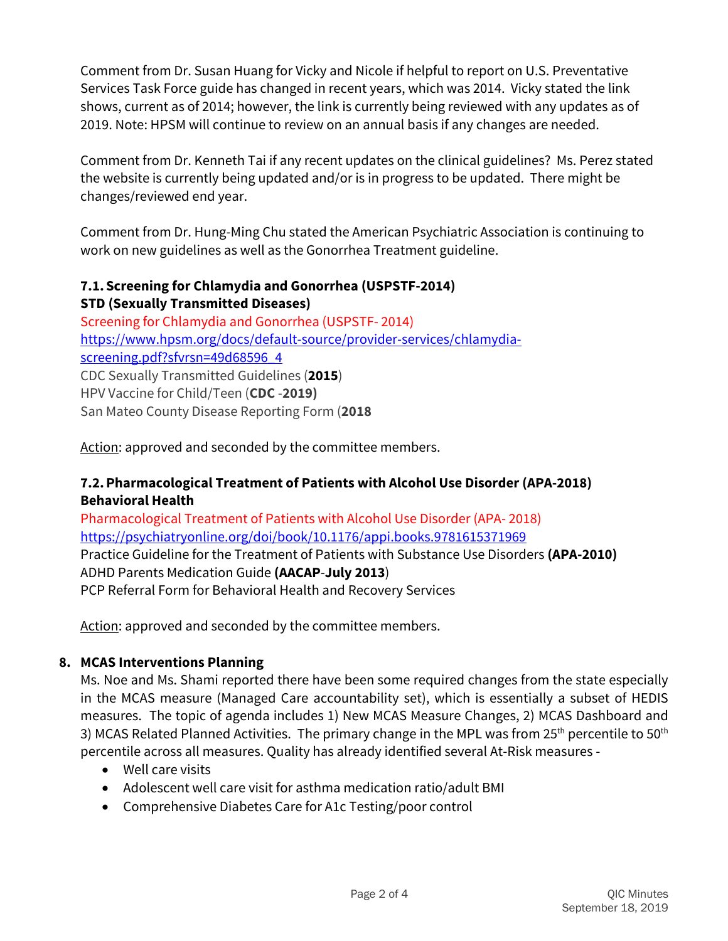Comment from Dr. Susan Huang for Vicky and Nicole if helpful to report on U.S. Preventative Services Task Force guide has changed in recent years, which was 2014. Vicky stated the link shows, current as of 2014; however, the link is currently being reviewed with any updates as of 2019. Note: HPSM will continue to review on an annual basis if any changes are needed.

Comment from Dr. Kenneth Tai if any recent updates on the clinical guidelines? Ms. Perez stated the website is currently being updated and/or is in progress to be updated. There might be changes/reviewed end year.

Comment from Dr. Hung-Ming Chu stated the American Psychiatric Association is continuing to work on new guidelines as well as the Gonorrhea Treatment guideline.

### **7.1. Screening for Chlamydia and Gonorrhea (USPSTF-2014) STD (Sexually Transmitted Diseases)**

Screening for Chlamydia and Gonorrhea (USPSTF- 2014) https://www.hpsm.org/docs/default-source/provider-services/chlamydiascreening.pdf?sfvrsn=49d68596\_4 CDC Sexually Transmitted Guidelines (**2015**) HPV Vaccine for Child/Teen (**CDC** -**2019)** San Mateo County Disease Reporting Form (**2018** 

Action: approved and seconded by the committee members.

### **7.2.Pharmacological Treatment of Patients with Alcohol Use Disorder (APA-2018) Behavioral Health**

Pharmacological Treatment of Patients with Alcohol Use Disorder (APA- 2018) https://psychiatryonline.org/doi/book/10.1176/appi.books.9781615371969 Practice Guideline for the Treatment of Patients with Substance Use Disorders **(APA-2010)**  ADHD Parents Medication Guide **(AACAP**-**July 2013**) PCP Referral Form for Behavioral Health and Recovery Services

Action: approved and seconded by the committee members.

## **8. MCAS Interventions Planning**

Ms. Noe and Ms. Shami reported there have been some required changes from the state especially in the MCAS measure (Managed Care accountability set), which is essentially a subset of HEDIS measures. The topic of agenda includes 1) New MCAS Measure Changes, 2) MCAS Dashboard and 3) MCAS Related Planned Activities. The primary change in the MPL was from  $25<sup>th</sup>$  percentile to  $50<sup>th</sup>$ percentile across all measures. Quality has already identified several At-Risk measures -

- Well care visits
- Adolescent well care visit for asthma medication ratio/adult BMI
- Comprehensive Diabetes Care for A1c Testing/poor control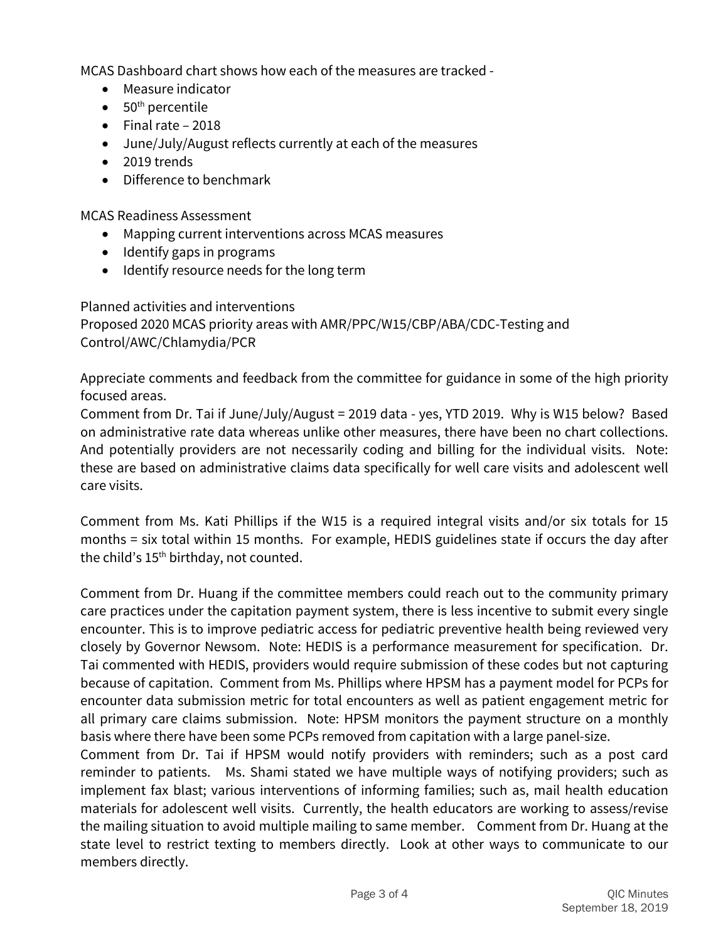MCAS Dashboard chart shows how each of the measures are tracked -

- Measure indicator
- $\bullet$  50<sup>th</sup> percentile
- Final rate 2018
- June/July/August reflects currently at each of the measures
- 2019 trends
- Difference to benchmark

MCAS Readiness Assessment

- Mapping current interventions across MCAS measures
- $\bullet$  Identify gaps in programs
- Identify resource needs for the long term

Planned activities and interventions Proposed 2020 MCAS priority areas with AMR/PPC/W15/CBP/ABA/CDC-Testing and Control/AWC/Chlamydia/PCR

Appreciate comments and feedback from the committee for guidance in some of the high priority focused areas.

Comment from Dr. Tai if June/July/August = 2019 data - yes, YTD 2019. Why is W15 below? Based on administrative rate data whereas unlike other measures, there have been no chart collections. And potentially providers are not necessarily coding and billing for the individual visits. Note: these are based on administrative claims data specifically for well care visits and adolescent well care visits.

Comment from Ms. Kati Phillips if the W15 is a required integral visits and/or six totals for 15 months = six total within 15 months. For example, HEDIS guidelines state if occurs the day after the child's  $15<sup>th</sup>$  birthday, not counted.

Comment from Dr. Huang if the committee members could reach out to the community primary care practices under the capitation payment system, there is less incentive to submit every single encounter. This is to improve pediatric access for pediatric preventive health being reviewed very closely by Governor Newsom. Note: HEDIS is a performance measurement for specification. Dr. Tai commented with HEDIS, providers would require submission of these codes but not capturing because of capitation. Comment from Ms. Phillips where HPSM has a payment model for PCPs for encounter data submission metric for total encounters as well as patient engagement metric for all primary care claims submission. Note: HPSM monitors the payment structure on a monthly basis where there have been some PCPs removed from capitation with a large panel-size.

Comment from Dr. Tai if HPSM would notify providers with reminders; such as a post card reminder to patients. Ms. Shami stated we have multiple ways of notifying providers; such as implement fax blast; various interventions of informing families; such as, mail health education materials for adolescent well visits. Currently, the health educators are working to assess/revise the mailing situation to avoid multiple mailing to same member. Comment from Dr. Huang at the state level to restrict texting to members directly. Look at other ways to communicate to our members directly.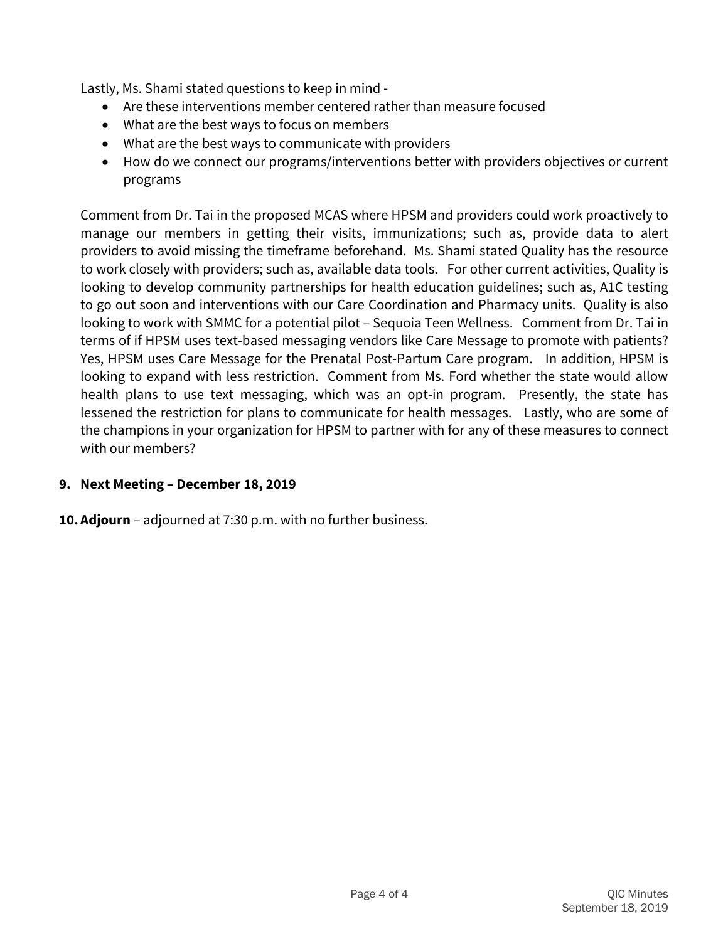Lastly, Ms. Shami stated questions to keep in mind -

- Are these interventions member centered rather than measure focused
- What are the best ways to focus on members
- What are the best ways to communicate with providers
- How do we connect our programs/interventions better with providers objectives or current programs

Comment from Dr. Tai in the proposed MCAS where HPSM and providers could work proactively to manage our members in getting their visits, immunizations; such as, provide data to alert providers to avoid missing the timeframe beforehand. Ms. Shami stated Quality has the resource to work closely with providers; such as, available data tools. For other current activities, Quality is looking to develop community partnerships for health education guidelines; such as, A1C testing to go out soon and interventions with our Care Coordination and Pharmacy units. Quality is also looking to work with SMMC for a potential pilot – Sequoia Teen Wellness. Comment from Dr. Tai in terms of if HPSM uses text-based messaging vendors like Care Message to promote with patients? Yes, HPSM uses Care Message for the Prenatal Post-Partum Care program. In addition, HPSM is looking to expand with less restriction. Comment from Ms. Ford whether the state would allow health plans to use text messaging, which was an opt-in program. Presently, the state has lessened the restriction for plans to communicate for health messages. Lastly, who are some of the champions in your organization for HPSM to partner with for any of these measures to connect with our members?

### **9. Next Meeting – December 18, 2019**

**10.Adjourn** – adjourned at 7:30 p.m. with no further business.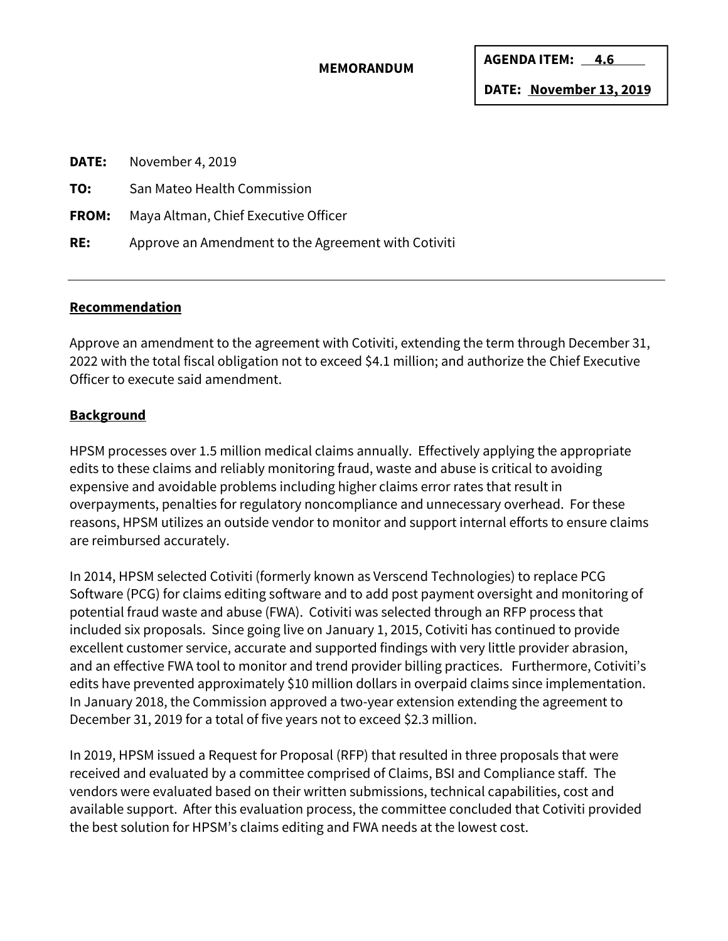#### **MEMORANDUM**

**AGENDA ITEM: 4.6** 

**DATE: November 13, 2019** 

| November 4, 2019<br>DATE:                           |
|-----------------------------------------------------|
| San Mateo Health Commission                         |
| Maya Altman, Chief Executive Officer                |
| Approve an Amendment to the Agreement with Cotiviti |
|                                                     |

#### **Recommendation**

Approve an amendment to the agreement with Cotiviti, extending the term through December 31, 2022 with the total fiscal obligation not to exceed \$4.1 million; and authorize the Chief Executive Officer to execute said amendment.

### **Background**

HPSM processes over 1.5 million medical claims annually. Effectively applying the appropriate edits to these claims and reliably monitoring fraud, waste and abuse is critical to avoiding expensive and avoidable problems including higher claims error rates that result in overpayments, penalties for regulatory noncompliance and unnecessary overhead. For these reasons, HPSM utilizes an outside vendor to monitor and support internal efforts to ensure claims are reimbursed accurately.

In 2014, HPSM selected Cotiviti (formerly known as Verscend Technologies) to replace PCG Software (PCG) for claims editing software and to add post payment oversight and monitoring of potential fraud waste and abuse (FWA). Cotiviti was selected through an RFP process that included six proposals. Since going live on January 1, 2015, Cotiviti has continued to provide excellent customer service, accurate and supported findings with very little provider abrasion, and an effective FWA tool to monitor and trend provider billing practices. Furthermore, Cotiviti's edits have prevented approximately \$10 million dollars in overpaid claims since implementation. In January 2018, the Commission approved a two-year extension extending the agreement to December 31, 2019 for a total of five years not to exceed \$2.3 million.

In 2019, HPSM issued a Request for Proposal (RFP) that resulted in three proposals that were received and evaluated by a committee comprised of Claims, BSI and Compliance staff. The vendors were evaluated based on their written submissions, technical capabilities, cost and available support. After this evaluation process, the committee concluded that Cotiviti provided the best solution for HPSM's claims editing and FWA needs at the lowest cost.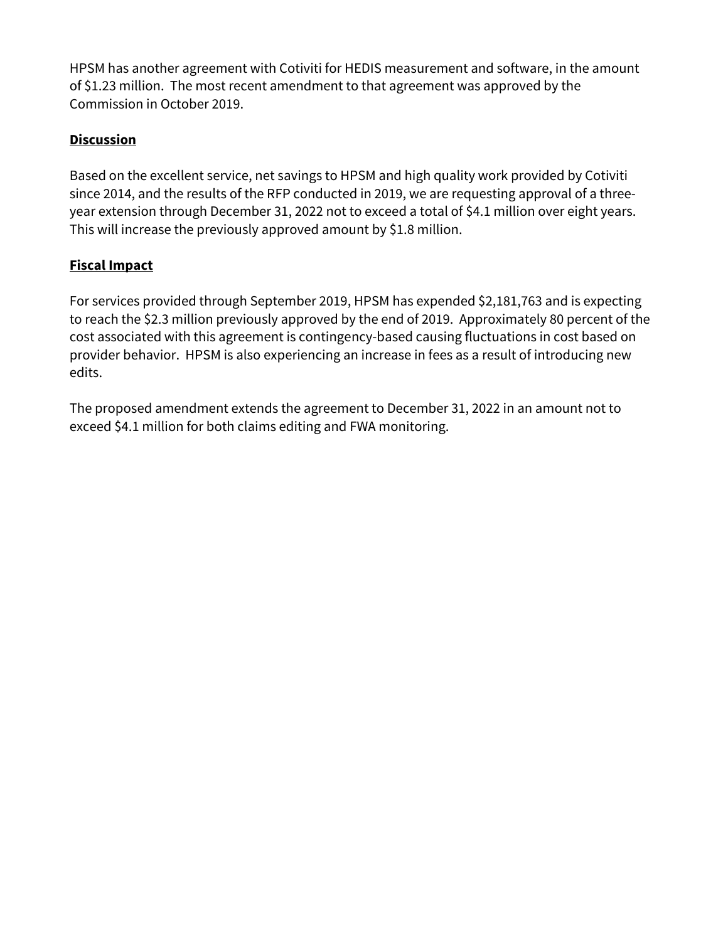HPSM has another agreement with Cotiviti for HEDIS measurement and software, in the amount of \$1.23 million. The most recent amendment to that agreement was approved by the Commission in October 2019.

## **Discussion**

Based on the excellent service, net savings to HPSM and high quality work provided by Cotiviti since 2014, and the results of the RFP conducted in 2019, we are requesting approval of a threeyear extension through December 31, 2022 not to exceed a total of \$4.1 million over eight years. This will increase the previously approved amount by \$1.8 million.

### **Fiscal Impact**

For services provided through September 2019, HPSM has expended \$2,181,763 and is expecting to reach the \$2.3 million previously approved by the end of 2019. Approximately 80 percent of the cost associated with this agreement is contingency-based causing fluctuations in cost based on provider behavior. HPSM is also experiencing an increase in fees as a result of introducing new edits.

The proposed amendment extends the agreement to December 31, 2022 in an amount not to exceed \$4.1 million for both claims editing and FWA monitoring.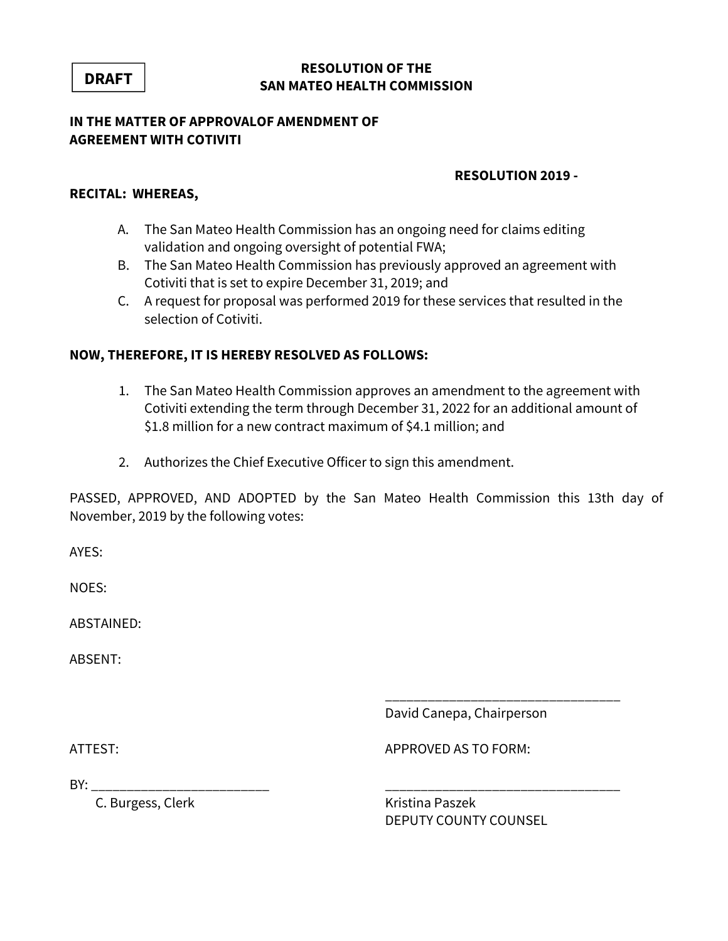### **RESOLUTION OF THE SAN MATEO HEALTH COMMISSION**

#### **IN THE MATTER OF APPROVALOF AMENDMENT OF AGREEMENT WITH COTIVITI**

#### **RESOLUTION 2019 -**

#### **RECITAL: WHEREAS,**

- A. The San Mateo Health Commission has an ongoing need for claims editing validation and ongoing oversight of potential FWA;
- B. The San Mateo Health Commission has previously approved an agreement with Cotiviti that is set to expire December 31, 2019; and
- C. A request for proposal was performed 2019 for these services that resulted in the selection of Cotiviti.

### **NOW, THEREFORE, IT IS HEREBY RESOLVED AS FOLLOWS:**

- 1. The San Mateo Health Commission approves an amendment to the agreement with Cotiviti extending the term through December 31, 2022 for an additional amount of \$1.8 million for a new contract maximum of \$4.1 million; and
- 2. Authorizes the Chief Executive Officer to sign this amendment.

PASSED, APPROVED, AND ADOPTED by the San Mateo Health Commission this 13th day of November, 2019 by the following votes:

\_\_\_\_\_\_\_\_\_\_\_\_\_\_\_\_\_\_\_\_\_\_\_\_\_\_\_\_\_\_\_\_\_

AYES:

NOES:

ABSTAINED:

ABSENT:

David Canepa, Chairperson

ATTEST: AND A PERSONED AS TO FORM:

 $BY:$ 

C. Burgess, Clerk Kristina Paszek

DEPUTY COUNTY COUNSEL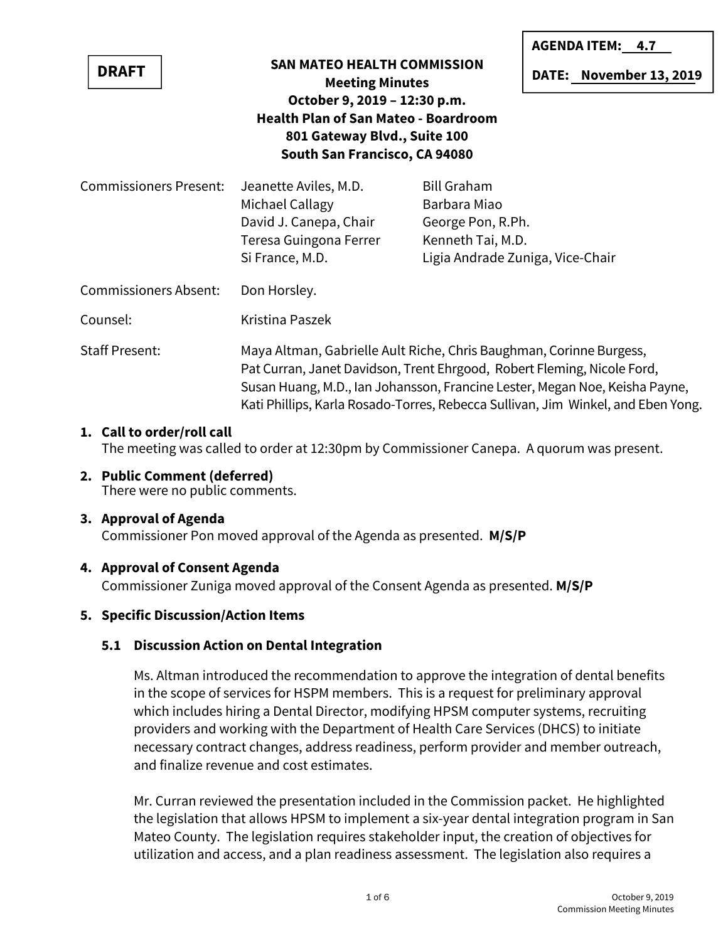|                                                                                                                                              |                                                                                                                                                                                                                                                                                                                   |                                                                                                                  | <b>AGENDA ITEM: 4.7</b> |  |
|----------------------------------------------------------------------------------------------------------------------------------------------|-------------------------------------------------------------------------------------------------------------------------------------------------------------------------------------------------------------------------------------------------------------------------------------------------------------------|------------------------------------------------------------------------------------------------------------------|-------------------------|--|
| <b>DRAFT</b>                                                                                                                                 | <b>SAN MATEO HEALTH COMMISSION</b><br><b>Meeting Minutes</b>                                                                                                                                                                                                                                                      |                                                                                                                  | DATE: November 13, 2019 |  |
| October 9, 2019 - 12:30 p.m.<br><b>Health Plan of San Mateo - Boardroom</b><br>801 Gateway Blvd., Suite 100<br>South San Francisco, CA 94080 |                                                                                                                                                                                                                                                                                                                   |                                                                                                                  |                         |  |
| <b>Commissioners Present:</b>                                                                                                                | Jeanette Aviles, M.D.<br>Michael Callagy<br>David J. Canepa, Chair<br>Teresa Guingona Ferrer<br>Si France, M.D.                                                                                                                                                                                                   | <b>Bill Graham</b><br>Barbara Miao<br>George Pon, R.Ph.<br>Kenneth Tai, M.D.<br>Ligia Andrade Zuniga, Vice-Chair |                         |  |
| <b>Commissioners Absent:</b>                                                                                                                 | Don Horsley.                                                                                                                                                                                                                                                                                                      |                                                                                                                  |                         |  |
| Counsel:                                                                                                                                     | Kristina Paszek                                                                                                                                                                                                                                                                                                   |                                                                                                                  |                         |  |
| <b>Staff Present:</b>                                                                                                                        | Maya Altman, Gabrielle Ault Riche, Chris Baughman, Corinne Burgess,<br>Pat Curran, Janet Davidson, Trent Ehrgood, Robert Fleming, Nicole Ford,<br>Susan Huang, M.D., Ian Johansson, Francine Lester, Megan Noe, Keisha Payne,<br>Kati Phillips, Karla Rosado-Torres, Rebecca Sullivan, Jim Winkel, and Eben Yong. |                                                                                                                  |                         |  |

#### **1. Call to order/roll call**

The meeting was called to order at 12:30pm by Commissioner Canepa. A quorum was present.

**2. Public Comment (deferred)** There were no public comments.

### **3. Approval of Agenda**

Commissioner Pon moved approval of the Agenda as presented. **M/S/P**

#### **4. Approval of Consent Agenda**

Commissioner Zuniga moved approval of the Consent Agenda as presented. **M/S/P**

### **5. Specific Discussion/Action Items**

### **5.1 Discussion Action on Dental Integration**

Ms. Altman introduced the recommendation to approve the integration of dental benefits in the scope of services for HSPM members. This is a request for preliminary approval which includes hiring a Dental Director, modifying HPSM computer systems, recruiting providers and working with the Department of Health Care Services (DHCS) to initiate necessary contract changes, address readiness, perform provider and member outreach, and finalize revenue and cost estimates.

Mr. Curran reviewed the presentation included in the Commission packet. He highlighted the legislation that allows HPSM to implement a six-year dental integration program in San Mateo County. The legislation requires stakeholder input, the creation of objectives for utilization and access, and a plan readiness assessment. The legislation also requires a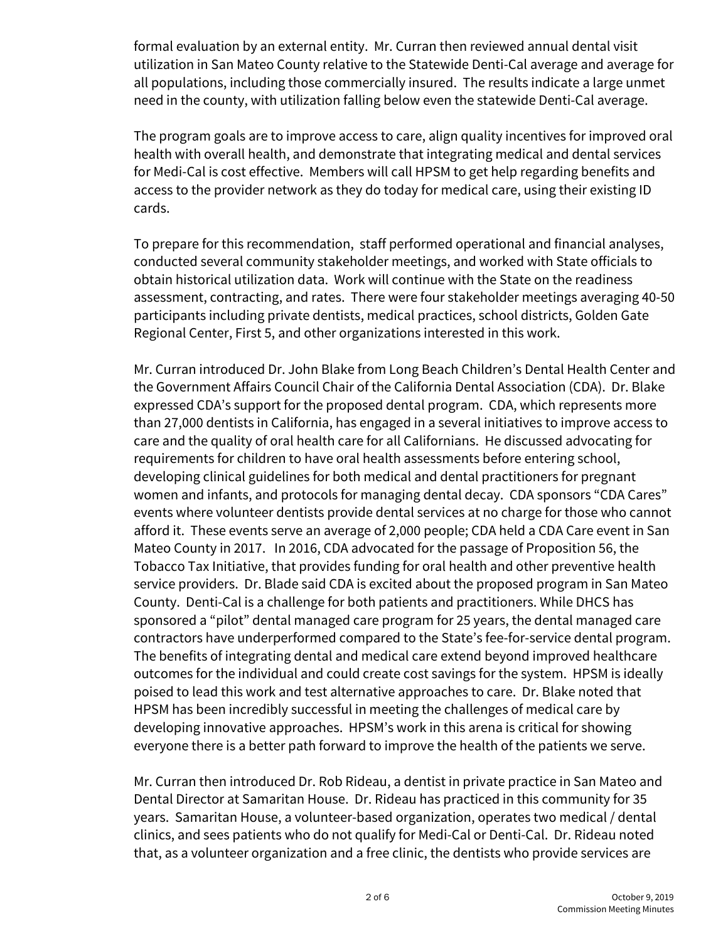formal evaluation by an external entity. Mr. Curran then reviewed annual dental visit utilization in San Mateo County relative to the Statewide Denti-Cal average and average for all populations, including those commercially insured. The results indicate a large unmet need in the county, with utilization falling below even the statewide Denti-Cal average.

The program goals are to improve access to care, align quality incentives for improved oral health with overall health, and demonstrate that integrating medical and dental services for Medi-Cal is cost effective. Members will call HPSM to get help regarding benefits and access to the provider network as they do today for medical care, using their existing ID cards.

To prepare for this recommendation, staff performed operational and financial analyses, conducted several community stakeholder meetings, and worked with State officials to obtain historical utilization data. Work will continue with the State on the readiness assessment, contracting, and rates. There were four stakeholder meetings averaging 40-50 participants including private dentists, medical practices, school districts, Golden Gate Regional Center, First 5, and other organizations interested in this work.

Mr. Curran introduced Dr. John Blake from Long Beach Children's Dental Health Center and the Government Affairs Council Chair of the California Dental Association (CDA). Dr. Blake expressed CDA's support for the proposed dental program. CDA, which represents more than 27,000 dentists in California, has engaged in a several initiatives to improve access to care and the quality of oral health care for all Californians. He discussed advocating for requirements for children to have oral health assessments before entering school, developing clinical guidelines for both medical and dental practitioners for pregnant women and infants, and protocols for managing dental decay. CDA sponsors "CDA Cares" events where volunteer dentists provide dental services at no charge for those who cannot afford it. These events serve an average of 2,000 people; CDA held a CDA Care event in San Mateo County in 2017. In 2016, CDA advocated for the passage of Proposition 56, the Tobacco Tax Initiative, that provides funding for oral health and other preventive health service providers. Dr. Blade said CDA is excited about the proposed program in San Mateo County. Denti-Cal is a challenge for both patients and practitioners. While DHCS has sponsored a "pilot" dental managed care program for 25 years, the dental managed care contractors have underperformed compared to the State's fee-for-service dental program. The benefits of integrating dental and medical care extend beyond improved healthcare outcomes for the individual and could create cost savings for the system. HPSM is ideally poised to lead this work and test alternative approaches to care. Dr. Blake noted that HPSM has been incredibly successful in meeting the challenges of medical care by developing innovative approaches. HPSM's work in this arena is critical for showing everyone there is a better path forward to improve the health of the patients we serve.

Mr. Curran then introduced Dr. Rob Rideau, a dentist in private practice in San Mateo and Dental Director at Samaritan House. Dr. Rideau has practiced in this community for 35 years. Samaritan House, a volunteer-based organization, operates two medical / dental clinics, and sees patients who do not qualify for Medi-Cal or Denti-Cal. Dr. Rideau noted that, as a volunteer organization and a free clinic, the dentists who provide services are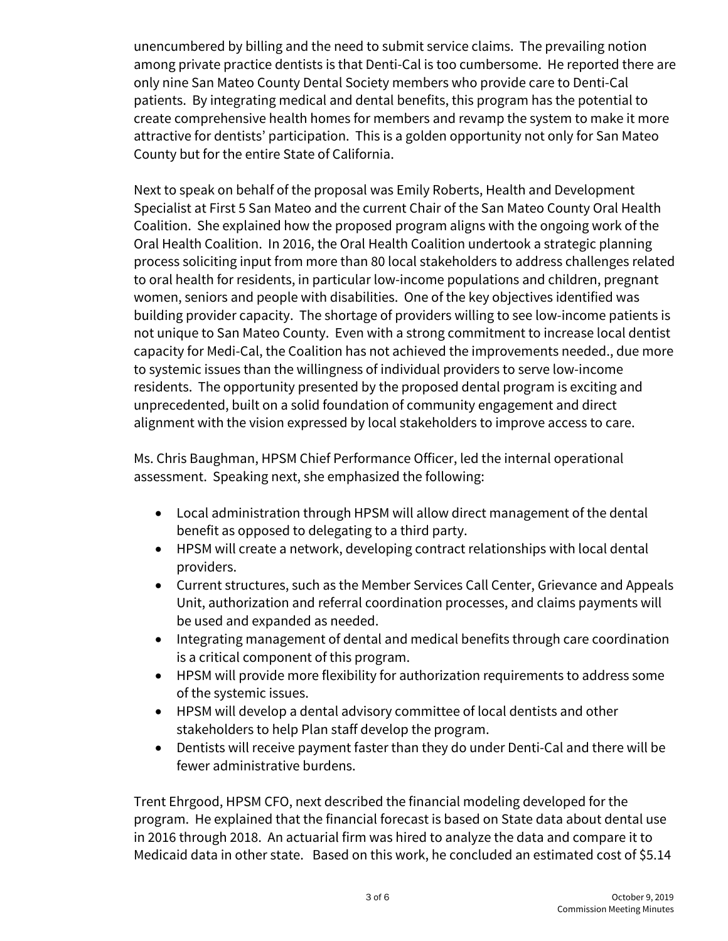unencumbered by billing and the need to submit service claims. The prevailing notion among private practice dentists is that Denti-Cal is too cumbersome. He reported there are only nine San Mateo County Dental Society members who provide care to Denti-Cal patients. By integrating medical and dental benefits, this program has the potential to create comprehensive health homes for members and revamp the system to make it more attractive for dentists' participation. This is a golden opportunity not only for San Mateo County but for the entire State of California.

Next to speak on behalf of the proposal was Emily Roberts, Health and Development Specialist at First 5 San Mateo and the current Chair of the San Mateo County Oral Health Coalition. She explained how the proposed program aligns with the ongoing work of the Oral Health Coalition. In 2016, the Oral Health Coalition undertook a strategic planning process soliciting input from more than 80 local stakeholders to address challenges related to oral health for residents, in particular low-income populations and children, pregnant women, seniors and people with disabilities. One of the key objectives identified was building provider capacity. The shortage of providers willing to see low-income patients is not unique to San Mateo County. Even with a strong commitment to increase local dentist capacity for Medi-Cal, the Coalition has not achieved the improvements needed., due more to systemic issues than the willingness of individual providers to serve low-income residents. The opportunity presented by the proposed dental program is exciting and unprecedented, built on a solid foundation of community engagement and direct alignment with the vision expressed by local stakeholders to improve access to care.

Ms. Chris Baughman, HPSM Chief Performance Officer, led the internal operational assessment. Speaking next, she emphasized the following:

- Local administration through HPSM will allow direct management of the dental benefit as opposed to delegating to a third party.
- HPSM will create a network, developing contract relationships with local dental providers.
- Current structures, such as the Member Services Call Center, Grievance and Appeals Unit, authorization and referral coordination processes, and claims payments will be used and expanded as needed.
- Integrating management of dental and medical benefits through care coordination is a critical component of this program.
- HPSM will provide more flexibility for authorization requirements to address some of the systemic issues.
- HPSM will develop a dental advisory committee of local dentists and other stakeholders to help Plan staff develop the program.
- Dentists will receive payment faster than they do under Denti-Cal and there will be fewer administrative burdens.

Trent Ehrgood, HPSM CFO, next described the financial modeling developed for the program. He explained that the financial forecast is based on State data about dental use in 2016 through 2018. An actuarial firm was hired to analyze the data and compare it to Medicaid data in other state. Based on this work, he concluded an estimated cost of \$5.14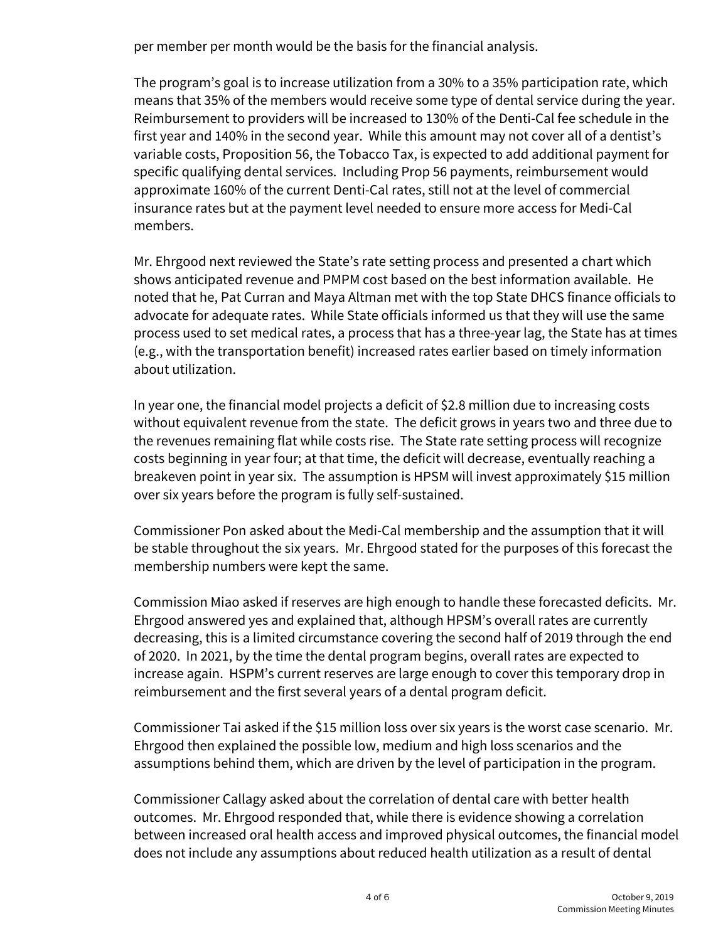per member per month would be the basis for the financial analysis.

The program's goal is to increase utilization from a 30% to a 35% participation rate, which means that 35% of the members would receive some type of dental service during the year. Reimbursement to providers will be increased to 130% of the Denti-Cal fee schedule in the first year and 140% in the second year. While this amount may not cover all of a dentist's variable costs, Proposition 56, the Tobacco Tax, is expected to add additional payment for specific qualifying dental services. Including Prop 56 payments, reimbursement would approximate 160% of the current Denti-Cal rates, still not at the level of commercial insurance rates but at the payment level needed to ensure more access for Medi-Cal members.

Mr. Ehrgood next reviewed the State's rate setting process and presented a chart which shows anticipated revenue and PMPM cost based on the best information available. He noted that he, Pat Curran and Maya Altman met with the top State DHCS finance officials to advocate for adequate rates. While State officials informed us that they will use the same process used to set medical rates, a process that has a three-year lag, the State has at times (e.g., with the transportation benefit) increased rates earlier based on timely information about utilization.

In year one, the financial model projects a deficit of \$2.8 million due to increasing costs without equivalent revenue from the state. The deficit grows in years two and three due to the revenues remaining flat while costs rise. The State rate setting process will recognize costs beginning in year four; at that time, the deficit will decrease, eventually reaching a breakeven point in year six. The assumption is HPSM will invest approximately \$15 million over six years before the program is fully self-sustained.

Commissioner Pon asked about the Medi-Cal membership and the assumption that it will be stable throughout the six years. Mr. Ehrgood stated for the purposes of this forecast the membership numbers were kept the same.

Commission Miao asked if reserves are high enough to handle these forecasted deficits. Mr. Ehrgood answered yes and explained that, although HPSM's overall rates are currently decreasing, this is a limited circumstance covering the second half of 2019 through the end of 2020. In 2021, by the time the dental program begins, overall rates are expected to increase again. HSPM's current reserves are large enough to cover this temporary drop in reimbursement and the first several years of a dental program deficit.

Commissioner Tai asked if the \$15 million loss over six years is the worst case scenario. Mr. Ehrgood then explained the possible low, medium and high loss scenarios and the assumptions behind them, which are driven by the level of participation in the program.

Commissioner Callagy asked about the correlation of dental care with better health outcomes. Mr. Ehrgood responded that, while there is evidence showing a correlation between increased oral health access and improved physical outcomes, the financial model does not include any assumptions about reduced health utilization as a result of dental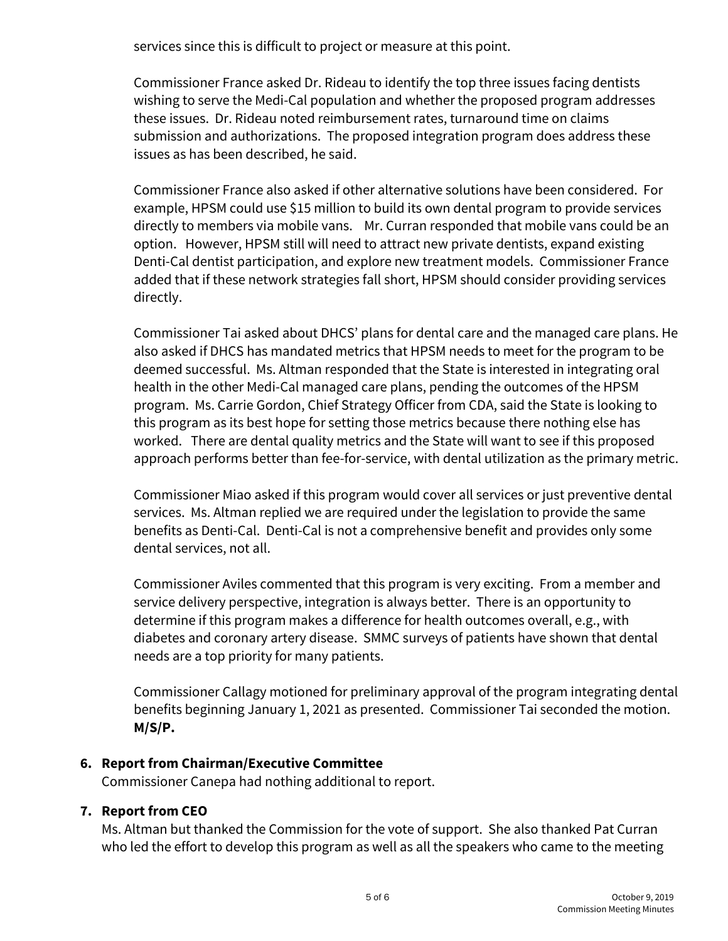services since this is difficult to project or measure at this point.

Commissioner France asked Dr. Rideau to identify the top three issues facing dentists wishing to serve the Medi-Cal population and whether the proposed program addresses these issues. Dr. Rideau noted reimbursement rates, turnaround time on claims submission and authorizations. The proposed integration program does address these issues as has been described, he said.

Commissioner France also asked if other alternative solutions have been considered. For example, HPSM could use \$15 million to build its own dental program to provide services directly to members via mobile vans. Mr. Curran responded that mobile vans could be an option. However, HPSM still will need to attract new private dentists, expand existing Denti-Cal dentist participation, and explore new treatment models. Commissioner France added that if these network strategies fall short, HPSM should consider providing services directly.

Commissioner Tai asked about DHCS' plans for dental care and the managed care plans. He also asked if DHCS has mandated metrics that HPSM needs to meet for the program to be deemed successful. Ms. Altman responded that the State is interested in integrating oral health in the other Medi-Cal managed care plans, pending the outcomes of the HPSM program. Ms. Carrie Gordon, Chief Strategy Officer from CDA, said the State is looking to this program as its best hope for setting those metrics because there nothing else has worked. There are dental quality metrics and the State will want to see if this proposed approach performs better than fee-for-service, with dental utilization as the primary metric.

Commissioner Miao asked if this program would cover all services or just preventive dental services. Ms. Altman replied we are required under the legislation to provide the same benefits as Denti-Cal. Denti-Cal is not a comprehensive benefit and provides only some dental services, not all.

Commissioner Aviles commented that this program is very exciting. From a member and service delivery perspective, integration is always better. There is an opportunity to determine if this program makes a difference for health outcomes overall, e.g., with diabetes and coronary artery disease. SMMC surveys of patients have shown that dental needs are a top priority for many patients.

Commissioner Callagy motioned for preliminary approval of the program integrating dental benefits beginning January 1, 2021 as presented. Commissioner Tai seconded the motion. **M/S/P.**

### **6. Report from Chairman/Executive Committee**

Commissioner Canepa had nothing additional to report.

### **7. Report from CEO**

Ms. Altman but thanked the Commission for the vote of support. She also thanked Pat Curran who led the effort to develop this program as well as all the speakers who came to the meeting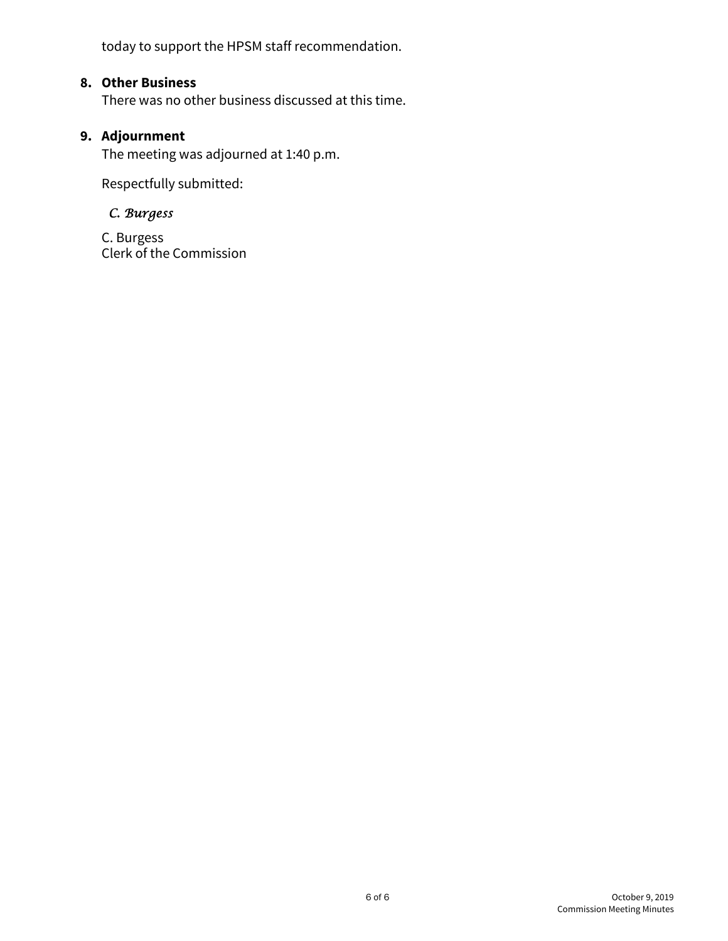today to support the HPSM staff recommendation.

### **8. Other Business**

There was no other business discussed at this time.

### **9. Adjournment**

The meeting was adjourned at 1:40 p.m.

Respectfully submitted:

### *C. Burgess*

 C. Burgess Clerk of the Commission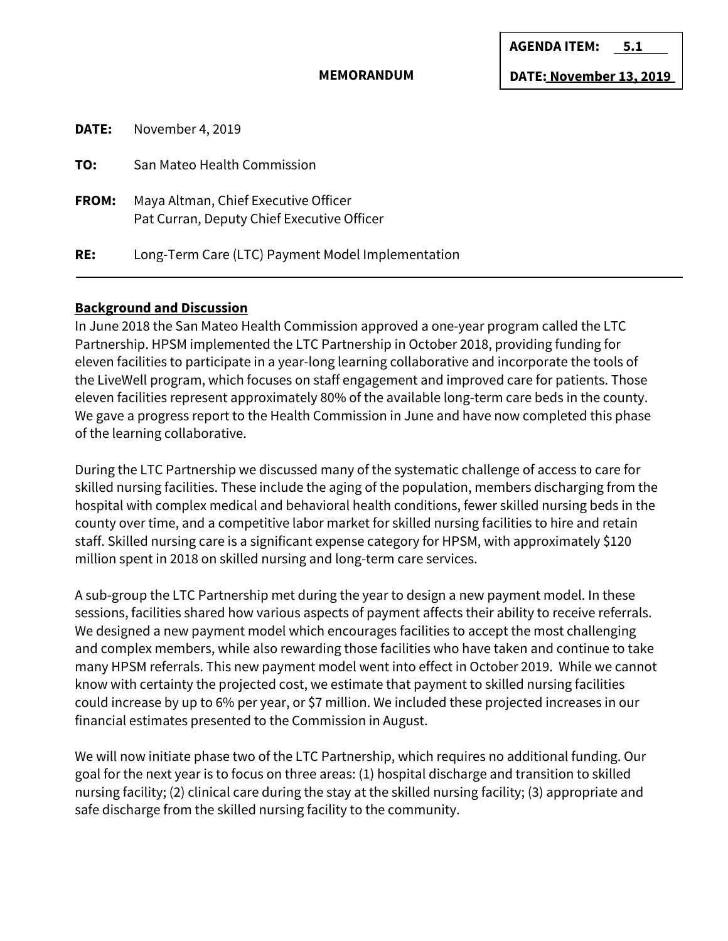#### **MEMORANDUM**

**DATE: November 13, 2019**

| DATE:        | November 4, 2019                                                                   |
|--------------|------------------------------------------------------------------------------------|
| TO:          | San Mateo Health Commission                                                        |
| <b>FROM:</b> | Maya Altman, Chief Executive Officer<br>Pat Curran, Deputy Chief Executive Officer |
| RE:          | Long-Term Care (LTC) Payment Model Implementation                                  |

#### **Background and Discussion**

In June 2018 the San Mateo Health Commission approved a one-year program called the LTC Partnership. HPSM implemented the LTC Partnership in October 2018, providing funding for eleven facilities to participate in a year-long learning collaborative and incorporate the tools of the LiveWell program, which focuses on staff engagement and improved care for patients. Those eleven facilities represent approximately 80% of the available long-term care beds in the county. We gave a progress report to the Health Commission in June and have now completed this phase of the learning collaborative.

During the LTC Partnership we discussed many of the systematic challenge of access to care for skilled nursing facilities. These include the aging of the population, members discharging from the hospital with complex medical and behavioral health conditions, fewer skilled nursing beds in the county over time, and a competitive labor market for skilled nursing facilities to hire and retain staff. Skilled nursing care is a significant expense category for HPSM, with approximately \$120 million spent in 2018 on skilled nursing and long-term care services.

A sub-group the LTC Partnership met during the year to design a new payment model. In these sessions, facilities shared how various aspects of payment affects their ability to receive referrals. We designed a new payment model which encourages facilities to accept the most challenging and complex members, while also rewarding those facilities who have taken and continue to take many HPSM referrals. This new payment model went into effect in October 2019. While we cannot know with certainty the projected cost, we estimate that payment to skilled nursing facilities could increase by up to 6% per year, or \$7 million. We included these projected increases in our financial estimates presented to the Commission in August.

We will now initiate phase two of the LTC Partnership, which requires no additional funding. Our goal for the next year is to focus on three areas: (1) hospital discharge and transition to skilled nursing facility; (2) clinical care during the stay at the skilled nursing facility; (3) appropriate and safe discharge from the skilled nursing facility to the community.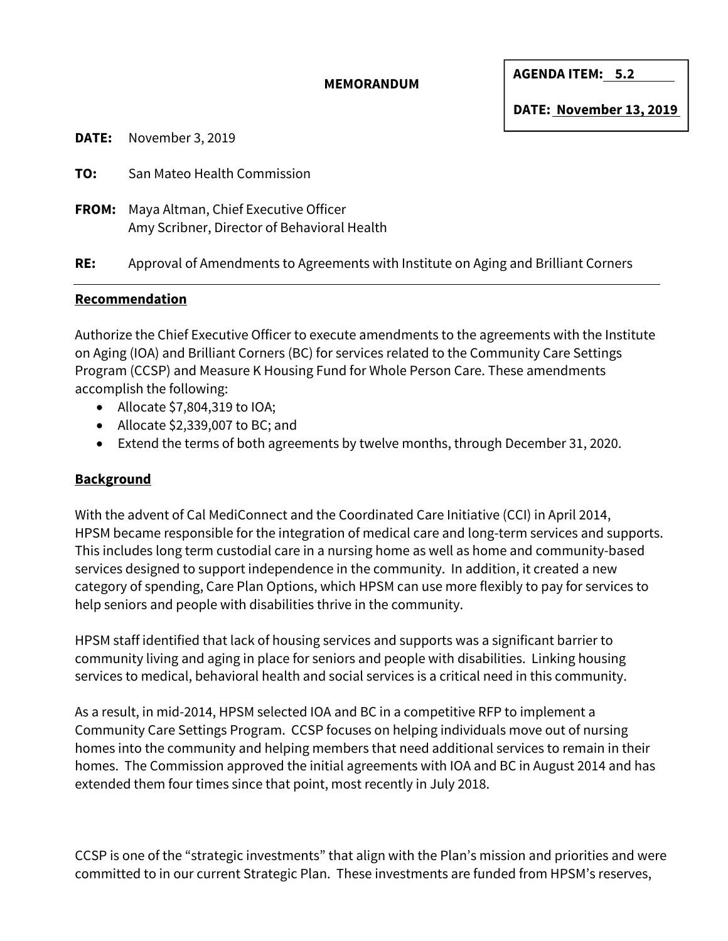#### **MEMORANDUM**

**AGENDA ITEM: 5.2** 

**DATE:** November 3, 2019

**TO:** San Mateo Health Commission

**FROM:** Maya Altman, Chief Executive Officer Amy Scribner, Director of Behavioral Health

**RE:** Approval of Amendments to Agreements with Institute on Aging and Brilliant Corners

#### **Recommendation**

Authorize the Chief Executive Officer to execute amendments to the agreements with the Institute on Aging (IOA) and Brilliant Corners (BC) for services related to the Community Care Settings Program (CCSP) and Measure K Housing Fund for Whole Person Care. These amendments accomplish the following:

- Allocate \$7,804,319 to IOA;
- Allocate \$2,339,007 to BC; and
- Extend the terms of both agreements by twelve months, through December 31, 2020.

### **Background**

With the advent of Cal MediConnect and the Coordinated Care Initiative (CCI) in April 2014, HPSM became responsible for the integration of medical care and long-term services and supports. This includes long term custodial care in a nursing home as well as home and community-based services designed to support independence in the community. In addition, it created a new category of spending, Care Plan Options, which HPSM can use more flexibly to pay for services to help seniors and people with disabilities thrive in the community.

HPSM staff identified that lack of housing services and supports was a significant barrier to community living and aging in place for seniors and people with disabilities. Linking housing services to medical, behavioral health and social services is a critical need in this community.

As a result, in mid-2014, HPSM selected IOA and BC in a competitive RFP to implement a Community Care Settings Program. CCSP focuses on helping individuals move out of nursing homes into the community and helping members that need additional services to remain in their homes. The Commission approved the initial agreements with IOA and BC in August 2014 and has extended them four times since that point, most recently in July 2018.

CCSP is one of the "strategic investments" that align with the Plan's mission and priorities and were committed to in our current Strategic Plan. These investments are funded from HPSM's reserves,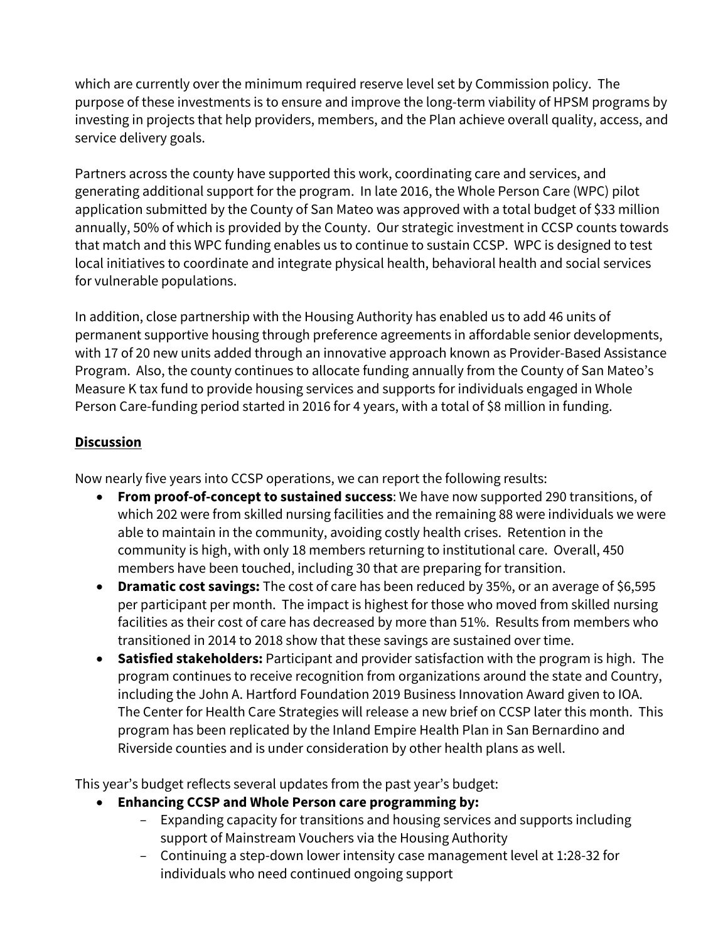which are currently over the minimum required reserve level set by Commission policy. The purpose of these investments is to ensure and improve the long-term viability of HPSM programs by investing in projects that help providers, members, and the Plan achieve overall quality, access, and service delivery goals.

Partners across the county have supported this work, coordinating care and services, and generating additional support for the program. In late 2016, the Whole Person Care (WPC) pilot application submitted by the County of San Mateo was approved with a total budget of \$33 million annually, 50% of which is provided by the County. Our strategic investment in CCSP counts towards that match and this WPC funding enables us to continue to sustain CCSP. WPC is designed to test local initiatives to coordinate and integrate physical health, behavioral health and social services for vulnerable populations.

In addition, close partnership with the Housing Authority has enabled us to add 46 units of permanent supportive housing through preference agreements in affordable senior developments, with 17 of 20 new units added through an innovative approach known as Provider-Based Assistance Program. Also, the county continues to allocate funding annually from the County of San Mateo's Measure K tax fund to provide housing services and supports for individuals engaged in Whole Person Care-funding period started in 2016 for 4 years, with a total of \$8 million in funding.

### **Discussion**

Now nearly five years into CCSP operations, we can report the following results:

- **From proof-of-concept to sustained success**: We have now supported 290 transitions, of which 202 were from skilled nursing facilities and the remaining 88 were individuals we were able to maintain in the community, avoiding costly health crises. Retention in the community is high, with only 18 members returning to institutional care. Overall, 450 members have been touched, including 30 that are preparing for transition.
- **Dramatic cost savings:** The cost of care has been reduced by 35%, or an average of \$6,595 per participant per month. The impact is highest for those who moved from skilled nursing facilities as their cost of care has decreased by more than 51%. Results from members who transitioned in 2014 to 2018 show that these savings are sustained over time.
- **Satisfied stakeholders:** Participant and provider satisfaction with the program is high. The program continues to receive recognition from organizations around the state and Country, including the John A. Hartford Foundation 2019 Business Innovation Award given to IOA. The Center for Health Care Strategies will release a new brief on CCSP later this month. This program has been replicated by the Inland Empire Health Plan in San Bernardino and Riverside counties and is under consideration by other health plans as well.

This year's budget reflects several updates from the past year's budget:

- **Enhancing CCSP and Whole Person care programming by:**
	- Expanding capacity for transitions and housing services and supports including support of Mainstream Vouchers via the Housing Authority
	- Continuing a step-down lower intensity case management level at 1:28-32 for individuals who need continued ongoing support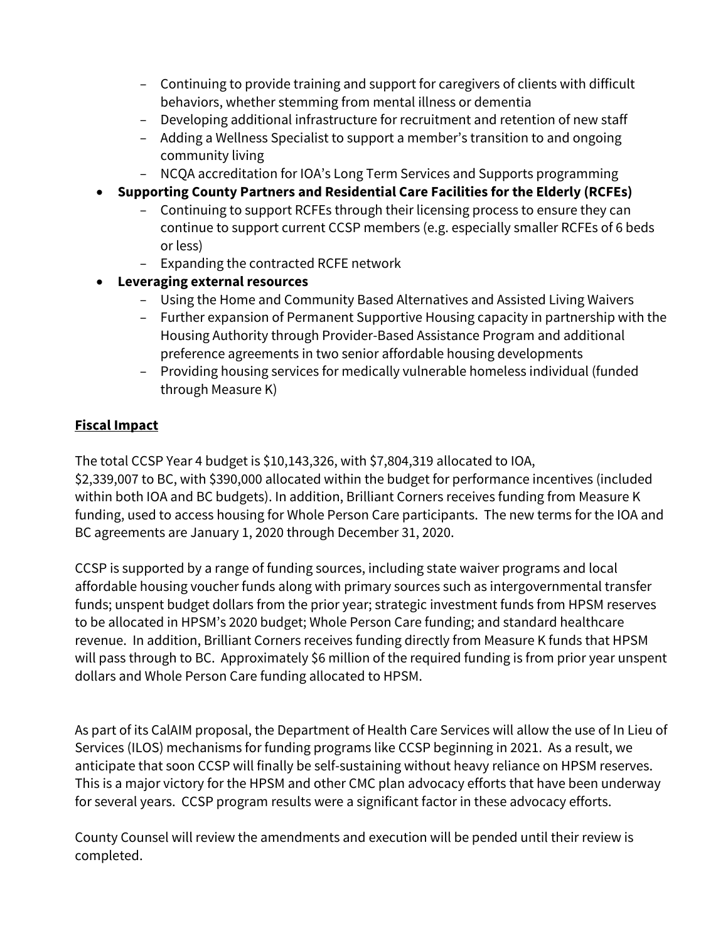- Continuing to provide training and support for caregivers of clients with difficult behaviors, whether stemming from mental illness or dementia
- Developing additional infrastructure for recruitment and retention of new staff
- Adding a Wellness Specialist to support a member's transition to and ongoing community living
- NCQA accreditation for IOA's Long Term Services and Supports programming
- **Supporting County Partners and Residential Care Facilities for the Elderly (RCFEs)**
	- Continuing to support RCFEs through their licensing process to ensure they can continue to support current CCSP members (e.g. especially smaller RCFEs of 6 beds or less)
	- Expanding the contracted RCFE network
- **Leveraging external resources**
	- Using the Home and Community Based Alternatives and Assisted Living Waivers
	- Further expansion of Permanent Supportive Housing capacity in partnership with the Housing Authority through Provider-Based Assistance Program and additional preference agreements in two senior affordable housing developments
	- Providing housing services for medically vulnerable homeless individual (funded through Measure K)

## **Fiscal Impact**

The total CCSP Year 4 budget is \$10,143,326, with \$7,804,319 allocated to IOA, \$2,339,007 to BC, with \$390,000 allocated within the budget for performance incentives (included within both IOA and BC budgets). In addition, Brilliant Corners receives funding from Measure K funding, used to access housing for Whole Person Care participants. The new terms for the IOA and BC agreements are January 1, 2020 through December 31, 2020.

CCSP is supported by a range of funding sources, including state waiver programs and local affordable housing voucher funds along with primary sources such as intergovernmental transfer funds; unspent budget dollars from the prior year; strategic investment funds from HPSM reserves to be allocated in HPSM's 2020 budget; Whole Person Care funding; and standard healthcare revenue. In addition, Brilliant Corners receives funding directly from Measure K funds that HPSM will pass through to BC. Approximately \$6 million of the required funding is from prior year unspent dollars and Whole Person Care funding allocated to HPSM.

As part of its CalAIM proposal, the Department of Health Care Services will allow the use of In Lieu of Services (ILOS) mechanisms for funding programs like CCSP beginning in 2021. As a result, we anticipate that soon CCSP will finally be self-sustaining without heavy reliance on HPSM reserves. This is a major victory for the HPSM and other CMC plan advocacy efforts that have been underway for several years. CCSP program results were a significant factor in these advocacy efforts.

County Counsel will review the amendments and execution will be pended until their review is completed.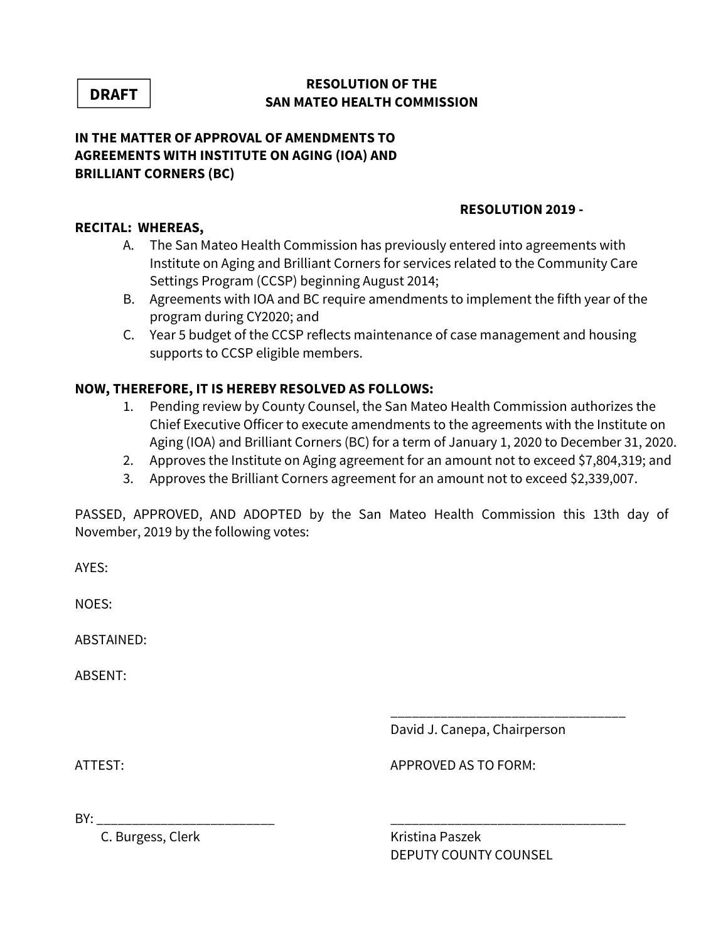**DRAFT**

#### **RESOLUTION OF THE SAN MATEO HEALTH COMMISSION**

### **IN THE MATTER OF APPROVAL OF AMENDMENTS TO AGREEMENTS WITH INSTITUTE ON AGING (IOA) AND BRILLIANT CORNERS (BC)**

### **RESOLUTION 2019 -**

### **RECITAL: WHEREAS,**

- A. The San Mateo Health Commission has previously entered into agreements with Institute on Aging and Brilliant Corners for services related to the Community Care Settings Program (CCSP) beginning August 2014;
- B. Agreements with IOA and BC require amendments to implement the fifth year of the program during CY2020; and
- C. Year 5 budget of the CCSP reflects maintenance of case management and housing supports to CCSP eligible members.

### **NOW, THEREFORE, IT IS HEREBY RESOLVED AS FOLLOWS:**

- 1. Pending review by County Counsel, the San Mateo Health Commission authorizes the Chief Executive Officer to execute amendments to the agreements with the Institute on Aging (IOA) and Brilliant Corners (BC) for a term of January 1, 2020 to December 31, 2020.
- 2. Approves the Institute on Aging agreement for an amount not to exceed \$7,804,319; and
- 3. Approves the Brilliant Corners agreement for an amount not to exceed \$2,339,007.

PASSED, APPROVED, AND ADOPTED by the San Mateo Health Commission this 13th day of November, 2019 by the following votes:

\_\_\_\_\_\_\_\_\_\_\_\_\_\_\_\_\_\_\_\_\_\_\_\_\_\_\_\_\_\_\_\_\_

AYES:

NOES:

ABSTAINED:

ABSENT:

David J. Canepa, Chairperson

ATTEST: AND THE STOP OF THE STOP AS TO FORM:

BY: \_\_\_\_\_\_\_\_\_\_\_\_\_\_\_\_\_\_\_\_\_\_\_\_\_ \_\_\_\_\_\_\_\_\_\_\_\_\_\_\_\_\_\_\_\_\_\_\_\_\_\_\_\_\_\_\_\_\_

C. Burgess, Clerk Kristina Paszek

DEPUTY COUNTY COUNSEL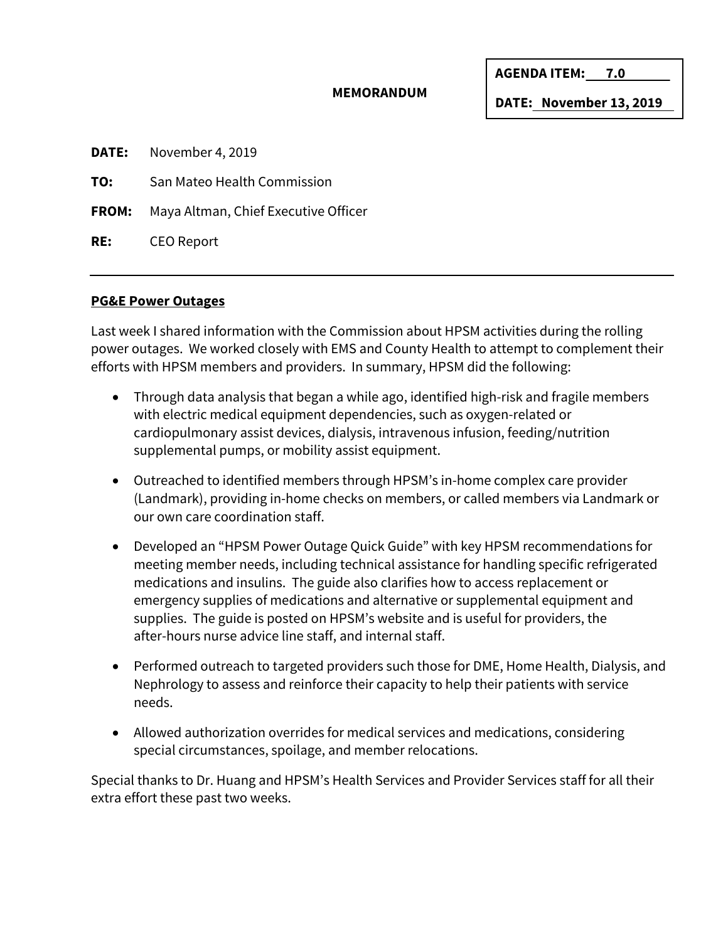#### **MEMORANDUM**

**AGENDA ITEM: 7.0** 

**DATE: November 13, 2019** 

**DATE:** November 4, 2019

**TO:** San Mateo Health Commission

**FROM:** Maya Altman, Chief Executive Officer

**RE:** CEO Report

#### **PG&E Power Outages**

Last week I shared information with the Commission about HPSM activities during the rolling power outages. We worked closely with EMS and County Health to attempt to complement their efforts with HPSM members and providers. In summary, HPSM did the following:

- Through data analysis that began a while ago, identified high-risk and fragile members with electric medical equipment dependencies, such as oxygen-related or cardiopulmonary assist devices, dialysis, intravenous infusion, feeding/nutrition supplemental pumps, or mobility assist equipment.
- Outreached to identified members through HPSM's in-home complex care provider (Landmark), providing in-home checks on members, or called members via Landmark or our own care coordination staff.
- Developed an "HPSM Power Outage Quick Guide" with key HPSM recommendations for meeting member needs, including technical assistance for handling specific refrigerated medications and insulins. The guide also clarifies how to access replacement or emergency supplies of medications and alternative or supplemental equipment and supplies. The guide is posted on HPSM's website and is useful for providers, the after-hours nurse advice line staff, and internal staff.
- Performed outreach to targeted providers such those for DME, Home Health, Dialysis, and Nephrology to assess and reinforce their capacity to help their patients with service needs.
- Allowed authorization overrides for medical services and medications, considering special circumstances, spoilage, and member relocations.

Special thanks to Dr. Huang and HPSM's Health Services and Provider Services staff for all their extra effort these past two weeks.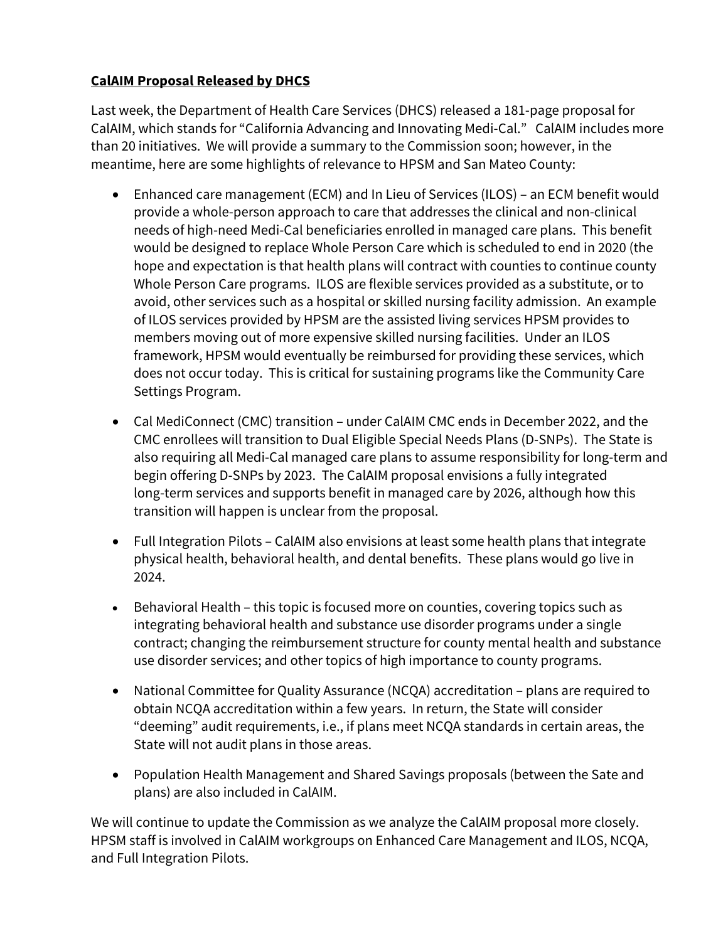## **CalAIM Proposal Released by DHCS**

Last week, the Department of Health Care Services (DHCS) released a 181-page proposal for CalAIM, which stands for "California Advancing and Innovating Medi-Cal." CalAIM includes more than 20 initiatives. We will provide a summary to the Commission soon; however, in the meantime, here are some highlights of relevance to HPSM and San Mateo County:

- Enhanced care management (ECM) and In Lieu of Services (ILOS) an ECM benefit would provide a whole-person approach to care that addresses the clinical and non-clinical needs of high-need Medi-Cal beneficiaries enrolled in managed care plans. This benefit would be designed to replace Whole Person Care which is scheduled to end in 2020 (the hope and expectation is that health plans will contract with counties to continue county Whole Person Care programs. ILOS are flexible services provided as a substitute, or to avoid, other services such as a hospital or skilled nursing facility admission. An example of ILOS services provided by HPSM are the assisted living services HPSM provides to members moving out of more expensive skilled nursing facilities. Under an ILOS framework, HPSM would eventually be reimbursed for providing these services, which does not occur today. This is critical for sustaining programs like the Community Care Settings Program.
- Cal MediConnect (CMC) transition under CalAIM CMC ends in December 2022, and the CMC enrollees will transition to Dual Eligible Special Needs Plans (D-SNPs). The State is also requiring all Medi-Cal managed care plans to assume responsibility for long-term and begin offering D-SNPs by 2023. The CalAIM proposal envisions a fully integrated long-term services and supports benefit in managed care by 2026, although how this transition will happen is unclear from the proposal.
- Full Integration Pilots CalAIM also envisions at least some health plans that integrate physical health, behavioral health, and dental benefits. These plans would go live in 2024.
- Behavioral Health this topic is focused more on counties, covering topics such as integrating behavioral health and substance use disorder programs under a single contract; changing the reimbursement structure for county mental health and substance use disorder services; and other topics of high importance to county programs.
- National Committee for Quality Assurance (NCQA) accreditation plans are required to obtain NCQA accreditation within a few years. In return, the State will consider "deeming" audit requirements, i.e., if plans meet NCQA standards in certain areas, the State will not audit plans in those areas.
- Population Health Management and Shared Savings proposals (between the Sate and plans) are also included in CalAIM.

We will continue to update the Commission as we analyze the CalAIM proposal more closely. HPSM staff is involved in CalAIM workgroups on Enhanced Care Management and ILOS, NCQA, and Full Integration Pilots.